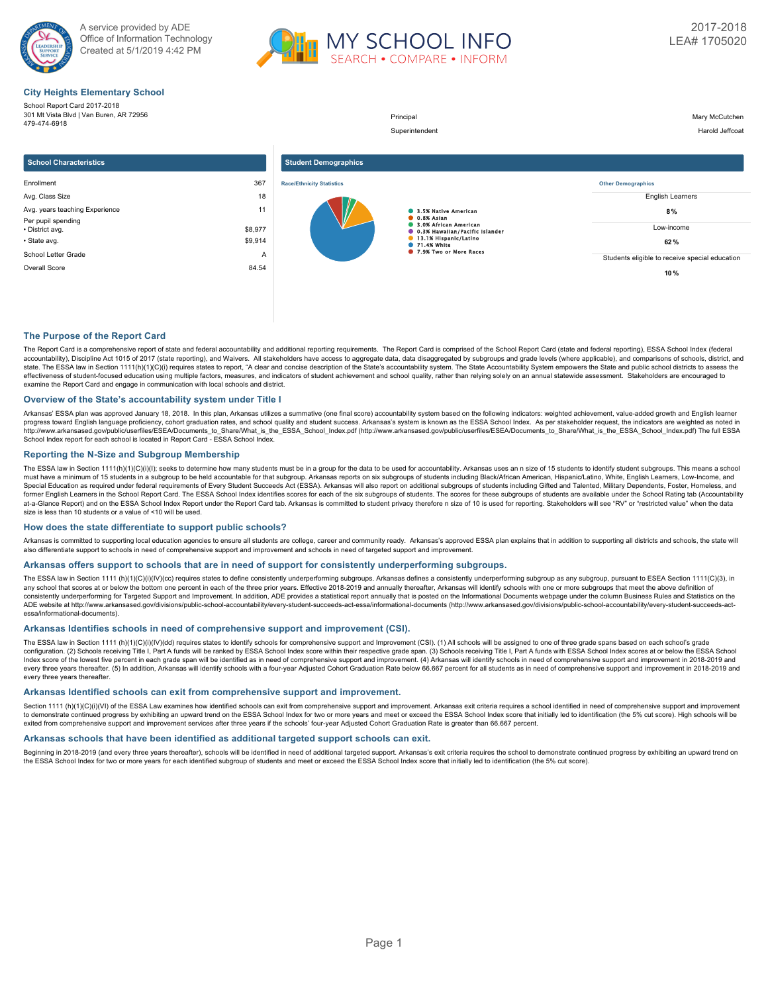

A service provided by ADE Office of Information Technology Created at 5/1/2019 4:42 PM



### **City Heights Elementary School**

School Report Card 2017-2018 301 Mt Vista Blvd | Van Buren, AR 72956 479-474-6918

**Principal Mary McCutchen** Superintendent Harold Jeffcoat **School Characteristics** Enrollment 367 Avg. Class Size 18 Avg. years teaching Experience 11 Per pupil spending • District avg.  $$8,977$ • State avg. \$9,914 School Letter Grade A Overall Score 84.54 **Student Demographics Race/Ethnicity Statistics** 3.5% Native American<br>0.8% Asian<br>3.0% African American<br>0.3% Hawailan/Pacific Islander<br>13.1% White<br>7.9% Two or More Races<br>7.9% Two or More Races **Other Demographics** English Learners **8 %** Low-income **62 %** Students eligible to receive special education **10 %**

### **The Purpose of the Report Card**

The Report Card is a comprehensive report of state and federal accountability and additional reporting requirements. The Report Card is comprised of the School Report Card (state and federal reporting), ESSA School Index ( accountability), Discipline Act 1015 of 2017 (state reporting), and Waivers. All stakeholders have access to aggregate data, data disaggregated by subgroups and grade levels (where applicable), and comparisons of schools, state. The ESSA law in Section 1111(h)(1)(C)(i) requires states to report, "A clear and concise description of the State's accountability system. The State Accountability System empowers the State and public school distric effectiveness of student-focused education using multiple factors, measures, and indicators of student achievement and school quality, rather than relying solely on an annual statewide assessment. Stakeholders are encoura

### **Overview of the State's accountability system under Title I**

Arkansas' ESSA plan was approved January 18, 2018. In this plan, Arkansas utilizes a summative (one final score) accountability system based on the following indicators: weighted achievement, value-added growth and English progress toward English language proficiency, cohort graduation rates, and school quality and student success. Arkansas's system is known as the ESSA School Index. As per stakeholder request, the indicators are weighted as School Index report for each school is located in Report Card - ESSA School Index.

### **Reporting the N-Size and Subgroup Membership**

The ESSA law in Section 1111(h)(1)(C)(i)(l); seeks to determine how many students must be in a group for the data to be used for accountability. Arkansas uses an n size of 15 students to identify student subgroups. This me must have a minimum of 15 students in a subgroup to be held accountable for that subgroup. Arkansas reports on six subgroups of students including Black/African American, Hispanic/Latino, White, English Learners, Low-Incom Special Education as required under federal requirements of Every Student Succeeds Act (ESSA). Arkansas will also report on additional subgroups of students including Gifted and Talented, Military Dependents, Foster, Homel former English Learners in the School Report Card. The ESSA School Index identifies scores for each of the six subgroups of students. The scores for these subgroups of students are available under the School Rating tab (Ac at-a-Glance Report) and on the ESSA School Index Report under the Report Card tab. Arkansas is committed to student privacy therefore n size of 10 is used for reporting. Stakeholders will see "RV" or "restricted value" whe size is less than 10 students or a value of <10 will be used.

### **How does the state differentiate to support public schools?**

Arkansas is committed to supporting local education agencies to ensure all students are college, career and community ready. Arkansas's approved ESSA plan explains that in addition to supporting all districts and schools, also differentiate support to schools in need of comprehensive support and improvement and schools in need of targeted support and improvement.

### **Arkansas offers support to schools that are in need of support for consistently underperforming subgroups.**

The ESSA law in Section 1111 (h)(1)(O)(i)(IV)(cc) requires states to define consistently underperforming subgroups. Arkansas defines a consistently underperforming subgroups as any subgroup, pursuant to ESEA Section 1111(C any school that scores at or below the bottom one percent in each of the three prior years. Effective 2018-2019 and annually thereafter. Arkansas will identify schools with one or more subgroups that meet the above definit consistently underperforming for Targeted Support and Improvement. In addition, ADE provides a statistical report annually that is posted on the Informational Documents webpage under the column Business Rules and Statistic ADE website at http://www.arkansased.gov/divisions/public-school-accountability/every-student-succeeds-act-essa/informational-documents (http://www.arkansased.gov/divisions/public-school-accountability/every-student-succee essa/informational-documents).

### **Arkansas Identifies schools in need of comprehensive support and improvement (CSI).**

The ESSA law in Section 1111 (h)(1)(C)(i)(IV)(dd) requires states to identify schools for comprehensive support and Improvement (CSI). (1) All schools will be assigned to one of three grade spans based on each school's gra configuration. (2) Schools receiving Title I, Part A funds will be ranked by ESSA School Index score within their respective grade span. (3) Schools receiving Title I, Part A funds with ESSA School Index scores at or below every three years thereafter. (5) In addition, Arkansas will identify schools with a four-year Adjusted Cohort Graduation Rate below 66.667 percent for all students as in need of comprehensive support and improvement in 20 every three years thereafter.

### **Arkansas Identified schools can exit from comprehensive support and improvement.**

Section 1111 (h)(1)(C)(i)(VI) of the ESSA Law examines how identified schools can exit from comprehensive support and improvement. Arkansas exit criteria requires a school identified in need of comprehensive support and im to demonstrate continued progress by exhibiting an upward trend on the ESSA School Index for two or more years and meet or exceed the ESSA School Index score that initially led to identification (the 5% cut score). High sc exited from comprehensive support and improvement services after three years if the schools' four-year Adjusted Cohort Graduation Rate is greater than 66.667 percent.

### **Arkansas schools that have been identified as additional targeted support schools can exit.**

Beginning in 2018-2019 (and every three years thereafter), schools will be identified in need of additional targeted support. Arkansas's exit criteria requires the school to demonstrate continued progress by exhibiting an the ESSA School Index for two or more years for each identified subgroup of students and meet or exceed the ESSA School Index score that initially led to identification (the 5% cut score).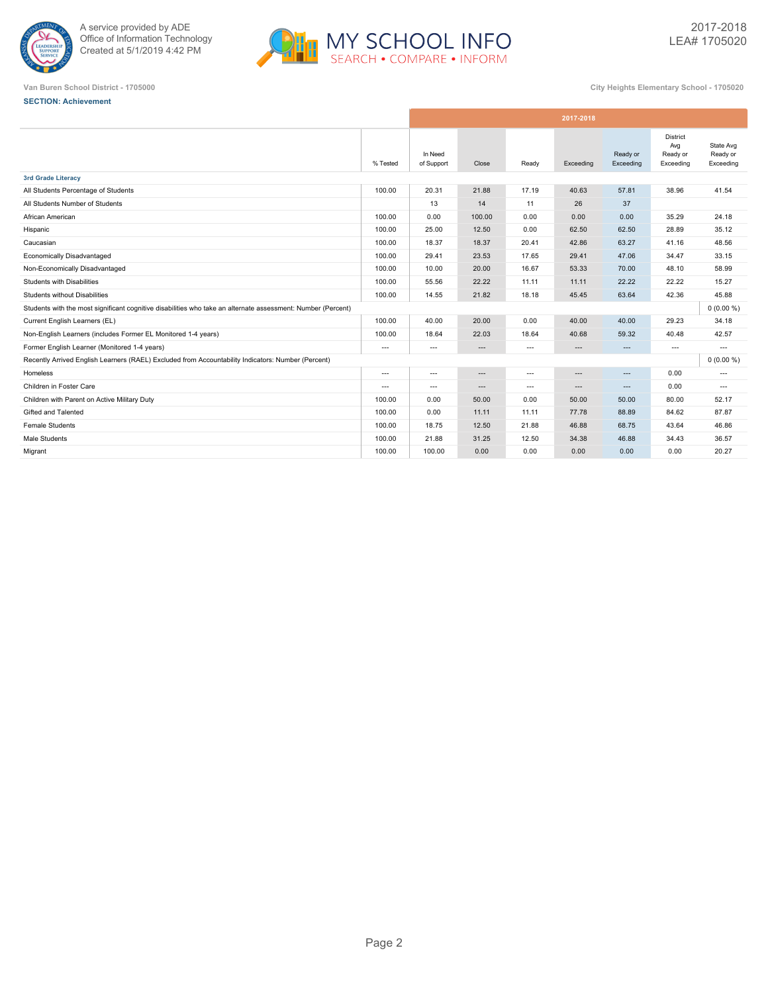



| Van Buren School District - 1705000 | City Heights Elementary School - 1705020 |
|-------------------------------------|------------------------------------------|

| District<br>Avg<br>State Avg<br>In Need<br>Ready or<br>Ready or<br>Ready or<br>% Tested<br>of Support<br>Close<br>Exceeding<br>Exceeding<br>Exceeding<br>Ready<br>Exceeding<br><b>3rd Grade Literacy</b><br>57.81<br>100.00<br>20.31<br>21.88<br>17.19<br>40.63<br>38.96<br>All Students Percentage of Students<br>41.54<br>13<br>14<br>11<br>26<br>37<br>All Students Number of Students<br>35.29<br>100.00<br>0.00<br>0.00<br>0.00<br>0.00<br>24.18<br>African American<br>100.00<br>28.89<br>35.12<br>Hispanic<br>100.00<br>25.00<br>12.50<br>0.00<br>62.50<br>62.50<br>18.37<br>18.37<br>20.41<br>42.86<br>63.27<br>41.16<br>48.56<br>Caucasian<br>100.00<br>Economically Disadvantaged<br>29.41<br>100.00<br>23.53<br>17.65<br>29.41<br>47.06<br>34.47<br>33.15<br>Non-Economically Disadvantaged<br>10.00<br>20.00<br>16.67<br>53.33<br>70.00<br>48.10<br>58.99<br>100.00<br><b>Students with Disabilities</b><br>22.22<br>100.00<br>55.56<br>22.22<br>11.11<br>11.11<br>22.22<br>15.27<br><b>Students without Disabilities</b><br>100.00<br>14.55<br>21.82<br>18.18<br>45.45<br>63.64<br>42.36<br>45.88<br>$0(0.00\%)$<br>Students with the most significant cognitive disabilities who take an alternate assessment: Number (Percent)<br>Current English Learners (EL)<br>100.00<br>40.00<br>20.00<br>0.00<br>40.00<br>40.00<br>29.23<br>34.18<br>Non-English Learners (includes Former EL Monitored 1-4 years)<br>22.03<br>40.68<br>40.48<br>100.00<br>18.64<br>18.64<br>59.32<br>42.57<br>Former English Learner (Monitored 1-4 years)<br>$---$<br>$\overline{a}$<br>$\overline{\phantom{a}}$<br>$\cdots$<br>$\overline{\phantom{a}}$<br>$\cdots$<br>$\cdots$<br>$\cdots$<br>Recently Arrived English Learners (RAEL) Excluded from Accountability Indicators: Number (Percent)<br>$0(0.00\%)$<br>Homeless<br>0.00<br>$\cdots$<br>---<br>$\overline{\phantom{a}}$<br>$\overline{\phantom{a}}$<br>---<br>$\cdots$<br>$\cdots$<br>Children in Foster Care<br>0.00<br>$---$<br>$\hspace{0.05cm} \ldots$<br>$\hspace{1.5cm} \textbf{---}$<br>$\hspace{0.05cm} \ldots$<br>$\cdots$<br>$\cdots$<br>$\cdots$<br>Children with Parent on Active Military Duty<br>50.00<br>0.00<br>80.00<br>52.17<br>100.00<br>0.00<br>50.00<br>50.00<br>0.00<br>84.62<br>87.87<br>Gifted and Talented<br>100.00<br>11.11<br>11.11<br>77.78<br>88.89<br><b>Female Students</b><br>100.00<br>18.75<br>12.50<br>21.88<br>43.64<br>46.86<br>46.88<br>68.75<br>Male Students<br>34.43<br>100.00<br>21.88<br>31.25<br>12.50<br>34.38<br>46.88<br>36.57 |         |        |        |      |      | 2017-2018 |      |      |       |
|------------------------------------------------------------------------------------------------------------------------------------------------------------------------------------------------------------------------------------------------------------------------------------------------------------------------------------------------------------------------------------------------------------------------------------------------------------------------------------------------------------------------------------------------------------------------------------------------------------------------------------------------------------------------------------------------------------------------------------------------------------------------------------------------------------------------------------------------------------------------------------------------------------------------------------------------------------------------------------------------------------------------------------------------------------------------------------------------------------------------------------------------------------------------------------------------------------------------------------------------------------------------------------------------------------------------------------------------------------------------------------------------------------------------------------------------------------------------------------------------------------------------------------------------------------------------------------------------------------------------------------------------------------------------------------------------------------------------------------------------------------------------------------------------------------------------------------------------------------------------------------------------------------------------------------------------------------------------------------------------------------------------------------------------------------------------------------------------------------------------------------------------------------------------------------------------------------------------------------------------------------------------------------------------------------------------------------------------------------------------------------------------------------------------------------------------------------------------------------------------------------------------------------|---------|--------|--------|------|------|-----------|------|------|-------|
|                                                                                                                                                                                                                                                                                                                                                                                                                                                                                                                                                                                                                                                                                                                                                                                                                                                                                                                                                                                                                                                                                                                                                                                                                                                                                                                                                                                                                                                                                                                                                                                                                                                                                                                                                                                                                                                                                                                                                                                                                                                                                                                                                                                                                                                                                                                                                                                                                                                                                                                                    |         |        |        |      |      |           |      |      |       |
|                                                                                                                                                                                                                                                                                                                                                                                                                                                                                                                                                                                                                                                                                                                                                                                                                                                                                                                                                                                                                                                                                                                                                                                                                                                                                                                                                                                                                                                                                                                                                                                                                                                                                                                                                                                                                                                                                                                                                                                                                                                                                                                                                                                                                                                                                                                                                                                                                                                                                                                                    |         |        |        |      |      |           |      |      |       |
|                                                                                                                                                                                                                                                                                                                                                                                                                                                                                                                                                                                                                                                                                                                                                                                                                                                                                                                                                                                                                                                                                                                                                                                                                                                                                                                                                                                                                                                                                                                                                                                                                                                                                                                                                                                                                                                                                                                                                                                                                                                                                                                                                                                                                                                                                                                                                                                                                                                                                                                                    |         |        |        |      |      |           |      |      |       |
|                                                                                                                                                                                                                                                                                                                                                                                                                                                                                                                                                                                                                                                                                                                                                                                                                                                                                                                                                                                                                                                                                                                                                                                                                                                                                                                                                                                                                                                                                                                                                                                                                                                                                                                                                                                                                                                                                                                                                                                                                                                                                                                                                                                                                                                                                                                                                                                                                                                                                                                                    |         |        |        |      |      |           |      |      |       |
|                                                                                                                                                                                                                                                                                                                                                                                                                                                                                                                                                                                                                                                                                                                                                                                                                                                                                                                                                                                                                                                                                                                                                                                                                                                                                                                                                                                                                                                                                                                                                                                                                                                                                                                                                                                                                                                                                                                                                                                                                                                                                                                                                                                                                                                                                                                                                                                                                                                                                                                                    |         |        |        |      |      |           |      |      |       |
|                                                                                                                                                                                                                                                                                                                                                                                                                                                                                                                                                                                                                                                                                                                                                                                                                                                                                                                                                                                                                                                                                                                                                                                                                                                                                                                                                                                                                                                                                                                                                                                                                                                                                                                                                                                                                                                                                                                                                                                                                                                                                                                                                                                                                                                                                                                                                                                                                                                                                                                                    |         |        |        |      |      |           |      |      |       |
|                                                                                                                                                                                                                                                                                                                                                                                                                                                                                                                                                                                                                                                                                                                                                                                                                                                                                                                                                                                                                                                                                                                                                                                                                                                                                                                                                                                                                                                                                                                                                                                                                                                                                                                                                                                                                                                                                                                                                                                                                                                                                                                                                                                                                                                                                                                                                                                                                                                                                                                                    |         |        |        |      |      |           |      |      |       |
|                                                                                                                                                                                                                                                                                                                                                                                                                                                                                                                                                                                                                                                                                                                                                                                                                                                                                                                                                                                                                                                                                                                                                                                                                                                                                                                                                                                                                                                                                                                                                                                                                                                                                                                                                                                                                                                                                                                                                                                                                                                                                                                                                                                                                                                                                                                                                                                                                                                                                                                                    |         |        |        |      |      |           |      |      |       |
|                                                                                                                                                                                                                                                                                                                                                                                                                                                                                                                                                                                                                                                                                                                                                                                                                                                                                                                                                                                                                                                                                                                                                                                                                                                                                                                                                                                                                                                                                                                                                                                                                                                                                                                                                                                                                                                                                                                                                                                                                                                                                                                                                                                                                                                                                                                                                                                                                                                                                                                                    |         |        |        |      |      |           |      |      |       |
|                                                                                                                                                                                                                                                                                                                                                                                                                                                                                                                                                                                                                                                                                                                                                                                                                                                                                                                                                                                                                                                                                                                                                                                                                                                                                                                                                                                                                                                                                                                                                                                                                                                                                                                                                                                                                                                                                                                                                                                                                                                                                                                                                                                                                                                                                                                                                                                                                                                                                                                                    |         |        |        |      |      |           |      |      |       |
|                                                                                                                                                                                                                                                                                                                                                                                                                                                                                                                                                                                                                                                                                                                                                                                                                                                                                                                                                                                                                                                                                                                                                                                                                                                                                                                                                                                                                                                                                                                                                                                                                                                                                                                                                                                                                                                                                                                                                                                                                                                                                                                                                                                                                                                                                                                                                                                                                                                                                                                                    |         |        |        |      |      |           |      |      |       |
|                                                                                                                                                                                                                                                                                                                                                                                                                                                                                                                                                                                                                                                                                                                                                                                                                                                                                                                                                                                                                                                                                                                                                                                                                                                                                                                                                                                                                                                                                                                                                                                                                                                                                                                                                                                                                                                                                                                                                                                                                                                                                                                                                                                                                                                                                                                                                                                                                                                                                                                                    |         |        |        |      |      |           |      |      |       |
|                                                                                                                                                                                                                                                                                                                                                                                                                                                                                                                                                                                                                                                                                                                                                                                                                                                                                                                                                                                                                                                                                                                                                                                                                                                                                                                                                                                                                                                                                                                                                                                                                                                                                                                                                                                                                                                                                                                                                                                                                                                                                                                                                                                                                                                                                                                                                                                                                                                                                                                                    |         |        |        |      |      |           |      |      |       |
|                                                                                                                                                                                                                                                                                                                                                                                                                                                                                                                                                                                                                                                                                                                                                                                                                                                                                                                                                                                                                                                                                                                                                                                                                                                                                                                                                                                                                                                                                                                                                                                                                                                                                                                                                                                                                                                                                                                                                                                                                                                                                                                                                                                                                                                                                                                                                                                                                                                                                                                                    |         |        |        |      |      |           |      |      |       |
|                                                                                                                                                                                                                                                                                                                                                                                                                                                                                                                                                                                                                                                                                                                                                                                                                                                                                                                                                                                                                                                                                                                                                                                                                                                                                                                                                                                                                                                                                                                                                                                                                                                                                                                                                                                                                                                                                                                                                                                                                                                                                                                                                                                                                                                                                                                                                                                                                                                                                                                                    |         |        |        |      |      |           |      |      |       |
|                                                                                                                                                                                                                                                                                                                                                                                                                                                                                                                                                                                                                                                                                                                                                                                                                                                                                                                                                                                                                                                                                                                                                                                                                                                                                                                                                                                                                                                                                                                                                                                                                                                                                                                                                                                                                                                                                                                                                                                                                                                                                                                                                                                                                                                                                                                                                                                                                                                                                                                                    |         |        |        |      |      |           |      |      |       |
|                                                                                                                                                                                                                                                                                                                                                                                                                                                                                                                                                                                                                                                                                                                                                                                                                                                                                                                                                                                                                                                                                                                                                                                                                                                                                                                                                                                                                                                                                                                                                                                                                                                                                                                                                                                                                                                                                                                                                                                                                                                                                                                                                                                                                                                                                                                                                                                                                                                                                                                                    |         |        |        |      |      |           |      |      |       |
|                                                                                                                                                                                                                                                                                                                                                                                                                                                                                                                                                                                                                                                                                                                                                                                                                                                                                                                                                                                                                                                                                                                                                                                                                                                                                                                                                                                                                                                                                                                                                                                                                                                                                                                                                                                                                                                                                                                                                                                                                                                                                                                                                                                                                                                                                                                                                                                                                                                                                                                                    |         |        |        |      |      |           |      |      |       |
|                                                                                                                                                                                                                                                                                                                                                                                                                                                                                                                                                                                                                                                                                                                                                                                                                                                                                                                                                                                                                                                                                                                                                                                                                                                                                                                                                                                                                                                                                                                                                                                                                                                                                                                                                                                                                                                                                                                                                                                                                                                                                                                                                                                                                                                                                                                                                                                                                                                                                                                                    |         |        |        |      |      |           |      |      |       |
|                                                                                                                                                                                                                                                                                                                                                                                                                                                                                                                                                                                                                                                                                                                                                                                                                                                                                                                                                                                                                                                                                                                                                                                                                                                                                                                                                                                                                                                                                                                                                                                                                                                                                                                                                                                                                                                                                                                                                                                                                                                                                                                                                                                                                                                                                                                                                                                                                                                                                                                                    |         |        |        |      |      |           |      |      |       |
|                                                                                                                                                                                                                                                                                                                                                                                                                                                                                                                                                                                                                                                                                                                                                                                                                                                                                                                                                                                                                                                                                                                                                                                                                                                                                                                                                                                                                                                                                                                                                                                                                                                                                                                                                                                                                                                                                                                                                                                                                                                                                                                                                                                                                                                                                                                                                                                                                                                                                                                                    |         |        |        |      |      |           |      |      |       |
|                                                                                                                                                                                                                                                                                                                                                                                                                                                                                                                                                                                                                                                                                                                                                                                                                                                                                                                                                                                                                                                                                                                                                                                                                                                                                                                                                                                                                                                                                                                                                                                                                                                                                                                                                                                                                                                                                                                                                                                                                                                                                                                                                                                                                                                                                                                                                                                                                                                                                                                                    |         |        |        |      |      |           |      |      |       |
|                                                                                                                                                                                                                                                                                                                                                                                                                                                                                                                                                                                                                                                                                                                                                                                                                                                                                                                                                                                                                                                                                                                                                                                                                                                                                                                                                                                                                                                                                                                                                                                                                                                                                                                                                                                                                                                                                                                                                                                                                                                                                                                                                                                                                                                                                                                                                                                                                                                                                                                                    | Migrant | 100.00 | 100.00 | 0.00 | 0.00 | 0.00      | 0.00 | 0.00 | 20.27 |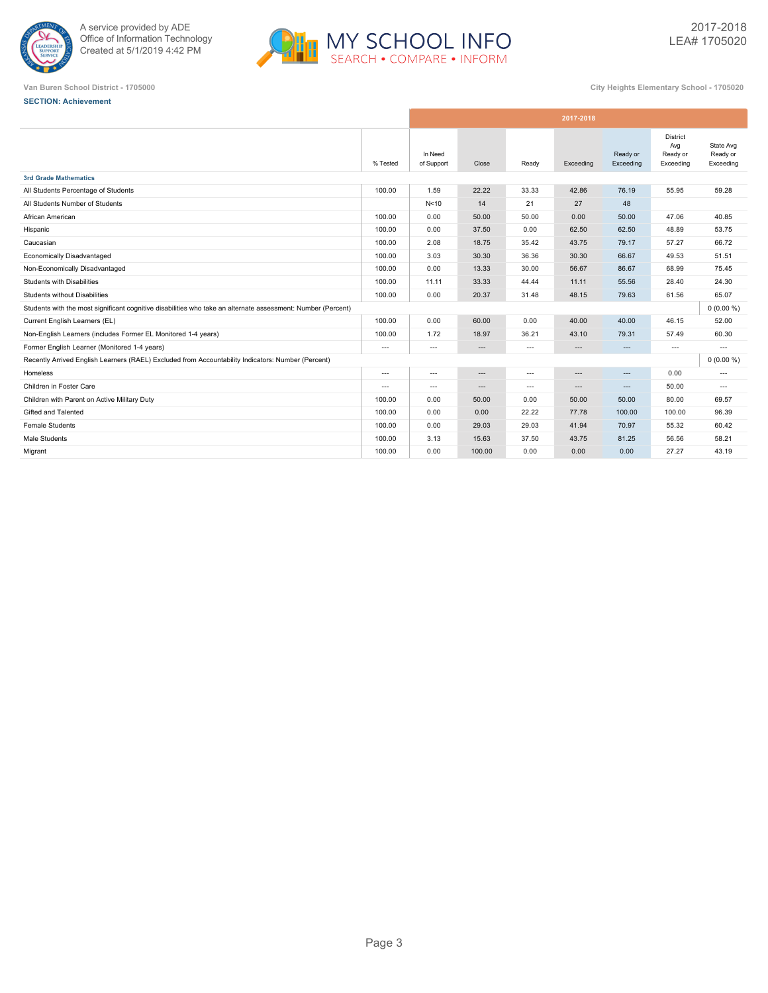



### **SECTIO**

| <b>SECTION: Achievement</b>                                                                                  |               |                          |          |                          |           |                       |                                          |                                    |
|--------------------------------------------------------------------------------------------------------------|---------------|--------------------------|----------|--------------------------|-----------|-----------------------|------------------------------------------|------------------------------------|
|                                                                                                              |               |                          |          |                          | 2017-2018 |                       |                                          |                                    |
|                                                                                                              | % Tested      | In Need<br>of Support    | Close    | Ready                    | Exceeding | Ready or<br>Exceeding | District<br>Avg<br>Ready or<br>Exceeding | State Avg<br>Ready or<br>Exceeding |
| <b>3rd Grade Mathematics</b>                                                                                 |               |                          |          |                          |           |                       |                                          |                                    |
| All Students Percentage of Students                                                                          | 100.00        | 1.59                     | 22.22    | 33.33                    | 42.86     | 76.19                 | 55.95                                    | 59.28                              |
| All Students Number of Students                                                                              |               | N <sub>10</sub>          | 14       | 21                       | 27        | 48                    |                                          |                                    |
| African American                                                                                             | 100.00        | 0.00                     | 50.00    | 50.00                    | 0.00      | 50.00                 | 47.06                                    | 40.85                              |
| Hispanic                                                                                                     | 100.00        | 0.00                     | 37.50    | 0.00                     | 62.50     | 62.50                 | 48.89                                    | 53.75                              |
| Caucasian                                                                                                    | 100.00        | 2.08                     | 18.75    | 35.42                    | 43.75     | 79.17                 | 57.27                                    | 66.72                              |
| Economically Disadvantaged                                                                                   | 100.00        | 3.03                     | 30.30    | 36.36                    | 30.30     | 66.67                 | 49.53                                    | 51.51                              |
| Non-Economically Disadvantaged                                                                               | 100.00        | 0.00                     | 13.33    | 30.00                    | 56.67     | 86.67                 | 68.99                                    | 75.45                              |
| Students with Disabilities                                                                                   | 100.00        | 11.11                    | 33.33    | 44.44                    | 11.11     | 55.56                 | 28.40                                    | 24.30                              |
| <b>Students without Disabilities</b>                                                                         | 100.00        | 0.00                     | 20.37    | 31.48                    | 48.15     | 79.63                 | 61.56                                    | 65.07                              |
| Students with the most significant cognitive disabilities who take an alternate assessment: Number (Percent) |               |                          |          |                          |           |                       |                                          | $0(0.00\%)$                        |
| Current English Learners (EL)                                                                                | 100.00        | 0.00                     | 60.00    | 0.00                     | 40.00     | 40.00                 | 46.15                                    | 52.00                              |
| Non-English Learners (includes Former EL Monitored 1-4 years)                                                | 100.00        | 1.72                     | 18.97    | 36.21                    | 43.10     | 79.31                 | 57.49                                    | 60.30                              |
| Former English Learner (Monitored 1-4 years)                                                                 | $\sim$ $\sim$ | $\hspace{0.05cm} \ldots$ | $\cdots$ | $\hspace{0.05cm} \ldots$ | $\cdots$  | $\cdots$              | $\cdots$                                 | ---                                |
| Recently Arrived English Learners (RAEL) Excluded from Accountability Indicators: Number (Percent)           |               |                          |          |                          |           |                       |                                          | $0(0.00\%)$                        |
| Homeless                                                                                                     | $\sim$ $\sim$ | $\hspace{0.05cm} \ldots$ | $\cdots$ | $\hspace{0.05cm} \ldots$ | $\cdots$  | $\sim$ $\sim$         | 0.00                                     | $---$                              |
| Children in Foster Care                                                                                      | $---$         | $\hspace{0.05cm} \ldots$ | $\cdots$ | $\hspace{0.05cm} \ldots$ | $\cdots$  | $\cdots$              | 50.00                                    | $---$                              |
| Children with Parent on Active Military Duty                                                                 | 100.00        | 0.00                     | 50.00    | 0.00                     | 50.00     | 50.00                 | 80.00                                    | 69.57                              |
| Gifted and Talented                                                                                          | 100.00        | 0.00                     | 0.00     | 22.22                    | 77.78     | 100.00                | 100.00                                   | 96.39                              |
| <b>Female Students</b>                                                                                       | 100.00        | 0.00                     | 29.03    | 29.03                    | 41.94     | 70.97                 | 55.32                                    | 60.42                              |
| Male Students                                                                                                | 100.00        | 3.13                     | 15.63    | 37.50                    | 43.75     | 81.25                 | 56.56                                    | 58.21                              |

Migrant 100.00 0.00 100.00 0.00 0.00 0.00 27.27 43.19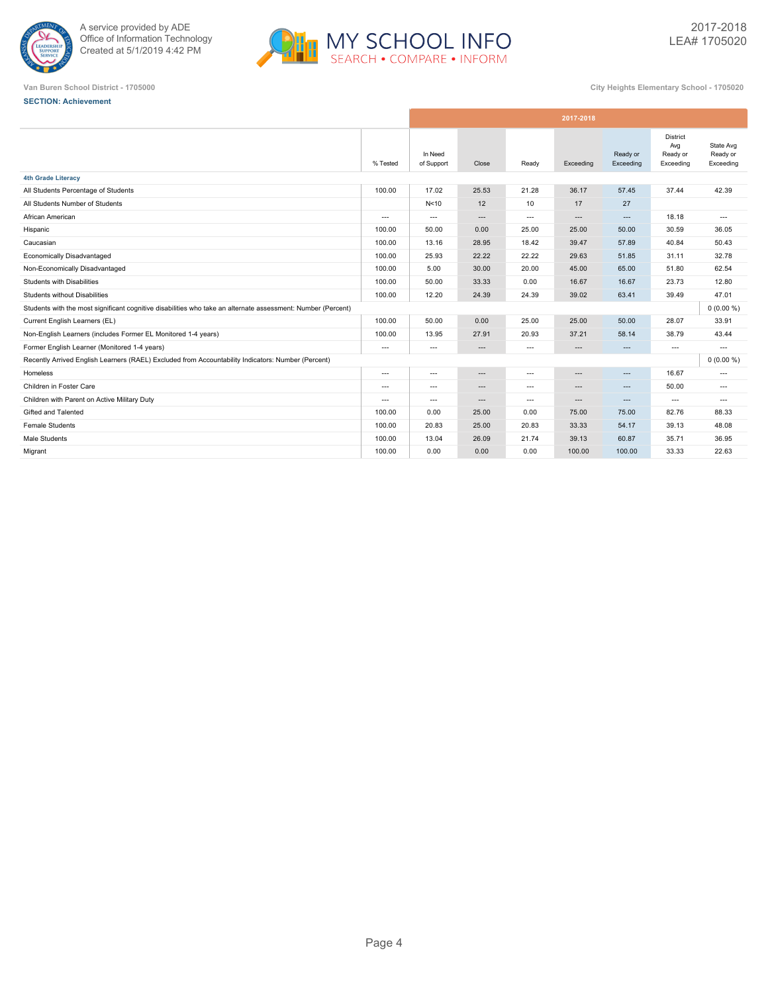



|  | City Holebto Elementon: Cobool |  |
|--|--------------------------------|--|

|                                                                                                              |          |                          |                   |       | 2017-2018                |                          |                                          |                                    |
|--------------------------------------------------------------------------------------------------------------|----------|--------------------------|-------------------|-------|--------------------------|--------------------------|------------------------------------------|------------------------------------|
|                                                                                                              | % Tested | In Need<br>of Support    | Close             | Ready | Exceeding                | Ready or<br>Exceeding    | District<br>Avg<br>Ready or<br>Exceeding | State Avg<br>Ready or<br>Exceeding |
| <b>4th Grade Literacy</b>                                                                                    |          |                          |                   |       |                          |                          |                                          |                                    |
| All Students Percentage of Students                                                                          | 100.00   | 17.02                    | 25.53             | 21.28 | 36.17                    | 57.45                    | 37.44                                    | 42.39                              |
| All Students Number of Students                                                                              |          | N <sub>10</sub>          | 12                | 10    | 17                       | 27                       |                                          |                                    |
| African American                                                                                             | ---      | $---$                    | $\cdots$          | $---$ | $\cdots$                 | $\cdots$                 | 18.18                                    | ---                                |
| Hispanic                                                                                                     | 100.00   | 50.00                    | 0.00              | 25.00 | 25.00                    | 50.00                    | 30.59                                    | 36.05                              |
| Caucasian                                                                                                    | 100.00   | 13.16                    | 28.95             | 18.42 | 39.47                    | 57.89                    | 40.84                                    | 50.43                              |
| Economically Disadvantaged                                                                                   | 100.00   | 25.93                    | 22.22             | 22.22 | 29.63                    | 51.85                    | 31.11                                    | 32.78                              |
| Non-Economically Disadvantaged                                                                               | 100.00   | 5.00                     | 30.00             | 20.00 | 45.00                    | 65.00                    | 51.80                                    | 62.54                              |
| Students with Disabilities                                                                                   | 100.00   | 50.00                    | 33.33             | 0.00  | 16.67                    | 16.67                    | 23.73                                    | 12.80                              |
| <b>Students without Disabilities</b>                                                                         | 100.00   | 12.20                    | 24.39             | 24.39 | 39.02                    | 63.41                    | 39.49                                    | 47.01                              |
| Students with the most significant cognitive disabilities who take an alternate assessment: Number (Percent) |          |                          |                   |       |                          |                          |                                          | $0(0.00\%)$                        |
| Current English Learners (EL)                                                                                | 100.00   | 50.00                    | 0.00              | 25.00 | 25.00                    | 50.00                    | 28.07                                    | 33.91                              |
| Non-English Learners (includes Former EL Monitored 1-4 years)                                                | 100.00   | 13.95                    | 27.91             | 20.93 | 37.21                    | 58.14                    | 38.79                                    | 43.44                              |
| Former English Learner (Monitored 1-4 years)                                                                 | ---      | $\hspace{0.05cm} \ldots$ | $\qquad \qquad -$ | $---$ | $\cdots$                 | $\cdots$                 | $\overline{\phantom{a}}$                 | ---                                |
| Recently Arrived English Learners (RAEL) Excluded from Accountability Indicators: Number (Percent)           |          |                          |                   |       |                          |                          |                                          | $0(0.00\%)$                        |
| Homeless                                                                                                     | ---      | $---$                    | ---               | $---$ | $\overline{\phantom{a}}$ | $\overline{\phantom{a}}$ | 16.67                                    | ---                                |
| Children in Foster Care                                                                                      | $---$    | $---$                    | $---$             | $---$ | $---$                    | $\cdots$                 | 50.00                                    | $---$                              |
| Children with Parent on Active Military Duty                                                                 | $---$    | $---$                    | $---$             | $---$ | $---$                    | $---$                    | $---$                                    | $---$                              |
| Gifted and Talented                                                                                          | 100.00   | 0.00                     | 25.00             | 0.00  | 75.00                    | 75.00                    | 82.76                                    | 88.33                              |
| <b>Female Students</b>                                                                                       | 100.00   | 20.83                    | 25.00             | 20.83 | 33.33                    | 54.17                    | 39.13                                    | 48.08                              |
| Male Students                                                                                                | 100.00   | 13.04                    | 26.09             | 21.74 | 39.13                    | 60.87                    | 35.71                                    | 36.95                              |
| Migrant                                                                                                      | 100.00   | 0.00                     | 0.00              | 0.00  | 100.00                   | 100.00                   | 33.33                                    | 22.63                              |
|                                                                                                              |          |                          |                   |       |                          |                          |                                          |                                    |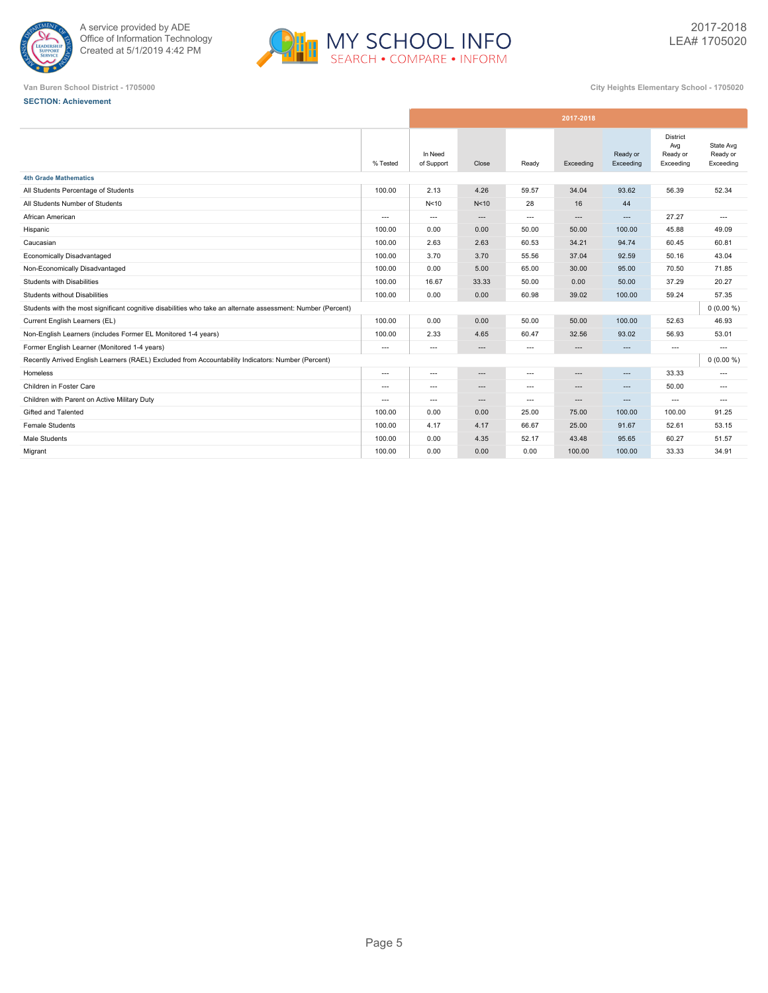



| Van Buren School District - 1705000 | City Heights Elementary School - 1705020 |
|-------------------------------------|------------------------------------------|
|                                     |                                          |

|                                                                                                              |          |                       |                          |       | 2017-2018 |                               |                                          |                                    |
|--------------------------------------------------------------------------------------------------------------|----------|-----------------------|--------------------------|-------|-----------|-------------------------------|------------------------------------------|------------------------------------|
|                                                                                                              | % Tested | In Need<br>of Support | Close                    | Ready | Exceeding | Ready or<br>Exceeding         | District<br>Avg<br>Ready or<br>Exceeding | State Avg<br>Ready or<br>Exceeding |
| <b>4th Grade Mathematics</b>                                                                                 |          |                       |                          |       |           |                               |                                          |                                    |
| All Students Percentage of Students                                                                          | 100.00   | 2.13                  | 4.26                     | 59.57 | 34.04     | 93.62                         | 56.39                                    | 52.34                              |
| All Students Number of Students                                                                              |          | N <sub>10</sub>       | N <sub>10</sub>          | 28    | 16        | 44                            |                                          |                                    |
| African American                                                                                             | $---$    | ---                   | $\overline{\phantom{a}}$ | $---$ | $---$     | $---$                         | 27.27                                    | $---$                              |
| Hispanic                                                                                                     | 100.00   | 0.00                  | 0.00                     | 50.00 | 50.00     | 100.00                        | 45.88                                    | 49.09                              |
| Caucasian                                                                                                    | 100.00   | 2.63                  | 2.63                     | 60.53 | 34.21     | 94.74                         | 60.45                                    | 60.81                              |
| Economically Disadvantaged                                                                                   | 100.00   | 3.70                  | 3.70                     | 55.56 | 37.04     | 92.59                         | 50.16                                    | 43.04                              |
| Non-Economically Disadvantaged                                                                               | 100.00   | 0.00                  | 5.00                     | 65.00 | 30.00     | 95.00                         | 70.50                                    | 71.85                              |
| <b>Students with Disabilities</b>                                                                            | 100.00   | 16.67                 | 33.33                    | 50.00 | 0.00      | 50.00                         | 37.29                                    | 20.27                              |
| Students without Disabilities                                                                                | 100.00   | 0.00                  | 0.00                     | 60.98 | 39.02     | 100.00                        | 59.24                                    | 57.35                              |
| Students with the most significant cognitive disabilities who take an alternate assessment: Number (Percent) |          |                       |                          |       |           |                               |                                          | $0(0.00\%)$                        |
| Current English Learners (EL)                                                                                | 100.00   | 0.00                  | 0.00                     | 50.00 | 50.00     | 100.00                        | 52.63                                    | 46.93                              |
| Non-English Learners (includes Former EL Monitored 1-4 years)                                                | 100.00   | 2.33                  | 4.65                     | 60.47 | 32.56     | 93.02                         | 56.93                                    | 53.01                              |
| Former English Learner (Monitored 1-4 years)                                                                 | $---$    | ---                   | $\cdots$                 | ---   | $\cdots$  | $\hspace{1.5cm} \textbf{---}$ | $---$                                    | $\cdots$                           |
| Recently Arrived English Learners (RAEL) Excluded from Accountability Indicators: Number (Percent)           |          |                       |                          |       |           |                               |                                          | $0(0.00\%)$                        |
| Homeless                                                                                                     | ---      | ---                   | $\overline{\phantom{a}}$ | $---$ | $---$     | $\cdots$                      | 33.33                                    | $\cdots$                           |
| Children in Foster Care                                                                                      | $---$    | $---$                 | $\qquad \qquad -$        | $---$ | $\cdots$  | $\cdots$                      | 50.00                                    | $---$                              |
| Children with Parent on Active Military Duty                                                                 | $---$    | $---$                 | $\qquad \qquad -$        | $---$ | $---$     | $\cdots$                      | $\overline{a}$                           | $\cdots$                           |
| Gifted and Talented                                                                                          | 100.00   | 0.00                  | 0.00                     | 25.00 | 75.00     | 100.00                        | 100.00                                   | 91.25                              |
| <b>Female Students</b>                                                                                       | 100.00   | 4.17                  | 4.17                     | 66.67 | 25.00     | 91.67                         | 52.61                                    | 53.15                              |
| Male Students                                                                                                | 100.00   | 0.00                  | 4.35                     | 52.17 | 43.48     | 95.65                         | 60.27                                    | 51.57                              |
| Migrant                                                                                                      | 100.00   | 0.00                  | 0.00                     | 0.00  | 100.00    | 100.00                        | 33.33                                    | 34.91                              |
|                                                                                                              |          |                       |                          |       |           |                               |                                          |                                    |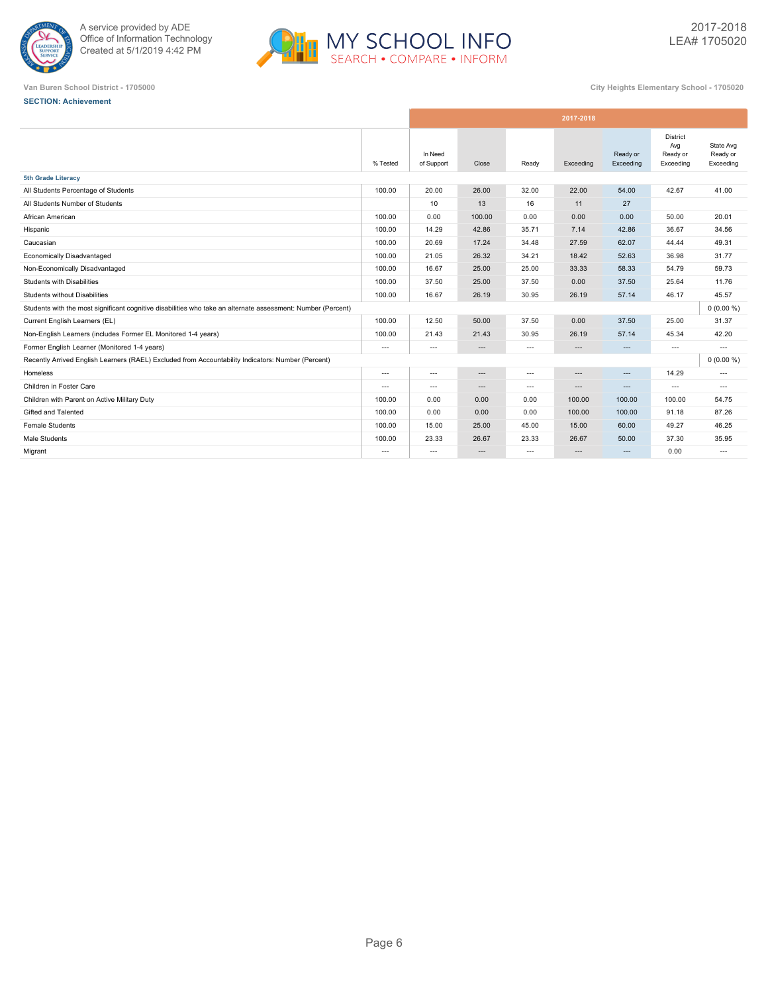



|                                                                                                              |                          |                          |                          |       | 2017-2018 |                       |                                          |                                    |
|--------------------------------------------------------------------------------------------------------------|--------------------------|--------------------------|--------------------------|-------|-----------|-----------------------|------------------------------------------|------------------------------------|
|                                                                                                              | % Tested                 | In Need<br>of Support    | Close                    | Ready | Exceeding | Ready or<br>Exceeding | District<br>Avg<br>Ready or<br>Exceeding | State Avg<br>Ready or<br>Exceeding |
| <b>5th Grade Literacy</b>                                                                                    |                          |                          |                          |       |           |                       |                                          |                                    |
| All Students Percentage of Students                                                                          | 100.00                   | 20.00                    | 26.00                    | 32.00 | 22.00     | 54.00                 | 42.67                                    | 41.00                              |
| All Students Number of Students                                                                              |                          | 10                       | 13                       | 16    | 11        | 27                    |                                          |                                    |
| African American                                                                                             | 100.00                   | 0.00                     | 100.00                   | 0.00  | 0.00      | 0.00                  | 50.00                                    | 20.01                              |
| Hispanic                                                                                                     | 100.00                   | 14.29                    | 42.86                    | 35.71 | 7.14      | 42.86                 | 36.67                                    | 34.56                              |
| Caucasian                                                                                                    | 100.00                   | 20.69                    | 17.24                    | 34.48 | 27.59     | 62.07                 | 44.44                                    | 49.31                              |
| Economically Disadvantaged                                                                                   | 100.00                   | 21.05                    | 26.32                    | 34.21 | 18.42     | 52.63                 | 36.98                                    | 31.77                              |
| Non-Economically Disadvantaged                                                                               | 100.00                   | 16.67                    | 25.00                    | 25.00 | 33.33     | 58.33                 | 54.79                                    | 59.73                              |
| Students with Disabilities                                                                                   | 100.00                   | 37.50                    | 25.00                    | 37.50 | 0.00      | 37.50                 | 25.64                                    | 11.76                              |
| <b>Students without Disabilities</b>                                                                         | 100.00                   | 16.67                    | 26.19                    | 30.95 | 26.19     | 57.14                 | 46.17                                    | 45.57                              |
| Students with the most significant cognitive disabilities who take an alternate assessment: Number (Percent) |                          |                          |                          |       |           |                       |                                          | $0(0.00\%)$                        |
| Current English Learners (EL)                                                                                | 100.00                   | 12.50                    | 50.00                    | 37.50 | 0.00      | 37.50                 | 25.00                                    | 31.37                              |
| Non-English Learners (includes Former EL Monitored 1-4 years)                                                | 100.00                   | 21.43                    | 21.43                    | 30.95 | 26.19     | 57.14                 | 45.34                                    | 42.20                              |
| Former English Learner (Monitored 1-4 years)                                                                 | $---$                    | $\cdots$                 | $\cdots$                 | $---$ | $\cdots$  | $---$                 | $---$                                    | $---$                              |
| Recently Arrived English Learners (RAEL) Excluded from Accountability Indicators: Number (Percent)           |                          |                          |                          |       |           |                       |                                          | $0(0.00\%)$                        |
| Homeless                                                                                                     | $\hspace{0.05cm} \ldots$ | $\hspace{0.05cm} \ldots$ | $\hspace{0.05cm} \ldots$ | $---$ | $\cdots$  | $- - -$               | 14.29                                    | $- - -$                            |
| Children in Foster Care                                                                                      | $---$                    | $\overline{\phantom{a}}$ | $---$                    | $---$ | $---$     | $\cdots$              | $\overline{a}$                           | $\cdots$                           |
| Children with Parent on Active Military Duty                                                                 | 100.00                   | 0.00                     | 0.00                     | 0.00  | 100.00    | 100.00                | 100.00                                   | 54.75                              |
| Gifted and Talented                                                                                          | 100.00                   | 0.00                     | 0.00                     | 0.00  | 100.00    | 100.00                | 91.18                                    | 87.26                              |
| <b>Female Students</b>                                                                                       | 100.00                   | 15.00                    | 25.00                    | 45.00 | 15.00     | 60.00                 | 49.27                                    | 46.25                              |
| Male Students                                                                                                | 100.00                   | 23.33                    | 26.67                    | 23.33 | 26.67     | 50.00                 | 37.30                                    | 35.95                              |
| Migrant                                                                                                      | $---$                    | $---$                    | $\cdots$                 | $---$ | $\cdots$  | $---$                 | 0.00                                     | $---$                              |
|                                                                                                              |                          |                          |                          |       |           |                       |                                          |                                    |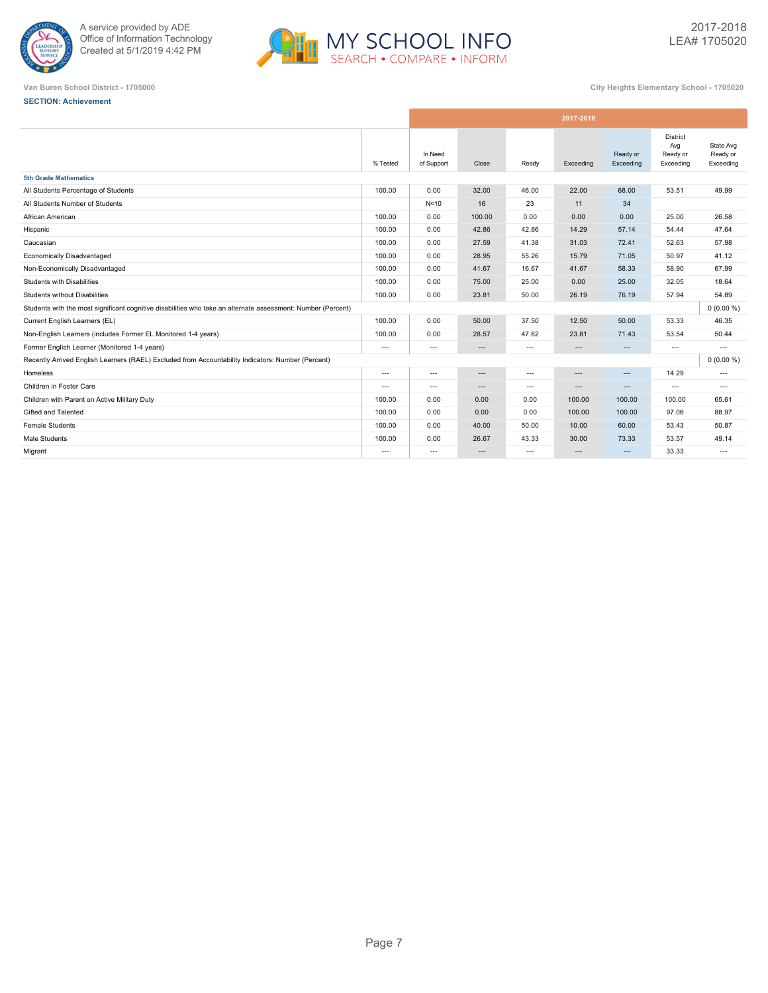



|                                                                                                              |                          |                          |                               |       | 2017-2018 |                       |                                                 |                                    |
|--------------------------------------------------------------------------------------------------------------|--------------------------|--------------------------|-------------------------------|-------|-----------|-----------------------|-------------------------------------------------|------------------------------------|
|                                                                                                              | % Tested                 | In Need<br>of Support    | Close                         | Ready | Exceeding | Ready or<br>Exceeding | <b>District</b><br>Avg<br>Ready or<br>Exceeding | State Avg<br>Ready or<br>Exceeding |
| <b>5th Grade Mathematics</b>                                                                                 |                          |                          |                               |       |           |                       |                                                 |                                    |
| All Students Percentage of Students                                                                          | 100.00                   | 0.00                     | 32.00                         | 46.00 | 22.00     | 68.00                 | 53.51                                           | 49.99                              |
| All Students Number of Students                                                                              |                          | N <sub>10</sub>          | 16                            | 23    | 11        | 34                    |                                                 |                                    |
| African American                                                                                             | 100.00                   | 0.00                     | 100.00                        | 0.00  | 0.00      | 0.00                  | 25.00                                           | 26.58                              |
| Hispanic                                                                                                     | 100.00                   | 0.00                     | 42.86                         | 42.86 | 14.29     | 57.14                 | 54.44                                           | 47.64                              |
| Caucasian                                                                                                    | 100.00                   | 0.00                     | 27.59                         | 41.38 | 31.03     | 72.41                 | 52.63                                           | 57.98                              |
| Economically Disadvantaged                                                                                   | 100.00                   | 0.00                     | 28.95                         | 55.26 | 15.79     | 71.05                 | 50.97                                           | 41.12                              |
| Non-Economically Disadvantaged                                                                               | 100.00                   | 0.00                     | 41.67                         | 16.67 | 41.67     | 58.33                 | 58.90                                           | 67.99                              |
| Students with Disabilities                                                                                   | 100.00                   | 0.00                     | 75.00                         | 25.00 | 0.00      | 25.00                 | 32.05                                           | 18.64                              |
| <b>Students without Disabilities</b>                                                                         | 100.00                   | 0.00                     | 23.81                         | 50.00 | 26.19     | 76.19                 | 57.94                                           | 54.89                              |
| Students with the most significant cognitive disabilities who take an alternate assessment: Number (Percent) |                          |                          |                               |       |           |                       |                                                 | $0(0.00\%)$                        |
| Current English Learners (EL)                                                                                | 100.00                   | 0.00                     | 50.00                         | 37.50 | 12.50     | 50.00                 | 53.33                                           | 46.35                              |
| Non-English Learners (includes Former EL Monitored 1-4 years)                                                | 100.00                   | 0.00                     | 28.57                         | 47.62 | 23.81     | 71.43                 | 53.54                                           | 50.44                              |
| Former English Learner (Monitored 1-4 years)                                                                 | $\hspace{0.05cm} \ldots$ | $\hspace{0.05cm} \ldots$ | $\cdots$                      | $---$ | $\cdots$  | $---$                 | $\overline{\phantom{a}}$                        | ---                                |
| Recently Arrived English Learners (RAEL) Excluded from Accountability Indicators: Number (Percent)           |                          |                          |                               |       |           |                       |                                                 | $0(0.00\%)$                        |
| Homeless                                                                                                     | $---$                    | $---$                    | $---$                         | $---$ | $---$     | $---$                 | 14.29                                           | $- - -$                            |
| Children in Foster Care                                                                                      | $---$                    | $\overline{\phantom{a}}$ | $\hspace{1.5cm} \textbf{---}$ | $---$ | $---$     | $\cdots$              | $---$                                           | $\cdots$                           |
| Children with Parent on Active Military Duty                                                                 | 100.00                   | 0.00                     | 0.00                          | 0.00  | 100.00    | 100.00                | 100.00                                          | 65.61                              |
| Gifted and Talented                                                                                          | 100.00                   | 0.00                     | 0.00                          | 0.00  | 100.00    | 100.00                | 97.06                                           | 88.97                              |
| <b>Female Students</b>                                                                                       | 100.00                   | 0.00                     | 40.00                         | 50.00 | 10.00     | 60.00                 | 53.43                                           | 50.87                              |
| <b>Male Students</b>                                                                                         | 100.00                   | 0.00                     | 26.67                         | 43.33 | 30.00     | 73.33                 | 53.57                                           | 49.14                              |
| Migrant                                                                                                      | $---$                    | $---$                    | $\cdots$                      | $---$ | $\cdots$  | $---$                 | 33.33                                           | $---$                              |
|                                                                                                              |                          |                          |                               |       |           |                       |                                                 |                                    |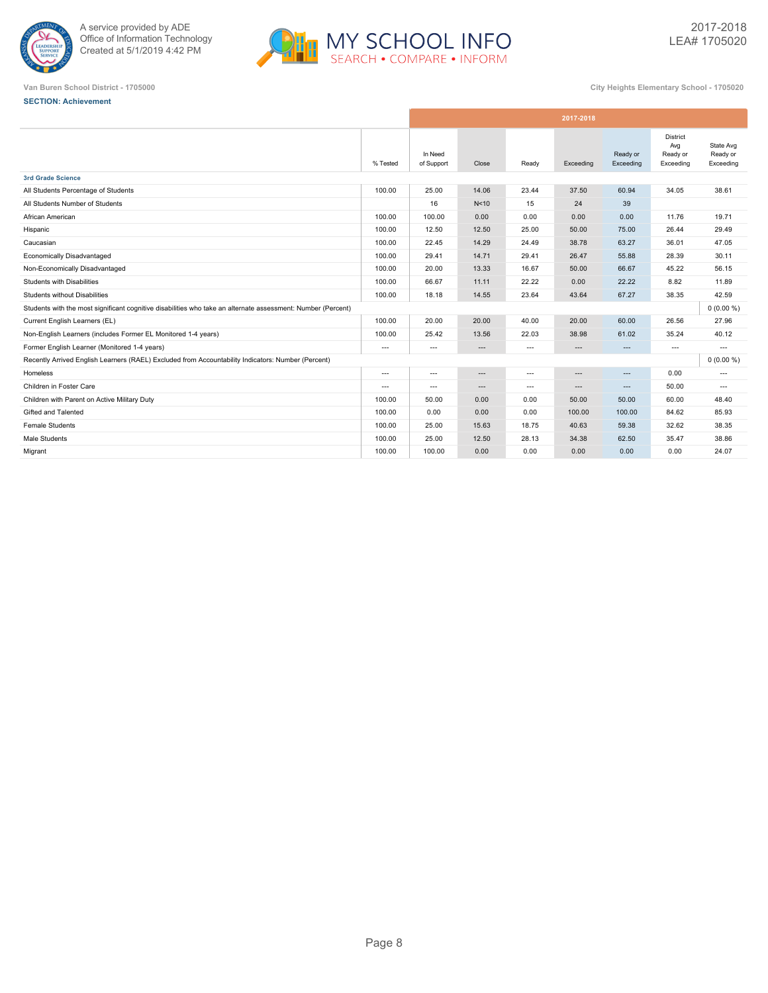



### SECTIO

| <b>SECTION: Achievement</b>                                                                                  |                     |                        |                          |                          |                          |                       |                                                 |                                    |
|--------------------------------------------------------------------------------------------------------------|---------------------|------------------------|--------------------------|--------------------------|--------------------------|-----------------------|-------------------------------------------------|------------------------------------|
|                                                                                                              |                     |                        |                          |                          | 2017-2018                |                       |                                                 |                                    |
|                                                                                                              | % Tested            | In Need<br>of Support  | Close                    | Ready                    | Exceeding                | Ready or<br>Exceeding | <b>District</b><br>Avg<br>Ready or<br>Exceeding | State Avg<br>Ready or<br>Exceeding |
| 3rd Grade Science                                                                                            |                     |                        |                          |                          |                          |                       |                                                 |                                    |
| All Students Percentage of Students                                                                          | 100.00              | 25.00                  | 14.06                    | 23.44                    | 37.50                    | 60.94                 | 34.05                                           | 38.61                              |
| All Students Number of Students                                                                              |                     | 16                     | N <sub>10</sub>          | 15                       | 24                       | 39                    |                                                 |                                    |
| African American                                                                                             | 100.00              | 100.00                 | 0.00                     | 0.00                     | 0.00                     | 0.00                  | 11.76                                           | 19.71                              |
| Hispanic                                                                                                     | 100.00              | 12.50                  | 12.50                    | 25.00                    | 50.00                    | 75.00                 | 26.44                                           | 29.49                              |
| Caucasian                                                                                                    | 100.00              | 22.45                  | 14.29                    | 24.49                    | 38.78                    | 63.27                 | 36.01                                           | 47.05                              |
| Economically Disadvantaged                                                                                   | 100.00              | 29.41                  | 14.71                    | 29.41                    | 26.47                    | 55.88                 | 28.39                                           | 30.11                              |
| Non-Economically Disadvantaged                                                                               | 100.00              | 20.00                  | 13.33                    | 16.67                    | 50.00                    | 66.67                 | 45.22                                           | 56.15                              |
| <b>Students with Disabilities</b>                                                                            | 100.00              | 66.67                  | 11.11                    | 22.22                    | 0.00                     | 22.22                 | 8.82                                            | 11.89                              |
| <b>Students without Disabilities</b>                                                                         | 100.00              | 18.18                  | 14.55                    | 23.64                    | 43.64                    | 67.27                 | 38.35                                           | 42.59                              |
| Students with the most significant cognitive disabilities who take an alternate assessment: Number (Percent) |                     |                        |                          |                          |                          |                       |                                                 | $0(0.00\%)$                        |
| Current English Learners (EL)                                                                                | 100.00              | 20.00                  | 20.00                    | 40.00                    | 20.00                    | 60.00                 | 26.56                                           | 27.96                              |
| Non-English Learners (includes Former EL Monitored 1-4 years)                                                | 100.00              | 25.42                  | 13.56                    | 22.03                    | 38.98                    | 61.02                 | 35.24                                           | 40.12                              |
| Former English Learner (Monitored 1-4 years)                                                                 | $\cdots$            | $\cdots$               | $\hspace{0.05cm} \ldots$ | $  -$                    | $---$                    | $\cdots$              | $\cdots$                                        | ---                                |
| Recently Arrived English Learners (RAEL) Excluded from Accountability Indicators: Number (Percent)           |                     |                        |                          |                          |                          |                       |                                                 | $0(0.00\%)$                        |
| Homeless                                                                                                     | $\qquad \qquad - -$ | $\qquad \qquad \cdots$ | $\hspace{0.05cm} \ldots$ | $\hspace{0.05cm} \ldots$ | $\hspace{0.05cm} \ldots$ | $\cdots$              | 0.00                                            | $\hspace{0.05cm} \ldots$           |
| Children in Foster Care                                                                                      | ---                 | $---$                  | $\cdots$                 | $\hspace{0.05cm} \ldots$ | $\hspace{0.05cm} \ldots$ | $\cdots$              | 50.00                                           | $---$                              |
| Children with Parent on Active Military Duty                                                                 | 100.00              | 50.00                  | 0.00                     | 0.00                     | 50.00                    | 50.00                 | 60.00                                           | 48.40                              |
| Gifted and Talented                                                                                          | 100.00              | 0.00                   | 0.00                     | 0.00                     | 100.00                   | 100.00                | 84.62                                           | 85.93                              |
| <b>Female Students</b>                                                                                       | 100.00              | 25.00                  | 15.63                    | 18.75                    | 40.63                    | 59.38                 | 32.62                                           | 38.35                              |
|                                                                                                              |                     |                        |                          |                          |                          |                       |                                                 |                                    |

Male Students 100.00 25.00 12.50 28.13 34.38 62.50 35.47 38.86 Migrant 100.00 100.00 0.00 0.00 0.00 0.00 0.00 24.07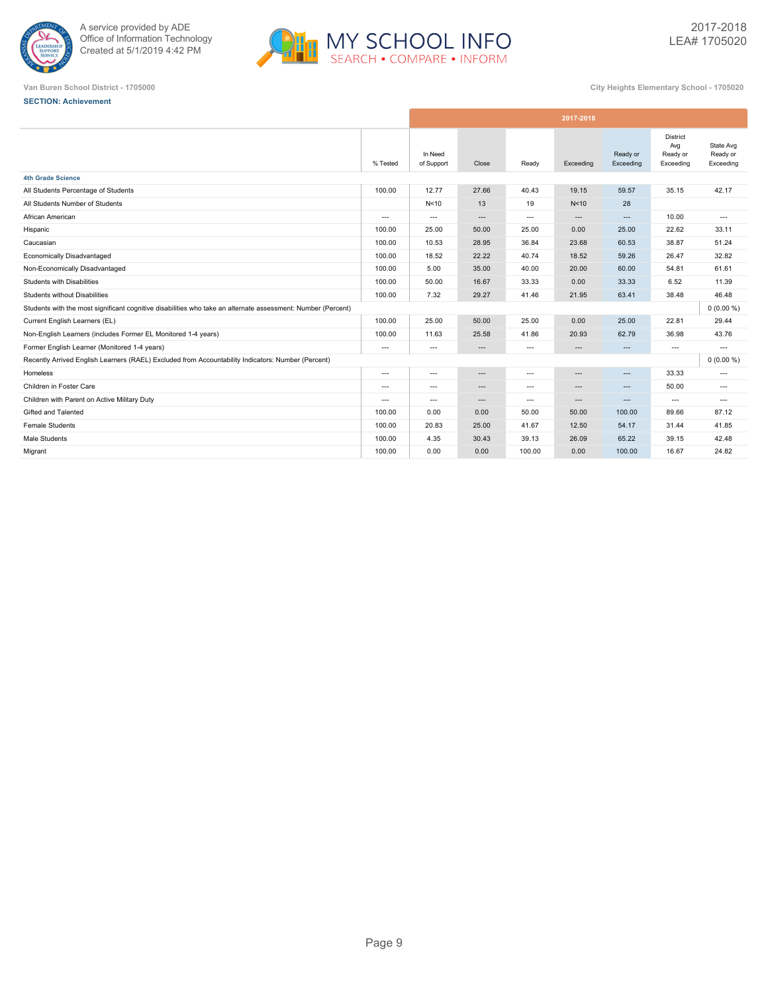



### **Van Buren School District - 1705**

## **SECTION: Achievement**

| Van Buren School District - 1705000 |          |                       |          |       |                      |                                        | City Heights Elementary School - 1705020 |                                    |
|-------------------------------------|----------|-----------------------|----------|-------|----------------------|----------------------------------------|------------------------------------------|------------------------------------|
| <b>SECTION: Achievement</b>         |          |                       |          |       |                      |                                        |                                          |                                    |
|                                     |          |                       |          |       | 2017-2018            |                                        |                                          |                                    |
|                                     | % Tested | In Need<br>of Support | Close    | Ready | Exceeding            | Ready or<br>Exceeding                  | District<br>Avg<br>Ready or<br>Exceeding | State Avg<br>Ready or<br>Exceeding |
| <b>4th Grade Science</b>            |          |                       |          |       |                      |                                        |                                          |                                    |
| All Students Percentage of Students | 100.00   | 12.77                 | 27.66    | 40.43 | 19.15                | 59.57                                  | 35.15                                    | 42.17                              |
| All Students Number of Students     |          | N<10                  | 13       | 19    | N<10                 | 28                                     |                                          |                                    |
| African American                    | $---$    | $---$                 | $\cdots$ | $---$ | $\cdots$             | $\hspace{0.1em} \ldots \hspace{0.1em}$ | 10.00                                    | $\qquad \qquad \cdots$             |
| Hispanic                            | 100.00   | 25.00                 | 50.00    | 25.00 | 0.00                 | 25.00                                  | 22.62                                    | 33.11                              |
| Caucasian                           | 100.00   | 10.53                 | 28.95    | 36.84 | 23.68                | 60.53                                  | 38.87                                    | 51.24                              |
|                                     | $\cdots$ | $\sim$ $\sim$ $\sim$  | $\cdots$ | $  -$ | $\sim$ $\sim$ $\sim$ | $  -$                                  | $- - -$                                  | ----                               |

| Economically Disadvantaged                                                                                   | 100.00 | 18.52 | 22.22    | 40.74 | 18.52         | 59.26   | 26.47 | 32.82             |
|--------------------------------------------------------------------------------------------------------------|--------|-------|----------|-------|---------------|---------|-------|-------------------|
| Non-Economically Disadvantaged                                                                               | 100.00 | 5.00  | 35.00    | 40.00 | 20.00         | 60.00   | 54.81 | 61.61             |
| Students with Disabilities                                                                                   | 100.00 | 50.00 | 16.67    | 33.33 | 0.00          | 33.33   | 6.52  | 11.39             |
| <b>Students without Disabilities</b>                                                                         | 100.00 | 7.32  | 29.27    | 41.46 | 21.95         | 63.41   | 38.48 | 46.48             |
| Students with the most significant cognitive disabilities who take an alternate assessment: Number (Percent) |        |       |          |       |               |         |       | $0(0.00\%)$       |
| Current English Learners (EL)                                                                                | 100.00 | 25.00 | 50.00    | 25.00 | 0.00          | 25.00   | 22.81 | 29.44             |
| Non-English Learners (includes Former EL Monitored 1-4 years)                                                | 100.00 | 11.63 | 25.58    | 41.86 | 20.93         | 62.79   | 36.98 | 43.76             |
| Former English Learner (Monitored 1-4 years)                                                                 | $---$  | $---$ | $\cdots$ | $---$ | $\sim$ $\sim$ | $---$   | $---$ | $\qquad \qquad -$ |
|                                                                                                              |        |       |          |       |               |         |       |                   |
| Recently Arrived English Learners (RAEL) Excluded from Accountability Indicators: Number (Percent)           |        |       |          |       |               |         |       | $0(0.00\%)$       |
| Homeless                                                                                                     | $---$  | $---$ | $\cdots$ | $---$ | $---$         | $- - -$ | 33.33 | $\qquad \qquad -$ |
| Children in Foster Care                                                                                      | $---$  | $---$ | $\cdots$ | $---$ | $---$         | $- - -$ | 50.00 | $\qquad \qquad -$ |
| Children with Parent on Active Military Duty                                                                 | $---$  | $---$ | $\cdots$ | $---$ | $\sim$ $\sim$ | $- - -$ | $---$ | $\qquad \qquad -$ |
| Gifted and Talented                                                                                          | 100.00 | 0.00  | 0.00     | 50.00 | 50.00         | 100.00  | 89.66 | 87.12             |
| Female Students                                                                                              | 100.00 | 20.83 | 25.00    | 41.67 | 12.50         | 54.17   | 31.44 | 41.85             |
| Male Students                                                                                                | 100.00 | 4.35  | 30.43    | 39.13 | 26.09         | 65.22   | 39.15 | 42.48             |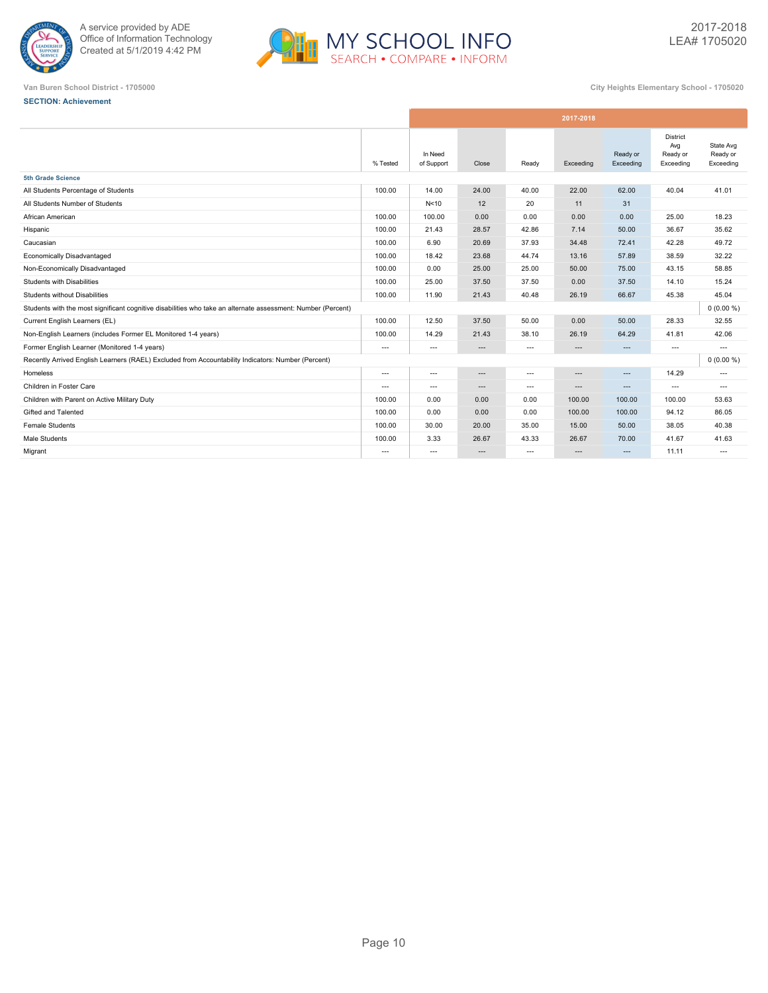

**5th Grade Science**



## **Van Buren School District - 1705000 City Heights Elementary School - 1705020**

| <b>JEY HUN. ACHIBYBINGHI</b>                                                                                 |                          |                          |                          |                        |                          |                               |                                          |                                    |
|--------------------------------------------------------------------------------------------------------------|--------------------------|--------------------------|--------------------------|------------------------|--------------------------|-------------------------------|------------------------------------------|------------------------------------|
|                                                                                                              |                          |                          |                          |                        | 2017-2018                |                               |                                          |                                    |
|                                                                                                              | % Tested                 | In Need<br>of Support    | Close                    | Ready                  | Exceeding                | Ready or<br>Exceeding         | District<br>Avg<br>Ready or<br>Exceeding | State Avg<br>Ready or<br>Exceeding |
| <b>5th Grade Science</b>                                                                                     |                          |                          |                          |                        |                          |                               |                                          |                                    |
| All Students Percentage of Students                                                                          | 100.00                   | 14.00                    | 24.00                    | 40.00                  | 22.00                    | 62.00                         | 40.04                                    | 41.01                              |
| All Students Number of Students                                                                              |                          | N <sub>10</sub>          | 12                       | 20                     | 11                       | 31                            |                                          |                                    |
| African American                                                                                             | 100.00                   | 100.00                   | 0.00                     | 0.00                   | 0.00                     | 0.00                          | 25.00                                    | 18.23                              |
| Hispanic                                                                                                     | 100.00                   | 21.43                    | 28.57                    | 42.86                  | 7.14                     | 50.00                         | 36.67                                    | 35.62                              |
| Caucasian                                                                                                    | 100.00                   | 6.90                     | 20.69                    | 37.93                  | 34.48                    | 72.41                         | 42.28                                    | 49.72                              |
| Economically Disadvantaged                                                                                   | 100.00                   | 18.42                    | 23.68                    | 44.74                  | 13.16                    | 57.89                         | 38.59                                    | 32.22                              |
| Non-Economically Disadvantaged                                                                               | 100.00                   | 0.00                     | 25.00                    | 25.00                  | 50.00                    | 75.00                         | 43.15                                    | 58.85                              |
| <b>Students with Disabilities</b>                                                                            | 100.00                   | 25.00                    | 37.50                    | 37.50                  | 0.00                     | 37.50                         | 14.10                                    | 15.24                              |
| <b>Students without Disabilities</b>                                                                         | 100.00                   | 11.90                    | 21.43                    | 40.48                  | 26.19                    | 66.67                         | 45.38                                    | 45.04                              |
| Students with the most significant cognitive disabilities who take an alternate assessment: Number (Percent) |                          |                          |                          |                        |                          |                               |                                          | $0(0.00\%)$                        |
| Current English Learners (EL)                                                                                | 100.00                   | 12.50                    | 37.50                    | 50.00                  | 0.00                     | 50.00                         | 28.33                                    | 32.55                              |
| Non-English Learners (includes Former EL Monitored 1-4 years)                                                | 100.00                   | 14.29                    | 21.43                    | 38.10                  | 26.19                    | 64.29                         | 41.81                                    | 42.06                              |
| Former English Learner (Monitored 1-4 years)                                                                 | $\qquad \qquad - -$      | $\hspace{0.05cm} \cdots$ | $\qquad \qquad - -$      | $\qquad \qquad \cdots$ | $\hspace{0.05cm} \cdots$ | $\hspace{1.5cm} \textbf{---}$ | $\hspace{0.05cm} \ldots$                 | ---                                |
| Recently Arrived English Learners (RAEL) Excluded from Accountability Indicators: Number (Percent)           |                          |                          |                          |                        |                          |                               |                                          | $0(0.00\%)$                        |
| Homeless                                                                                                     | $\sim$ $\sim$            | $---$                    | $\cdots$                 | $\cdots$               | $\cdots$                 | $\cdots$                      | 14.29                                    | $\cdots$                           |
| Children in Foster Care                                                                                      | $\hspace{0.05cm} \ldots$ | $\hspace{0.05cm} \cdots$ | $\hspace{0.05cm} \ldots$ | $\qquad \qquad \cdots$ | $\hspace{0.05cm} \cdots$ | $\hspace{1.5cm} \textbf{---}$ | $\hspace{0.05cm} \ldots$                 | $\cdots$                           |
| Children with Parent on Active Military Duty                                                                 | 100.00                   | 0.00                     | 0.00                     | 0.00                   | 100.00                   | 100.00                        | 100.00                                   | 53.63                              |
| Gifted and Talented                                                                                          | 100.00                   | 0.00                     | 0.00                     | 0.00                   | 100.00                   | 100.00                        | 94.12                                    | 86.05                              |
| <b>Female Students</b>                                                                                       | 100.00                   | 30.00                    | 20.00                    | 35.00                  | 15.00                    | 50.00                         | 38.05                                    | 40.38                              |
| Male Students                                                                                                | 100.00                   | 3.33                     | 26.67                    | 43.33                  | 26.67                    | 70.00                         | 41.67                                    | 41.63                              |
| Migrant                                                                                                      | $---$                    | $---$                    | $---$                    | $---$                  | $---$                    | $---$                         | 11.11                                    | $\cdots$                           |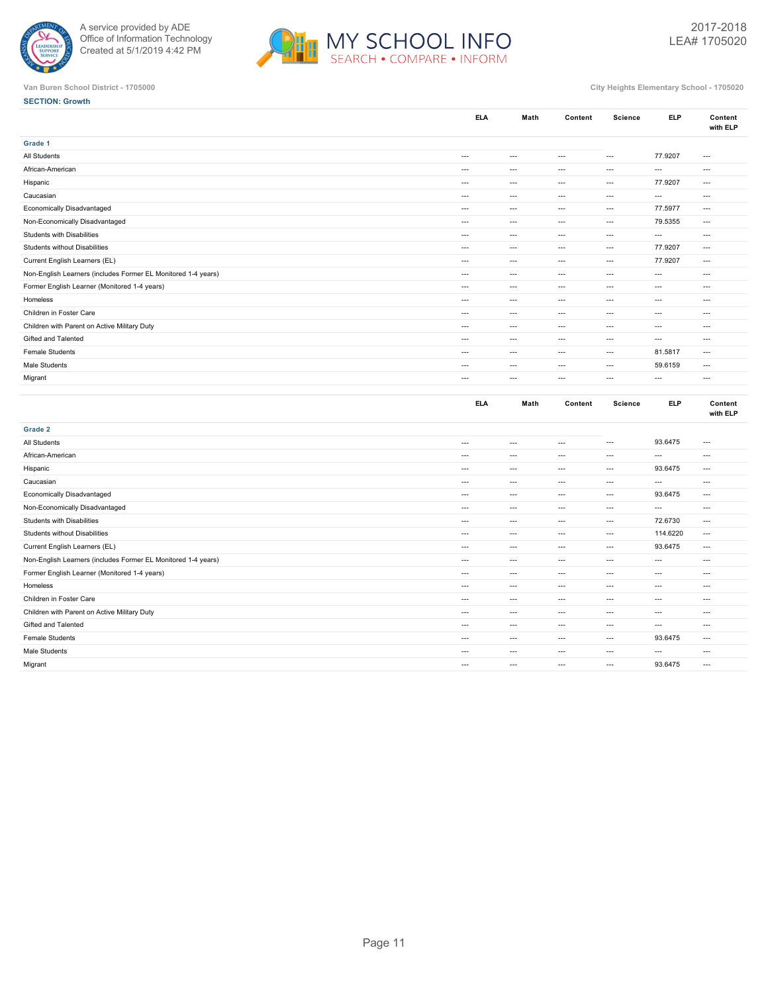

**SECTION: Growth**



|                                                               | <b>ELA</b>        | Math                     | Content                  | <b>Science</b>           | <b>ELP</b> | Content<br>with ELP  |
|---------------------------------------------------------------|-------------------|--------------------------|--------------------------|--------------------------|------------|----------------------|
| Grade 1                                                       |                   |                          |                          |                          |            |                      |
| All Students                                                  | $\cdots$          | $  -$                    | $\hspace{0.05cm} \ldots$ | $\sim$ $\sim$            | 77.9207    | $\cdots$             |
| African-American                                              | $\qquad \qquad -$ | $\hspace{0.05cm} \ldots$ | $\hspace{0.05cm} \ldots$ | $\cdots$                 | $\cdots$   | $\cdots$             |
| Hispanic                                                      | $\qquad \qquad -$ | $\hspace{0.05cm} \ldots$ | $\hspace{0.05cm} \ldots$ | $\sim$ $\sim$            | 77.9207    | $\cdots$             |
| Caucasian                                                     | $---$             | $\hspace{0.05cm} \ldots$ | $\hspace{0.05cm} \ldots$ | $\hspace{0.05cm} \ldots$ | $\cdots$   | $\cdots$             |
| Economically Disadvantaged                                    | $---$             | $\hspace{0.05cm} \ldots$ | $\hspace{0.05cm} \ldots$ | $\hspace{0.05cm} \ldots$ | 77.5977    | $\cdots$             |
| Non-Economically Disadvantaged                                | $---$             | $\hspace{0.05cm} \ldots$ | $\hspace{0.05cm} \ldots$ | $\sim$ $\sim$            | 79.5355    | $\cdots$             |
| Students with Disabilities                                    | $- - -$           | $---$                    | $---$                    | $---$                    | $---$      | $---$                |
| Students without Disabilities                                 | $- - -$           | $---$                    | $---$                    | $---$                    | 77.9207    | $---$                |
| Current English Learners (EL)                                 | $\cdots$          | $\sim$ $\sim$            | $\sim$ $\sim$            | $\sim$ $\sim$ $\sim$     | 77.9207    | $\cdots$             |
| Non-English Learners (includes Former EL Monitored 1-4 years) | $\cdots$          | $\sim$ $\sim$            | $\sim$                   | $\sim$ $\sim$            | $\cdots$   | $\cdots$             |
| Former English Learner (Monitored 1-4 years)                  | $\cdots$          | $\hspace{0.05cm} \ldots$ | $\hspace{0.05cm} \ldots$ | $\sim$ $\sim$ $\sim$     | $\cdots$   | $\cdots$             |
| Homeless                                                      | $---$             | $\sim$ $\sim$            | $\hspace{0.05cm} \ldots$ | $\hspace{0.05cm} \ldots$ | $\cdots$   | $\cdots$             |
| Children in Foster Care                                       | $- - -$           | $---$                    | $- - -$                  | $---$                    | $- - -$    | $---$                |
| Children with Parent on Active Military Duty                  | $---$             | $---$                    | $---$                    | $---$                    | $---$      | $\cdots$             |
| Gifted and Talented                                           | $---$             | $\hspace{0.05cm} \ldots$ | $\sim$ $\sim$            | $\hspace{0.05cm} \ldots$ | $\cdots$   | $\cdots$             |
| Female Students                                               | $---$             | $\sim$ $\sim$            | $\hspace{0.05cm} \ldots$ | $\sim$ $\sim$ $\sim$     | 81.5817    | $\cdots$             |
| Male Students                                                 | $---$             | $\hspace{0.05cm} \ldots$ | $\hspace{0.05cm} \ldots$ | $\sim$ $\sim$ $\sim$     | 59.6159    | $\cdots$             |
| Migrant                                                       | $---$             | $\cdots$                 | $\hspace{0.05cm} \ldots$ | $\hspace{0.05cm} \ldots$ | $\cdots$   | $\cdots$             |
|                                                               |                   |                          |                          |                          |            |                      |
|                                                               | <b>ELA</b>        | Math                     | Content                  | <b>Science</b>           | <b>ELP</b> | Content<br>with El D |

|                                                               |                   |                          |                          |                          |          | -----------              |
|---------------------------------------------------------------|-------------------|--------------------------|--------------------------|--------------------------|----------|--------------------------|
| Grade 2                                                       |                   |                          |                          |                          |          |                          |
| All Students                                                  | $---$             | $---$                    | $---$                    | $\hspace{0.05cm} \ldots$ | 93.6475  | $\hspace{0.05cm} \ldots$ |
| African-American                                              | $---$             | $---$                    | $---$                    | $\sim$ $\sim$            | $\cdots$ | $\hspace{0.05cm} \ldots$ |
| Hispanic                                                      | $---$             | $---$                    | $---$                    | $---$                    | 93.6475  | $---$                    |
| Caucasian                                                     | $\qquad \qquad -$ | $---$                    | $---$                    | $---$                    | $\cdots$ | $\cdots$                 |
| Economically Disadvantaged                                    | $---$             | $---$                    | $---$                    | $---$                    | 93.6475  | $---$                    |
| Non-Economically Disadvantaged                                | $---$             | $---$                    | $---$                    | $---$                    | $\cdots$ | $\hspace{0.05cm} \ldots$ |
| Students with Disabilities                                    | $---$             | $---$                    | $---$                    | $\hspace{0.05cm} \ldots$ | 72.6730  | $\hspace{0.05cm} \ldots$ |
| Students without Disabilities                                 | $---$             | $---$                    | $---$                    | $---$                    | 114.6220 | $\hspace{0.05cm} \ldots$ |
| Current English Learners (EL)                                 | $---$             | $---$                    | $  -$                    | $---$                    | 93.6475  | $---$                    |
| Non-English Learners (includes Former EL Monitored 1-4 years) | $---$             | $---$                    | $---$                    | $---$                    | $---$    | $---$                    |
| Former English Learner (Monitored 1-4 years)                  | $\cdots$          | $\hspace{0.05cm} \ldots$ | $\hspace{0.05cm} \ldots$ | $\hspace{0.05cm} \ldots$ | $\cdots$ | $\hspace{0.05cm} \ldots$ |
| Homeless                                                      | $---$             | $---$                    | $---$                    | $---$                    | $---$    | $\hspace{0.05cm} \ldots$ |
| Children in Foster Care                                       | $---$             | $---$                    | $---$                    | $---$                    | $---$    | $---$                    |
| Children with Parent on Active Military Duty                  | $---$             | $---$                    | $---$                    | $---$                    | $---$    | $---$                    |
| Gifted and Talented                                           | $\cdots$          | $\hspace{0.05cm} \ldots$ | $\hspace{0.05cm} \ldots$ | $\sim$ $\sim$            | $\cdots$ | $\hspace{0.05cm} \ldots$ |
| Female Students                                               | $---$             | $\hspace{0.05cm} \ldots$ | $\hspace{0.05cm} \ldots$ | $\hspace{0.05cm} \ldots$ | 93.6475  | $\hspace{0.05cm} \ldots$ |
| Male Students                                                 | ---               | $---$                    | $\cdots$                 | $\cdots$                 | $\cdots$ | $\cdots$                 |
| Migrant                                                       | $---$             | $---$                    | $---$                    | $---$                    | 93.6475  | $---$                    |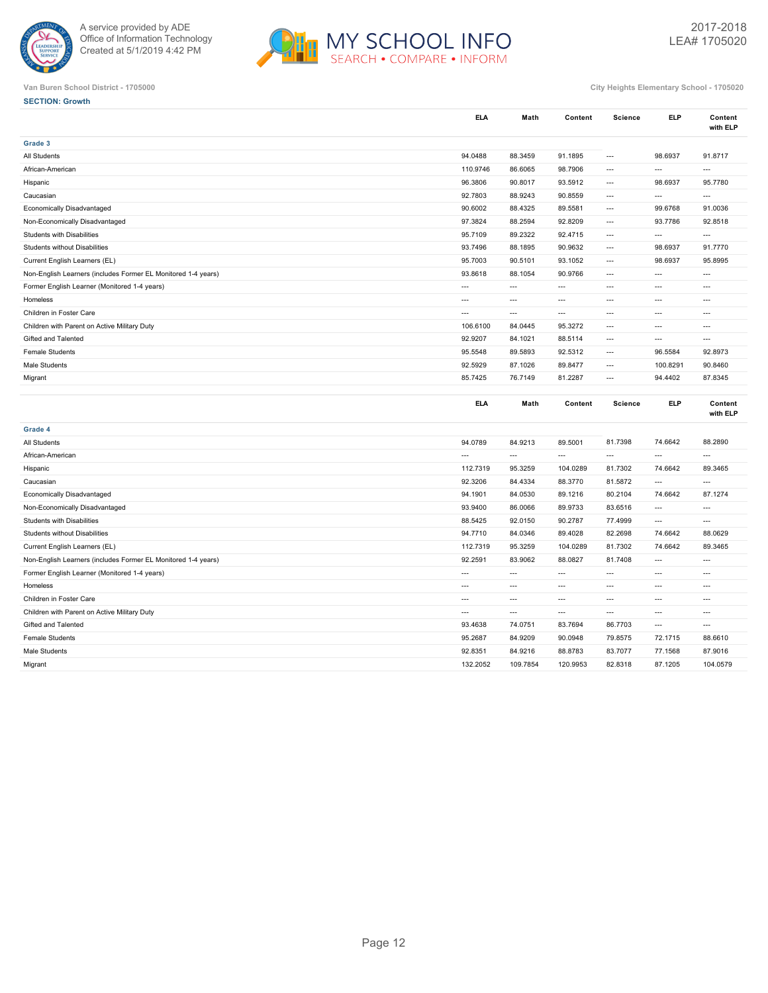

**SECTION: Growth**



**Van Buren School District - 1705000 City Heights Elementary School - 1705020**

|                                                               | <b>ELA</b>               | Math                     | Content                  | <b>Science</b>           | <b>ELP</b>               | Content<br>with ELP      |
|---------------------------------------------------------------|--------------------------|--------------------------|--------------------------|--------------------------|--------------------------|--------------------------|
| Grade 3                                                       |                          |                          |                          |                          |                          |                          |
| All Students                                                  | 94.0488                  | 88.3459                  | 91.1895                  | $\overline{a}$           | 98.6937                  | 91.8717                  |
| African-American                                              | 110.9746                 | 86.6065                  | 98.7906                  | $\overline{a}$           | ---                      | $\overline{a}$           |
| Hispanic                                                      | 96.3806                  | 90.8017                  | 93.5912                  | $\overline{\phantom{a}}$ | 98.6937                  | 95.7780                  |
| Caucasian                                                     | 92.7803                  | 88.9243                  | 90.8559                  | $\overline{\phantom{a}}$ | ---                      | $\overline{a}$           |
| Economically Disadvantaged                                    | 90.6002                  | 88.4325                  | 89.5581                  | $\overline{\phantom{a}}$ | 99.6768                  | 91.0036                  |
| Non-Economically Disadvantaged                                | 97.3824                  | 88.2594                  | 92.8209                  | $\overline{\phantom{a}}$ | 93.7786                  | 92.8518                  |
| <b>Students with Disabilities</b>                             | 95.7109                  | 89.2322                  | 92.4715                  | $\overline{\phantom{a}}$ | $---$                    | $\overline{\phantom{a}}$ |
| <b>Students without Disabilities</b>                          | 93.7496                  | 88.1895                  | 90.9632                  | $---$                    | 98.6937                  | 91.7770                  |
| Current English Learners (EL)                                 | 95.7003                  | 90.5101                  | 93.1052                  | $\overline{\phantom{a}}$ | 98.6937                  | 95.8995                  |
| Non-English Learners (includes Former EL Monitored 1-4 years) | 93.8618                  | 88.1054                  | 90.9766                  | ---                      | ---                      | ---                      |
| Former English Learner (Monitored 1-4 years)                  | $\overline{\phantom{a}}$ | $\overline{\phantom{a}}$ | ---                      | ---                      | ---                      | ---                      |
| Homeless                                                      | $\cdots$                 | $\overline{\phantom{a}}$ | ---                      | $\overline{\phantom{a}}$ | $---$                    | $\overline{\phantom{a}}$ |
| Children in Foster Care                                       | $\overline{\phantom{a}}$ | $\overline{\phantom{a}}$ | $\overline{a}$           | $\overline{\phantom{a}}$ | $\overline{a}$           | $\overline{\phantom{a}}$ |
| Children with Parent on Active Military Duty                  | 106.6100                 | 84.0445                  | 95.3272                  | $\overline{\phantom{a}}$ | $\overline{a}$           | $\overline{a}$           |
| Gifted and Talented                                           | 92.9207                  | 84.1021                  | 88.5114                  | $\sim$ $\sim$            | ---                      | $\cdots$                 |
| Female Students                                               | 95.5548                  | 89.5893                  | 92.5312                  | $\overline{\phantom{a}}$ | 96.5584                  | 92.8973                  |
| Male Students                                                 | 92.5929                  | 87.1026                  | 89.8477                  | $\cdots$                 | 100.8291                 | 90.8460                  |
| Migrant                                                       | 85.7425                  | 76.7149                  | 81.2287                  | $\overline{a}$           | 94.4402                  | 87.8345                  |
|                                                               |                          |                          |                          |                          |                          |                          |
|                                                               | <b>ELA</b>               | Math                     | Content                  | <b>Science</b>           | <b>ELP</b>               | Content                  |
| Grade 4                                                       |                          |                          |                          |                          |                          | with ELP                 |
| All Students                                                  | 94.0789                  | 84.9213                  | 89.5001                  | 81.7398                  | 74.6642                  | 88.2890                  |
| African-American                                              | $\overline{\phantom{a}}$ | $\overline{\phantom{a}}$ | $\overline{\phantom{a}}$ | $\overline{\phantom{a}}$ | $\overline{\phantom{a}}$ | $\overline{\phantom{a}}$ |
| Hispanic                                                      | 112.7319                 | 95.3259                  | 104.0289                 | 81.7302                  | 74.6642                  | 89.3465                  |
| Caucasian                                                     | 92.3206                  | 84.4334                  | 88.3770                  | 81.5872                  | $\overline{\phantom{a}}$ | ---                      |
| Economically Disadvantaged                                    | 94.1901                  | 84.0530                  | 89.1216                  | 80.2104                  | 74.6642                  | 87.1274                  |
| Non-Economically Disadvantaged                                | 93.9400                  | 86.0066                  | 89.9733                  | 83.6516                  | $\overline{a}$           | $---$                    |
| Students with Disabilities                                    | 88.5425                  | 92.0150                  | 90.2787                  | 77.4999                  | ---                      | ---                      |
| Students without Disabilities                                 | 94.7710                  | 84.0346                  | 89.4028                  | 82.2698                  | 74.6642                  | 88.0629                  |
| Current English Learners (EL)                                 | 112.7319                 | 95.3259                  | 104.0289                 | 81.7302                  | 74.6642                  | 89.3465                  |
| Non-English Learners (includes Former EL Monitored 1-4 years) | 92.2591                  | 83.9062                  | 88.0827                  | 81.7408                  | $\overline{\phantom{a}}$ | $\overline{\phantom{a}}$ |
| Former English Learner (Monitored 1-4 years)                  | $-$                      | $---$                    | $\overline{a}$           | $---$                    | $---$                    | $---$                    |
| Homeless                                                      | $\overline{\phantom{a}}$ | $\overline{\phantom{a}}$ | ---                      | $---$                    | $\overline{a}$           | $---$                    |
| Children in Foster Care                                       | $-$                      | $---$                    | $\overline{a}$           | $---$                    | $\overline{a}$           | $---$                    |
| Children with Parent on Active Military Duty                  | $\overline{\phantom{a}}$ | $\overline{\phantom{a}}$ | $\overline{\phantom{a}}$ | $\overline{\phantom{a}}$ | $\overline{\phantom{a}}$ | ---                      |
| Gifted and Talented                                           | 93.4638                  | 74.0751                  | 83.7694                  | 86.7703                  | $\overline{a}$           | $\overline{\phantom{a}}$ |
| <b>Female Students</b>                                        | 95.2687                  | 84.9209                  | 90.0948                  | 79.8575                  | 72.1715                  | 88.6610                  |

Migrant 132.2052 109.7854 120.9953 82.8318 87.1205 104.0579 132.2052 109.7854 120.9953 82.8318 87.1205 104.0579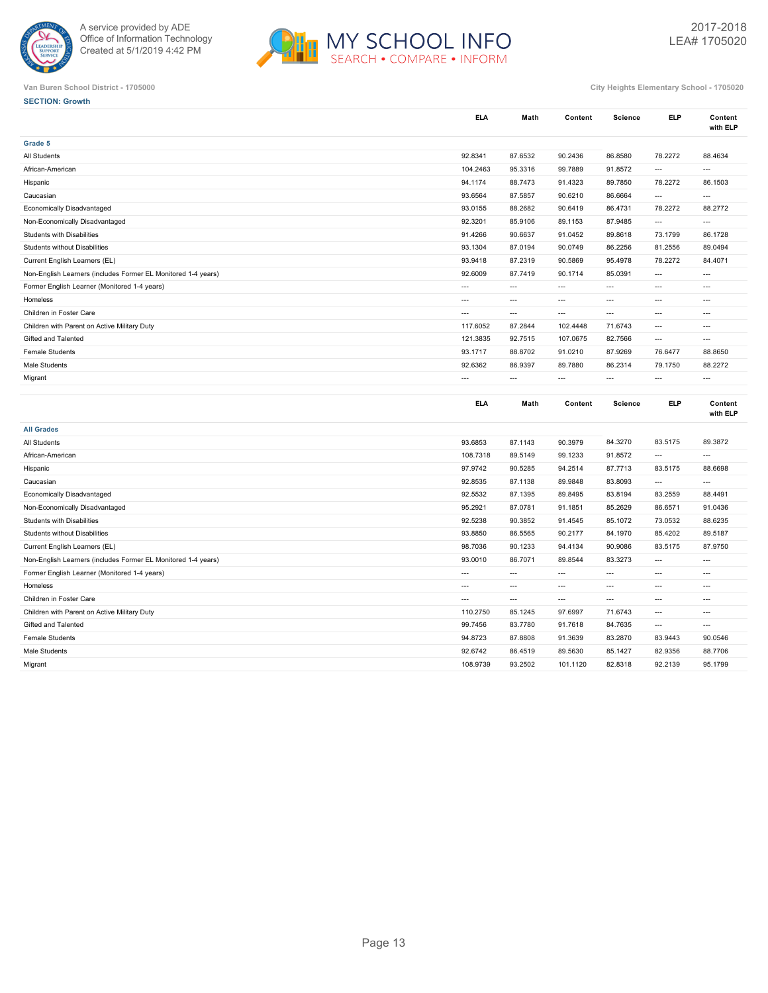

**SECTION: Growth**



**Van Buren School District - 1705000 City Heights Elementary School - 1705020**

|                                                               | <b>ELA</b>               | Math                     | Content        | <b>Science</b>           | <b>ELP</b>               | Content<br>with ELP      |
|---------------------------------------------------------------|--------------------------|--------------------------|----------------|--------------------------|--------------------------|--------------------------|
| Grade 5                                                       |                          |                          |                |                          |                          |                          |
| All Students                                                  | 92.8341                  | 87.6532                  | 90.2436        | 86.8580                  | 78.2272                  | 88.4634                  |
| African-American                                              | 104.2463                 | 95.3316                  | 99.7889        | 91.8572                  | ---                      | ---                      |
| Hispanic                                                      | 94.1174                  | 88.7473                  | 91.4323        | 89.7850                  | 78.2272                  | 86.1503                  |
| Caucasian                                                     | 93.6564                  | 87.5857                  | 90.6210        | 86.6664                  | $\hspace{0.05cm} \ldots$ | $\cdots$                 |
| Economically Disadvantaged                                    | 93.0155                  | 88.2682                  | 90.6419        | 86.4731                  | 78.2272                  | 88.2772                  |
| Non-Economically Disadvantaged                                | 92.3201                  | 85.9106                  | 89.1153        | 87.9485                  | ---                      | $\overline{\phantom{a}}$ |
| Students with Disabilities                                    | 91.4266                  | 90.6637                  | 91.0452        | 89.8618                  | 73.1799                  | 86.1728                  |
| Students without Disabilities                                 | 93.1304                  | 87.0194                  | 90.0749        | 86.2256                  | 81.2556                  | 89.0494                  |
| Current English Learners (EL)                                 | 93.9418                  | 87.2319                  | 90.5869        | 95.4978                  | 78.2272                  | 84.4071                  |
| Non-English Learners (includes Former EL Monitored 1-4 years) | 92.6009                  | 87.7419                  | 90.1714        | 85.0391                  | ---                      | ---                      |
| Former English Learner (Monitored 1-4 years)                  | $\cdots$                 | $\overline{\phantom{a}}$ | ---            | $\overline{\phantom{a}}$ | ---                      | $\cdots$                 |
| Homeless                                                      | $-$                      | $---$                    | $\overline{a}$ | $---$                    | $---$                    | $---$                    |
| Children in Foster Care                                       | $-$                      | $\overline{a}$           | ---            | $---$                    | $---$                    | $---$                    |
| Children with Parent on Active Military Duty                  | 117.6052                 | 87.2844                  | 102.4448       | 71.6743                  | $\overline{\phantom{a}}$ | $\hspace{0.05cm} \ldots$ |
| Gifted and Talented                                           | 121.3835                 | 92.7515                  | 107.0675       | 82.7566                  | ---                      | $\overline{a}$           |
| <b>Female Students</b>                                        | 93.1717                  | 88.8702                  | 91.0210        | 87.9269                  | 76.6477                  | 88.8650                  |
| Male Students                                                 | 92.6362                  | 86.9397                  | 89.7880        | 86.2314                  | 79.1750                  | 88.2272                  |
| Migrant                                                       | $\overline{a}$           | $\overline{a}$           | $\overline{a}$ | $\overline{a}$           | $\overline{\phantom{a}}$ | $\overline{\phantom{a}}$ |
|                                                               |                          |                          |                |                          |                          |                          |
|                                                               | <b>ELA</b>               | Math                     | Content        | <b>Science</b>           | <b>ELP</b>               | Content<br>with ELP      |
| <b>All Grades</b>                                             |                          |                          |                |                          |                          |                          |
| All Students                                                  | 93.6853                  | 87.1143                  | 90.3979        | 84.3270                  | 83.5175                  | 89.3872                  |
| African-American                                              | 108.7318                 | 89.5149                  | 99.1233        | 91.8572                  | $\overline{a}$           | $\overline{a}$           |
| Hispanic                                                      | 97.9742                  | 90.5285                  | 94.2514        | 87.7713                  | 83.5175                  | 88.6698                  |
| Caucasian                                                     | 92.8535                  | 87.1138                  | 89.9848        | 83.8093                  | ---                      | ---                      |
| Economically Disadvantaged                                    | 92.5532                  | 87.1395                  | 89.8495        | 83.8194                  | 83.2559                  | 88.4491                  |
| Non-Economically Disadvantaged                                | 95.2921                  | 87.0781                  | 91.1851        | 85.2629                  | 86.6571                  | 91.0436                  |
| Students with Disabilities                                    | 92.5238                  | 90.3852                  | 91.4545        | 85.1072                  | 73.0532                  | 88.6235                  |
| <b>Students without Disabilities</b>                          | 93.8850                  | 86.5565                  | 90.2177        | 84.1970                  | 85.4202                  | 89.5187                  |
| Current English Learners (EL)                                 | 98.7036                  | 90.1233                  | 94.4134        | 90.9086                  | 83.5175                  | 87.9750                  |
| Non-English Learners (includes Former EL Monitored 1-4 years) | 93.0010                  | 86.7071                  | 89.8544        | 83.3273                  | $\overline{a}$           | $\hspace{0.05cm} \ldots$ |
| Former English Learner (Monitored 1-4 years)                  | $\overline{a}$           | $\overline{a}$           | $\overline{a}$ | ---                      | $\overline{a}$           | $\cdots$                 |
| Homeless                                                      | $\overline{\phantom{a}}$ | ---                      | ---            | $\overline{a}$           | ---                      | $\overline{\phantom{a}}$ |
| Children in Foster Care                                       | $\overline{a}$           | $\overline{a}$           | $\overline{a}$ | $\overline{a}$           | $---$                    | $---$                    |
| Children with Parent on Active Military Duty                  | 110.2750                 | 85.1245                  | 97.6997        | 71.6743                  | $---$                    | $---$                    |
| Gifted and Talented                                           | 99.7456                  | 83.7780                  | 91.7618        | 84.7635                  | $\hspace{0.05cm} \ldots$ | $\cdots$                 |
| <b>Female Students</b>                                        | 94.8723                  | 87.8808                  | 91.3639        | 83.2870                  | 83.9443                  | 90.0546                  |
| Male Students                                                 | 92.6742                  | 86.4519                  | 89.5630        | 85.1427                  | 82.9356                  | 88.7706                  |

Migrant 108.9739 93.2502 101.1120 82.8318 92.2139 95.1799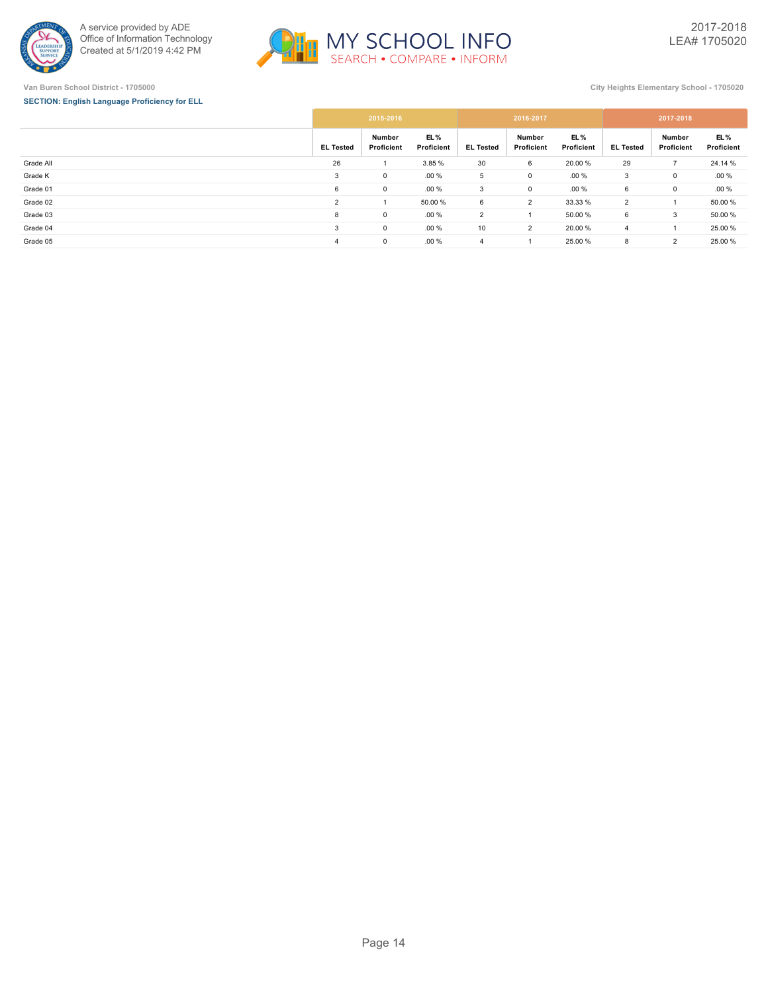

A service provided by ADE Office of Information Technology Created at 5/1/2019 4:42 PM



## **SECTION: English Language Proficiency for ELL**

|           |                  | 2015-2016            |                    |                  | 2016-2017            |                    | 2017-2018        |                      |                    |  |
|-----------|------------------|----------------------|--------------------|------------------|----------------------|--------------------|------------------|----------------------|--------------------|--|
|           | <b>EL Tested</b> | Number<br>Proficient | EL %<br>Proficient | <b>EL Tested</b> | Number<br>Proficient | EL %<br>Proficient | <b>EL Tested</b> | Number<br>Proficient | EL %<br>Proficient |  |
| Grade All | 26               |                      | 3.85 %             | 30               | 6                    | 20.00 %            | 29               | $\overline{7}$       | 24.14 %            |  |
| Grade K   | 3                | $\mathbf 0$          | .00%               | 5                | 0                    | $.00 \%$           | 3                | 0                    | $.00\%$            |  |
| Grade 01  | 6                | $\mathbf 0$          | $.00 \%$           | 3                | $\mathbf 0$          | $.00 \%$           | 6                | 0                    | .00%               |  |
| Grade 02  | $\overline{2}$   |                      | 50.00 %            | 6                | $\overline{2}$       | 33.33 %            | $\overline{2}$   |                      | 50.00 %            |  |
| Grade 03  | 8                | $\mathbf 0$          | .00%               | $\overline{2}$   |                      | 50.00 %            | 6                | 3                    | 50.00 %            |  |
| Grade 04  | 3                | $\mathbf 0$          | $.00\%$            | 10               | $\overline{2}$       | 20.00 %            | $\overline{4}$   |                      | 25.00 %            |  |
| Grade 05  | 4                | 0                    | .00%               | $\overline{4}$   |                      | 25.00 %            | 8                | $\overline{2}$       | 25.00 %            |  |
|           |                  |                      |                    |                  |                      |                    |                  |                      |                    |  |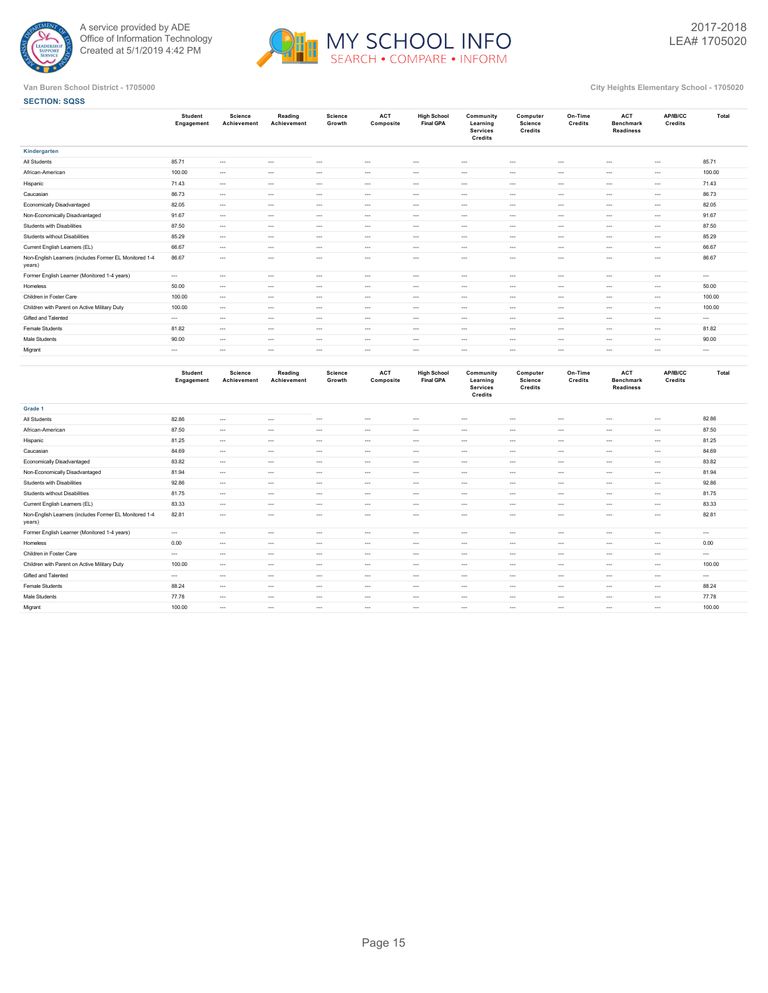



|                                                                  | <b>Student</b><br>Engagement | <b>Science</b><br>Achievement | Reading<br>Achievement | <b>Science</b><br>Growth | <b>ACT</b><br>Composite | <b>High School</b><br><b>Final GPA</b> | Community<br>Learning<br><b>Services</b><br>Credits | Computer<br>Science<br>Credits | On-Time<br>Credits | <b>ACT</b><br><b>Benchmark</b><br><b>Readiness</b> | AP/IB/CC<br>Credits | Total    |
|------------------------------------------------------------------|------------------------------|-------------------------------|------------------------|--------------------------|-------------------------|----------------------------------------|-----------------------------------------------------|--------------------------------|--------------------|----------------------------------------------------|---------------------|----------|
| Kindergarten                                                     |                              |                               |                        |                          |                         |                                        |                                                     |                                |                    |                                                    |                     |          |
| All Students                                                     | 85.71                        | $\cdots$                      | $\cdots$               |                          |                         |                                        | $---$                                               | $---$                          |                    |                                                    |                     | 85.71    |
| African-American                                                 | 100.00                       | $\cdots$                      | $\cdots$               | $\cdots$                 | $---$                   |                                        | $\cdots$                                            | $\cdots$                       |                    | $\cdots$                                           | $\cdots$            | 100.00   |
| Hispanic                                                         | 71.43                        | $---$                         | $\cdots$               |                          |                         |                                        | $---$                                               | $---$                          |                    |                                                    |                     | 71.43    |
| Caucasian                                                        | 86.73                        | $\cdots$                      | $\cdots$               | $- - -$                  | $---$                   | $---$                                  | $\cdots$                                            | $\cdots$                       | $\cdots$           | $---$                                              |                     | 86.73    |
| Economically Disadvantaged                                       | 82.05                        | $\cdots$                      | $\cdots$               | $\cdots$                 | $---$                   |                                        | $---$                                               | $\cdots$                       |                    | $\cdots$                                           |                     | 82.05    |
| Non-Economically Disadvantaged                                   | 91.67                        | $\cdots$                      | $\cdots$               | $\cdots$                 | $---$                   |                                        | $\cdots$                                            | $\cdots$                       |                    | $---$                                              | $\cdots$            | 91.67    |
| Students with Disabilities                                       | 87.50                        | $\cdots$                      | $\cdots$               | $\cdots$                 | $---$                   | $\cdots$                               | $---$                                               | $\cdots$                       |                    | $---$                                              | $\cdots$            | 87.50    |
| Students without Disabilities                                    | 85.29                        | $\cdots$                      | $\cdots$               | $---$                    |                         |                                        | $---$                                               | $---$                          |                    |                                                    |                     | 85.29    |
| Current English Learners (EL)                                    | 66.67                        | $\cdots$                      | $\cdots$               | $\cdots$                 | $---$                   |                                        | $---$                                               | $\cdots$                       |                    | $---$                                              | $---$               | 66.67    |
| Non-English Learners (includes Former EL Monitored 1-4<br>years) | 86.67                        | $\cdots$                      | $\cdots$               |                          |                         |                                        | $---$                                               | $---$                          |                    |                                                    |                     | 86.67    |
| Former English Learner (Monitored 1-4 years)                     | $\sim$                       | $---$                         | $\cdots$               | $\cdots$                 | $---$                   |                                        | $---$                                               | $\cdots$                       |                    | $---$                                              | $---$               | $---$    |
| Homeless                                                         | 50.00                        | $\cdots$                      | $\cdots$               | $\cdots$                 | $---$                   | $\cdots$                               | $---$                                               | $\cdots$                       |                    | $\cdots$                                           | $---$               | 50.00    |
| Children in Foster Care                                          | 100.00                       | $---$                         | $\cdots$               |                          |                         |                                        | $---$                                               | $---$                          |                    |                                                    |                     | 100.00   |
| Children with Parent on Active Military Duty                     | 100.00                       | $\cdots$                      | $\cdots$               | $\cdots$                 |                         | ---                                    | $---$                                               | $\cdots$                       |                    |                                                    | $---$               | 100.00   |
| Gifted and Talented                                              | $\cdots$                     | $\cdots$                      | $---$                  | $\cdots$                 | $---$                   | $---$                                  | $---$                                               | $\cdots$                       |                    | $\cdots$                                           | $---$               | $\cdots$ |
| Female Students                                                  | 81.82                        | $\cdots$                      | $\cdots$               | $\cdots$                 | $---$                   |                                        | $---$                                               | $\cdots$                       |                    | $\cdots$                                           | $---$               | 81.82    |
| <b>Male Students</b>                                             | 90.00                        | $\cdots$                      | $\cdots$               | $\cdots$                 | $\cdots$                | $\cdots$                               | $\cdots$                                            | $\cdots$                       |                    | $\cdots$                                           | $\cdots$            | 90.00    |
| Migrant                                                          | $---$                        | $---$                         | $\cdots$               |                          |                         |                                        | $---$                                               | $---$                          |                    |                                                    |                     | $\cdots$ |
|                                                                  |                              |                               |                        |                          |                         |                                        |                                                     |                                |                    |                                                    |                     |          |

|                                                                  | <b>Student</b><br>Engagement | Science<br>Achievement | Reading<br>Achievement | Science<br>Growth | <b>ACT</b><br>Composite | <b>High School</b><br><b>Final GPA</b> | Community<br>Learning<br><b>Services</b><br>Credits | Computer<br>Science<br>Credits | On-Time<br>Credits | <b>ACT</b><br><b>Benchmark</b><br><b>Readiness</b> | AP/IB/CC<br>Credits | Total    |
|------------------------------------------------------------------|------------------------------|------------------------|------------------------|-------------------|-------------------------|----------------------------------------|-----------------------------------------------------|--------------------------------|--------------------|----------------------------------------------------|---------------------|----------|
| Grade 1                                                          |                              |                        |                        |                   |                         |                                        |                                                     |                                |                    |                                                    |                     |          |
| All Students                                                     | 82.86                        | $\cdots$               | $\cdots$               | $\cdots$          | $\cdots$                | $\cdots$                               | $\cdots$                                            | $- - -$                        | $\cdots$           | $\sim$                                             | $\cdots$            | 82.86    |
| African-American                                                 | 87.50                        | $---$                  | $\cdots$               | $\cdots$          | $\sim$                  | $\cdots$                               | $---$                                               | $\cdots$                       | $\sim$             | $\sim$                                             | $\cdots$            | 87.50    |
| Hispanic                                                         | 81.25                        | $---$                  | $\sim$                 | $\cdots$          | $\cdots$                | $-1$                                   | $---$                                               | $\cdots$                       | $\sim$             | $-1$                                               | $\cdots$            | 81.25    |
| Caucasian                                                        | 84.69                        | $\cdots$               | $\cdots$               | $\sim$            | $\sim$                  | $-1$                                   | $---$                                               | $\cdots$                       | $\sim$             | $\sim$                                             | $\cdots$            | 84.69    |
| Economically Disadvantaged                                       | 83.82                        | $\cdots$               | $\cdots$               | $\cdots$          | $\cdots$                | $\cdots$                               |                                                     | $\cdots$                       | $\sim$             | $-1$                                               | $\cdots$            | 83.82    |
| Non-Economically Disadvantaged                                   | 81.94                        | $\cdots$               | $\cdots$               | $\cdots$          | $\sim$                  | $-1$                                   | $---$                                               | $\cdots$                       | $\sim$             | $-1$                                               | $\cdots$            | 81.94    |
| Students with Disabilities                                       | 92.86                        | $\cdots$               | $\cdots$               | $\cdots$          | $\sim$                  | $\cdots$                               | $---$                                               | $\cdots$                       | $\sim$             | $\sim$                                             | $\cdots$            | 92.86    |
| Students without Disabilities                                    | 81.75                        | $---$                  | $\cdots$               | $\cdots$          | $\sim$                  | $\cdots$                               | $---$                                               | $\cdots$                       | $\sim$             | $-1$                                               | $\cdots$            | 81.75    |
| Current English Learners (EL)                                    | 83.33                        | $\cdots$               | $\cdots$               | $\cdots$          | $\sim$                  | $\cdots$                               | $---$                                               | $\cdots$                       | $\sim$             | $-1$                                               | $\cdots$            | 83.33    |
| Non-English Learners (includes Former EL Monitored 1-4<br>years) | 82.81                        | $\cdots$               | $\cdots$               | $\cdots$          | $\cdots$                | $\cdots$                               | $\cdots$                                            | $\cdots$                       | $\cdots$           | $\sim$                                             | $\cdots$            | 82.81    |
| Former English Learner (Monitored 1-4 years)                     | $\cdots$                     | $---$                  | $\cdots$               | $\cdots$          | $\sim$                  | $\cdots$                               |                                                     | $\cdots$                       | $\sim$             | $-1$                                               | $\cdots$            | $\cdots$ |
| Homeless                                                         | 0.00                         | $---$                  | $\cdots$               | $\cdots$          | $\cdots$                | $\cdots$                               | $\cdots$                                            | $- - -$                        | $\cdots$           | $\sim$                                             | $\cdots$            | 0.00     |
| Children in Foster Care                                          | $- - -$                      | $---$                  | $\cdots$               | $\cdots$          | $\sim$                  | $-1$                                   | $---$                                               | $\cdots$                       | $\sim$             | $-1$                                               | $\cdots$            | $\cdots$ |
| Children with Parent on Active Military Duty                     | 100.00                       | $---$                  | $\cdots$               | $\cdots$          | $\sim$                  | $-1$                                   | $---$                                               | $\cdots$                       | $\sim$             | $\sim$                                             | $\cdots$            | 100.00   |
| Gifted and Talented                                              | $- - -$                      | $\cdots$               | $\cdots$               | $\cdots$          | $\sim$                  | $-1$                                   | $---$                                               | $\cdots$                       | $\sim$             | $\sim$                                             | $\cdots$            | $-1$     |
| Female Students                                                  | 88.24                        | $\cdots$               | $\cdots$               | $\cdots$          | $\sim$                  | $\cdots$                               | $---$                                               | $\cdots$                       | $\sim$             | $\sim$                                             | $\cdots$            | 88.24    |
| Male Students                                                    | 77.78                        | $\cdots$               | $\cdots$               | $\cdots$          | $\sim$                  | $\cdots$                               | $\cdots$                                            | $\cdots$                       | $\cdots$           | $-1$                                               | $\cdots$            | 77.78    |
| Migrant                                                          | 100.00                       | $\cdots$               | $\cdots$               | $\cdots$          | $\cdots$                | $-1$                                   | $---$                                               | $\cdots$                       | $\sim$             | $-1$                                               | $\cdots$            | 100.00   |
|                                                                  |                              |                        |                        |                   |                         |                                        |                                                     |                                |                    |                                                    |                     |          |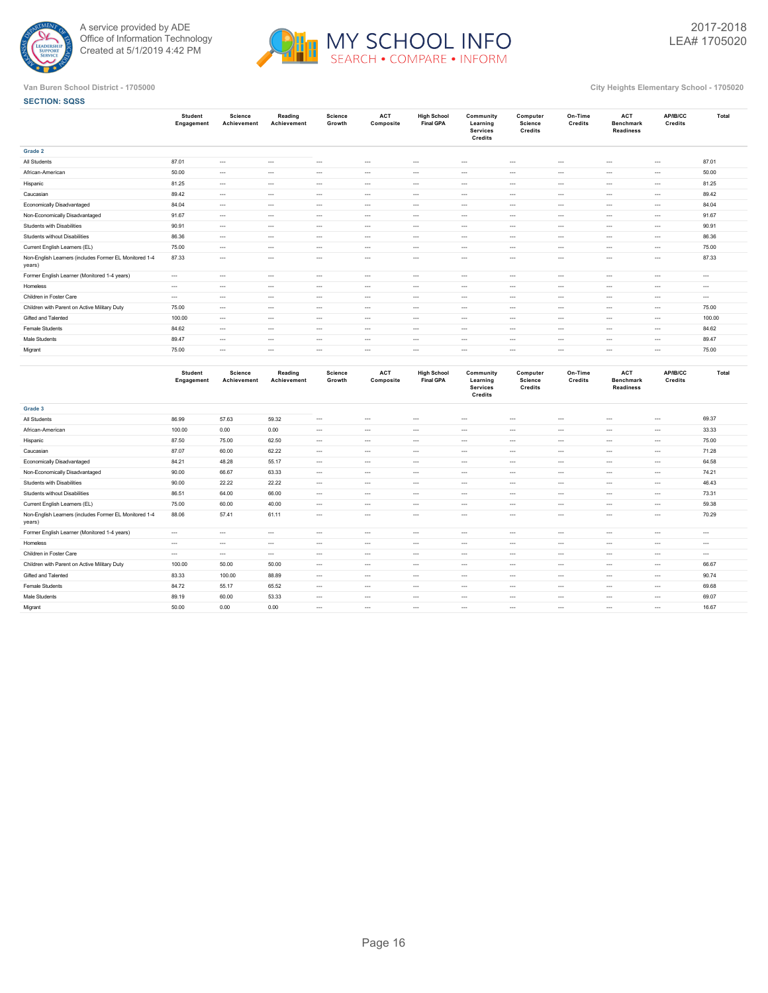



|                                                                  | <b>Student</b><br>Engagement | Science<br>Achievement | Reading<br>Achievement | Science<br>Growth | <b>ACT</b><br>Composite | <b>High School</b><br><b>Final GPA</b> | Community<br>Learning<br><b>Services</b><br>Credits | Computer<br>Science<br>Credits | On-Time<br>Credits | <b>ACT</b><br><b>Benchmark</b><br><b>Readiness</b> | AP/IB/CC<br>Credits | Total    |
|------------------------------------------------------------------|------------------------------|------------------------|------------------------|-------------------|-------------------------|----------------------------------------|-----------------------------------------------------|--------------------------------|--------------------|----------------------------------------------------|---------------------|----------|
| Grade 2                                                          |                              |                        |                        |                   |                         |                                        |                                                     |                                |                    |                                                    |                     |          |
| All Students                                                     | 87.01                        | $---$                  | $\cdots$               | $\cdots$          | $\cdots$                | $\cdots$                               | $---$                                               | $\cdots$                       | $\sim$             | $\sim$                                             | $\cdots$            | 87.01    |
| African-American                                                 | 50.00                        | $---$                  | $\cdots$               | $\cdots$          | $\cdots$                | $\cdots$                               | $---$                                               | $\cdots$                       | $\sim$             | $\cdots$                                           | $\cdots$            | 50.00    |
| Hispanic                                                         | 81.25                        | $---$                  | $\cdots$               | $\cdots$          | $\sim$                  | $\cdots$                               | $\cdots$                                            | $\cdots$                       | $\sim$             | $\cdots$                                           | $\cdots$            | 81.25    |
| Caucasian                                                        | 89.42                        | $---$                  | $\cdots$               | $\cdots$          | $\cdots$                | $\cdots$                               | $---$                                               | $\cdots$                       | $\sim$             | $\cdots$                                           | $\cdots$            | 89.42    |
| Economically Disadvantaged                                       | 84.04                        | $---$                  | $\cdots$               | $\cdots$          | $\cdots$                | $\cdots$                               | $---$                                               | $\cdots$                       | $\cdots$           | $\cdots$                                           | $\cdots$            | 84.04    |
| Non-Economically Disadvantaged                                   | 91.67                        | $---$                  | $\cdots$               | $\cdots$          | $\cdots$                | $\cdots$                               | $---$                                               | $\cdots$                       | $\cdots$           | $\cdots$                                           | $\cdots$            | 91.67    |
| Students with Disabilities                                       | 90.91                        | $---$                  | $\cdots$               | $\cdots$          | $\cdots$                | $\cdots$                               | $---$                                               | $\cdots$                       | $\cdots$           | $\cdots$                                           | $\cdots$            | 90.91    |
| Students without Disabilities                                    | 86.36                        | $---$                  | $\cdots$               | $\cdots$          | $\cdots$                | $\cdots$                               | $---$                                               | $\cdots$                       | $\sim$             | $\cdots$                                           | $\cdots$            | 86.36    |
| Current English Learners (EL)                                    | 75.00                        | $---$                  | $\cdots$               | $\cdots$          | $\cdots$                | $\cdots$                               | $---$                                               | $\cdots$                       | $\cdots$           | $\cdots$                                           | $\cdots$            | 75.00    |
| Non-English Learners (includes Former EL Monitored 1-4<br>years) | 87.33                        | $---$                  | $\cdots$               | $\cdots$          | $\sim$                  | $\cdots$                               | $\cdots$                                            | $\cdots$                       | $\sim$             | $\sim$                                             | $\cdots$            | 87.33    |
| Former English Learner (Monitored 1-4 years)                     | $\cdots$                     | $---$                  | $\cdots$               | $\sim$ $\sim$     | $\cdots$                | $\cdots$                               | $\cdots$                                            | $\sim$ $\sim$                  | $\sim$             | $\cdots$                                           | $\cdots$            | $\cdots$ |
| Homeless                                                         | $\cdots$                     | $---$                  | $\cdots$               | $\cdots$          | $\cdots$                | $\cdots$                               | $---$                                               | $\cdots$                       | $\cdots$           | $\cdots$                                           | $\cdots$            | $\cdots$ |
| Children in Foster Care                                          | $\cdots$                     | $---$                  | $\cdots$               | $\cdots$          | $\cdots$                | $\cdots$                               | $---$                                               | $\cdots$                       | $\sim$             | $\cdots$                                           | $\cdots$            | $\cdots$ |
| Children with Parent on Active Military Duty                     | 75.00                        | $---$                  | $\cdots$               | $\cdots$          | $\cdots$                | $\cdots$                               | $---$                                               | $\cdots$                       | $\cdots$           | $\cdots$                                           | $\cdots$            | 75.00    |
| Gifted and Talented                                              | 100.00                       | $---$                  | $\cdots$               | $\cdots$          | $\cdots$                | $\cdots$                               | $---$                                               | $\cdots$                       | $\sim$             | $\cdots$                                           | $\cdots$            | 100.00   |
| Female Students                                                  | 84.62                        | $---$                  | $\cdots$               | $\cdots$          | $\cdots$                | $\cdots$                               | $---$                                               | $\cdots$                       | $\sim$             | $\cdots$                                           | $\cdots$            | 84.62    |
| Male Students                                                    | 89.47                        | $\cdots$               | $\cdots$               | $\cdots$          | $\cdots$                | $\cdots$                               | $\cdots$                                            | $\cdots$                       | $\sim$             | $\cdots$                                           | $\cdots$            | 89.47    |
| Migrant                                                          | 75.00                        | $\cdots$               | $\cdots$               | $\cdots$          | $\cdots$                | $\cdots$                               | $\cdots$                                            | $\cdots$                       | $\sim$             | $\cdots$                                           | $\cdots$            | 75.00    |
|                                                                  |                              |                        |                        |                   |                         |                                        |                                                     |                                |                    |                                                    |                     |          |

|                                                                  | <b>Student</b><br>Engagement | Science<br>Achievement | Reading<br>Achievement | Science<br>Growth | <b>ACT</b><br>Composite | <b>High School</b><br><b>Final GPA</b> | Community<br>Learning<br><b>Services</b><br>Credits | Computer<br>Science<br>Credits | On-Time<br>Credits | <b>ACT</b><br><b>Benchmark</b><br><b>Readiness</b> | AP/IB/CC<br>Credits | Total    |
|------------------------------------------------------------------|------------------------------|------------------------|------------------------|-------------------|-------------------------|----------------------------------------|-----------------------------------------------------|--------------------------------|--------------------|----------------------------------------------------|---------------------|----------|
| Grade 3                                                          |                              |                        |                        |                   |                         |                                        |                                                     |                                |                    |                                                    |                     |          |
| All Students                                                     | 86.99                        | 57.63                  | 59.32                  | $\cdots$          | $\sim$                  | $- - -$                                | $\cdots$                                            | $\cdots$                       | $\cdots$           | $\sim$                                             | $\cdots$            | 69.37    |
| African-American                                                 | 100.00                       | 0.00                   | 0.00                   | $\cdots$          | $\sim$                  | $\cdots$                               | $\cdots$                                            | $\cdots$                       | $\cdots$           | $\sim$                                             | $---$               | 33.33    |
| Hispanic                                                         | 87.50                        | 75.00                  | 62.50                  | $\cdots$          | $\cdots$                | $\cdots$                               | $\cdots$                                            |                                | $\cdots$           | $\cdots$                                           | $---$               | 75.00    |
| Caucasian                                                        | 87.07                        | 60.00                  | 62.22                  | $\cdots$          | $\sim$                  | $\cdots$                               | $\cdots$                                            | $\cdots$                       | $\cdots$           | $\cdots$                                           | $---$               | 71.28    |
| Economically Disadvantaged                                       | 84.21                        | 48.28                  | 55.17                  | $\cdots$          | $\sim$                  | $\cdots$                               | $\cdots$                                            | $---$                          | $\cdots$           | $\cdots$                                           | $---$               | 64.58    |
| Non-Economically Disadvantaged                                   | 90.00                        | 66.67                  | 63.33                  | $\cdots$          | $\sim$                  | $\cdots$                               | $\cdots$                                            |                                | $\cdots$           | $\sim$                                             | $\cdots$            | 74.21    |
| Students with Disabilities                                       | 90.00                        | 22.22                  | 22.22                  | $\cdots$          | $\sim$                  | $\cdots$                               | $\cdots$                                            | $\cdots$                       | $\cdots$           | $\sim$                                             | $\cdots$            | 46.43    |
| Students without Disabilities                                    | 86.51                        | 64.00                  | 66.00                  | $\cdots$          | $\cdots$                | $\cdots$                               | $\cdots$                                            | $---$                          | $\cdots$           | $\cdots$                                           | $\cdots$            | 73.31    |
| Current English Learners (EL)                                    | 75.00                        | 60.00                  | 40.00                  | $\cdots$          | $\sim$                  | $\cdots$                               | $\cdots$                                            | $\cdots$                       | $\cdots$           | $\cdots$                                           | $---$               | 59.38    |
| Non-English Learners (includes Former EL Monitored 1-4<br>years) | 88.06                        | 57.41                  | 61.11                  | $\cdots$          | $\sim$                  | $\cdots$                               | $\cdots$                                            | $\cdots$                       | $\cdots$           | $\sim$                                             | $---$               | 70.29    |
| Former English Learner (Monitored 1-4 years)                     | $\cdots$                     | $\cdots$               | $\cdots$               | $\cdots$          | $\sim$                  | $- - -$                                | $\cdots$                                            | $\cdots$                       | $\cdots$           | $\sim$                                             | $\cdots$            | $\cdots$ |
| Homeless                                                         | $\cdots$                     | $\cdots$               | $\cdots$               | $\cdots$          | $\sim$                  | $\cdots$                               | $\cdots$                                            | $\cdots$                       | $\cdots$           | $\sim$                                             | $\cdots$            | $\cdots$ |
| Children in Foster Care                                          | $\cdots$                     | $---$                  | $---$                  | $\cdots$          | $\cdots$                | $\cdots$                               | $\cdots$                                            | $---$                          | $\cdots$           | $\cdots$                                           | $---$               | $\cdots$ |
| Children with Parent on Active Military Duty                     | 100.00                       | 50.00                  | 50.00                  | $\cdots$          | $\sim$                  | $\cdots$                               | $\cdots$                                            | $---$                          | $\cdots$           | $\cdots$                                           | $---$               | 66.67    |
| Gifted and Talented                                              | 83.33                        | 100.00                 | 88.89                  | $\cdots$          | $\sim$                  | $\cdots$                               | $\cdots$                                            | $---$                          | $\cdots$           | $\cdots$                                           | $---$               | 90.74    |
| Female Students                                                  | 84.72                        | 55.17                  | 65.52                  | $\cdots$          | $\sim$                  | $\cdots$                               | $\cdots$                                            | $---$                          | $\cdots$           | $\sim$                                             | $---$               | 69.68    |
| Male Students                                                    | 89.19                        | 60.00                  | 53.33                  | $\cdots$          | $\sim$                  | $\cdots$                               | $\cdots$                                            | $---$                          | $\cdots$           | $\cdots$                                           | $---$               | 69.07    |
| Migrant                                                          | 50.00                        | 0.00                   | 0.00                   | $\cdots$          | $\sim$                  | $\cdots$                               | $\cdots$                                            | $\cdots$                       | $\cdots$           | $\cdots$                                           | $---$               | 16.67    |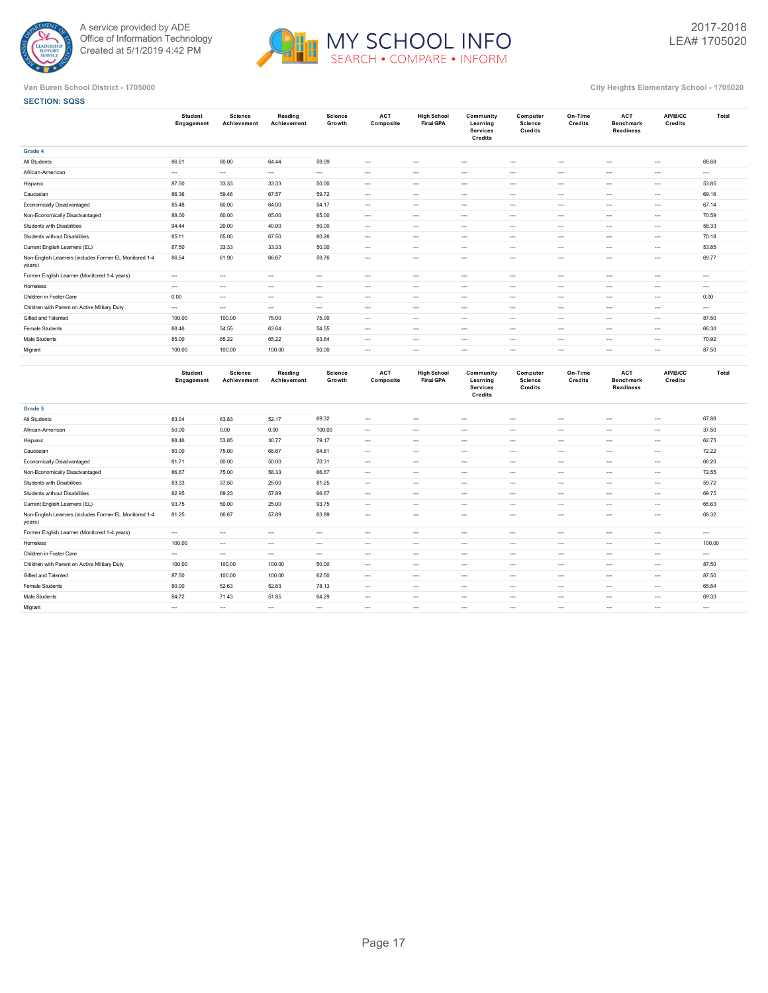



|                                                                  | Student<br>Engagement | Science<br>Achievement | Reading<br>Achievement | Science<br>Growth | <b>ACT</b><br>Composite | <b>High School</b><br><b>Final GPA</b> | Community<br>Learning<br><b>Services</b><br>Credits | Computer<br>Science<br>Credits | On-Time<br>Credits | <b>ACT</b><br><b>Benchmark</b><br><b>Readiness</b> | AP/IB/CC<br>Credits | Total    |
|------------------------------------------------------------------|-----------------------|------------------------|------------------------|-------------------|-------------------------|----------------------------------------|-----------------------------------------------------|--------------------------------|--------------------|----------------------------------------------------|---------------------|----------|
| Grade 4                                                          |                       |                        |                        |                   |                         |                                        |                                                     |                                |                    |                                                    |                     |          |
| All Students                                                     | 86.61                 | 60.00                  | 64.44                  | 59.09             | $\cdots$                | $\cdots$                               | $\cdots$                                            | $\cdots$                       | $\cdots$           | $\sim$                                             | $\cdots$            | 68.68    |
| African-American                                                 | $\cdots$              | $---$                  | $\cdots$               | $\cdots$          | $\cdots$                | $\cdots$                               | $---$                                               | $\cdots$                       | $\sim$             | $-1$                                               | $\cdots$            | $\cdots$ |
| Hispanic                                                         | 87.50                 | 33.33                  | 33.33                  | 50.00             | $\cdots$                | $\cdots$                               | $\cdots$                                            | $\cdots$                       | $\sim$             | $\sim$                                             | $\cdots$            | 53.85    |
| Caucasian                                                        | 86.36                 | 59.46                  | 67.57                  | 59.72             | $\cdots$                | $\sim$                                 | $\cdots$                                            | $\cdots$                       | $\sim$             | $\cdots$                                           | $\cdots$            | 69.16    |
| Economically Disadvantaged                                       | 85.48                 | 60.00                  | 64.00                  | 54.17             | $\cdots$                | $\sim$                                 | $---$                                               | $\cdots$                       | $\sim$             | $\cdots$                                           | $\cdots$            | 67.14    |
| Non-Economically Disadvantaged                                   | 88.00                 | 60.00                  | 65.00                  | 65.00             | $\cdots$                | $\cdots$                               | $---$                                               | $\cdots$                       | $\sim$             | $\sim$ $\sim$                                      | $\cdots$            | 70.59    |
| Students with Disabilities                                       | 94.44                 | 20.00                  | 40.00                  | 50.00             | $\cdots$                | $\cdots$                               | $\cdots$                                            | $\cdots$                       | $\cdots$           | $\cdots$                                           | $\cdots$            | 58.33    |
| Students without Disabilities                                    | 85.11                 | 65.00                  | 67.50                  | 60.26             | $\cdots$                | $\cdots$                               | $\cdots$                                            | $\cdots$                       | $\sim$             | $\sim$ $\sim$                                      | $\cdots$            | 70.18    |
| Current English Learners (EL)                                    | 87.50                 | 33.33                  | 33.33                  | 50.00             | $\cdots$                | $\cdots$                               | $\cdots$                                            | $\cdots$                       | $\cdots$           | $\cdots$                                           | $\cdots$            | 53.85    |
| Non-English Learners (includes Former EL Monitored 1-4<br>years) | 86.54                 | 61.90                  | 66.67                  | 59.76             | $\cdots$                | $\cdots$                               | $\cdots$                                            | $\cdots$                       | $\cdots$           | $\sim$ $\sim$                                      | $\cdots$            | 69.77    |
| Former English Learner (Monitored 1-4 years)                     | $\sim$ $\sim$         | $\cdots$               | $\cdots$               | $\sim$ $\sim$     | $\cdots$                | $\cdots$                               | $\cdots$                                            | $\sim$ $\sim$                  | $\sim$             | $\cdots$                                           | $\cdots$            | $\cdots$ |
| Homeless                                                         | $\sim$ $\sim$         | $\cdots$               | $\cdots$               | $\sim$ $\sim$     | $\cdots$                | $\cdots$                               | $\cdots$                                            | $\sim$ $\sim$                  | $\sim$             | $\cdots$                                           | $\cdots$            | $---$    |
| Children in Foster Care                                          | 0.00                  | $\cdots$               | $\cdots$               | $\cdots$          | $\sim$                  | $\cdots$                               | $\cdots$                                            | $\cdots$                       | $\cdots$           | $\cdots$                                           | $\cdots$            | 0.00     |
| Children with Parent on Active Military Duty                     | $\cdots$              | $\cdots$               | $\cdots$               | $\cdots$          | $\cdots$                | $\sim$                                 | $\cdots$                                            | $\cdots$                       | $\sim$             | $\sim$ $\sim$                                      | $\cdots$            | $---$    |
| Gifted and Talented                                              | 100.00                | 100.00                 | 75.00                  | 75.00             | $\cdots$                | $\cdots$                               | $---$                                               | $\cdots$                       | $\sim$             | $\sim$                                             | $\cdots$            | 87.50    |
| <b>Female Students</b>                                           | 88.46                 | 54.55                  | 63.64                  | 54.55             | $\cdots$                | $\cdots$                               | $---$                                               | $\cdots$                       | $\sim$             | $-1$                                               | $\cdots$            | 66.30    |
| Male Students                                                    | 85.00                 | 65.22                  | 65.22                  | 63.64             | $\cdots$                | $\cdots$                               | $---$                                               | $\cdots$                       | $\sim$             | $-1$                                               | $\cdots$            | 70.92    |
| Migrant                                                          | 100.00                | 100.00                 | 100.00                 | 50.00             | $\sim$                  | $\cdots$                               | $\cdots$                                            | $\cdots$                       | $\cdots$           | $-1$                                               | $\cdots$            | 87.50    |
|                                                                  |                       |                        |                        |                   |                         |                                        |                                                     |                                |                    |                                                    |                     |          |

|                                                                  | <b>Student</b><br>Engagement | Science<br>Achievement | Reading<br>Achievement | Science<br>Growth | <b>ACT</b><br>Composite | <b>High School</b><br><b>Final GPA</b> | Community<br>Learning<br><b>Services</b><br>Credits | Computer<br>Science<br>Credits | On-Time<br>Credits | <b>ACT</b><br><b>Benchmark</b><br><b>Readiness</b> | AP/IB/CC<br>Credits | Total  |
|------------------------------------------------------------------|------------------------------|------------------------|------------------------|-------------------|-------------------------|----------------------------------------|-----------------------------------------------------|--------------------------------|--------------------|----------------------------------------------------|---------------------|--------|
| Grade 5                                                          |                              |                        |                        |                   |                         |                                        |                                                     |                                |                    |                                                    |                     |        |
| All Students                                                     | 83.04                        | 63.83                  | 52.17                  | 69.32             | $\sim$                  | $\cdots$                               | $---$                                               | $\cdots$                       | $\cdots$           | $\sim$                                             | $---$               | 67.88  |
| African-American                                                 | 50.00                        | 0.00                   | 0.00                   | 100.00            | $-1$                    | $\cdots$                               | $---$                                               | $\cdots$                       | $\cdots$           | $\cdots$                                           | $---$               | 37.50  |
| Hispanic                                                         | 88.46                        | 53.85                  | 30.77                  | 79.17             | $\sim$                  | $\cdots$                               | $---$                                               | $---$                          | $\cdots$           | $\cdots$                                           | $---$               | 62.75  |
| Caucasian                                                        | 80.00                        | 75.00                  | 66.67                  | 64.81             | $-1$                    | $\cdots$                               | $\cdots$                                            | $---$                          | $\cdots$           | $\cdots$                                           | $---$               | 72.22  |
| Economically Disadvantaged                                       | 81.71                        | 60.00                  | 50.00                  | 70.31             | $\sim$                  | $\cdots$                               | $\cdots$                                            | $\cdots$                       | $\sim$             | $\cdots$                                           | $---$               | 66.20  |
| Non-Economically Disadvantaged                                   | 86.67                        | 75.00                  | 58.33                  | 66.67             | $\sim$ $\sim$           | $\cdots$                               | $\cdots$                                            | $---$                          | $\cdots$           | $\cdots$                                           | $---$               | 72.55  |
| Students with Disabilities                                       | 83.33                        | 37.50                  | 25.00                  | 81.25             | $\sim$                  | $\cdots$                               | $\cdots$                                            | $\cdots$                       | $\cdots$           | $\cdots$                                           | $\cdots$            | 59.72  |
| Students without Disabilities                                    | 82.95                        | 69.23                  | 57.89                  | 66.67             | $\sim$                  | $\cdots$                               | $---$                                               | $---$                          | $\cdots$           | $\cdots$                                           | $---$               | 69.75  |
| Current English Learners (EL)                                    | 93.75                        | 50.00                  | 25.00                  | 93.75             | $\sim$ $\sim$           | $\cdots$                               | $---$                                               | $---$                          | $\cdots$           | $\cdots$                                           | $\cdots$            | 65.63  |
| Non-English Learners (includes Former EL Monitored 1-4<br>years) | 81.25                        | 66.67                  | 57.89                  | 63.89             | $\sim$ $\sim$           | $\cdots$                               | $\cdots$                                            | $---$                          | $\cdots$           | $\sim$                                             | $\cdots$            | 68.32  |
| Former English Learner (Monitored 1-4 years)                     | $- - -$                      | $\cdots$               | $\cdots$               | $\cdots$          | $\sim$                  | $- - -$                                | $---$                                               | $\cdots$                       | $\sim$             | $\sim$                                             | $\cdots$            | $---$  |
| Homeless                                                         | 100.00                       | $---$                  | $\cdots$               | $\cdots$          | $\sim$                  | $\cdots$                               | $\cdots$                                            | $\cdots$                       | $\cdots$           | $\cdots$                                           | $\cdots$            | 100.00 |
| Children in Foster Care                                          | $- - -$                      | $\cdots$               | $---$                  | $\sim$            | $\sim$                  | $\cdots$                               | $\cdots$                                            | $\cdots$                       | $\cdots$           | $\sim$                                             | $---$               | $---$  |
| Children with Parent on Active Military Duty                     | 100.00                       | 100.00                 | 100.00                 | 50.00             | $\sim$ $\sim$           | $\cdots$                               | $---$                                               | $---$                          | $\cdots$           | $\cdots$                                           | $---$               | 87.50  |
| Gifted and Talented                                              | 87.50                        | 100.00                 | 100.00                 | 62.50             | $\sim$ $\sim$           | $\cdots$                               | $\cdots$                                            | $---$                          | $\cdots$           | $\cdots$                                           | $---$               | 87.50  |
| Female Students                                                  | 80.00                        | 52.63                  | 52.63                  | 78.13             | $\sim$                  | $\cdots$                               | $---$                                               | $---$                          | $\cdots$           | $\sim$                                             | $\cdots$            | 65.54  |
| Male Students                                                    | 84.72                        | 71.43                  | 51.85                  | 64.29             | $\sim$ $\sim$           | $\cdots$                               | $\cdots$                                            | $\cdots$                       | $\cdots$           | $\cdots$                                           | $\cdots$            | 69.33  |
| Migrant                                                          | $- - -$                      | $\cdots$               | $---$                  | $\sim$            | $\sim$                  | $\cdots$                               | $\cdots$                                            | $\cdots$                       | $\cdots$           | $\cdots$                                           | $---$               | $---$  |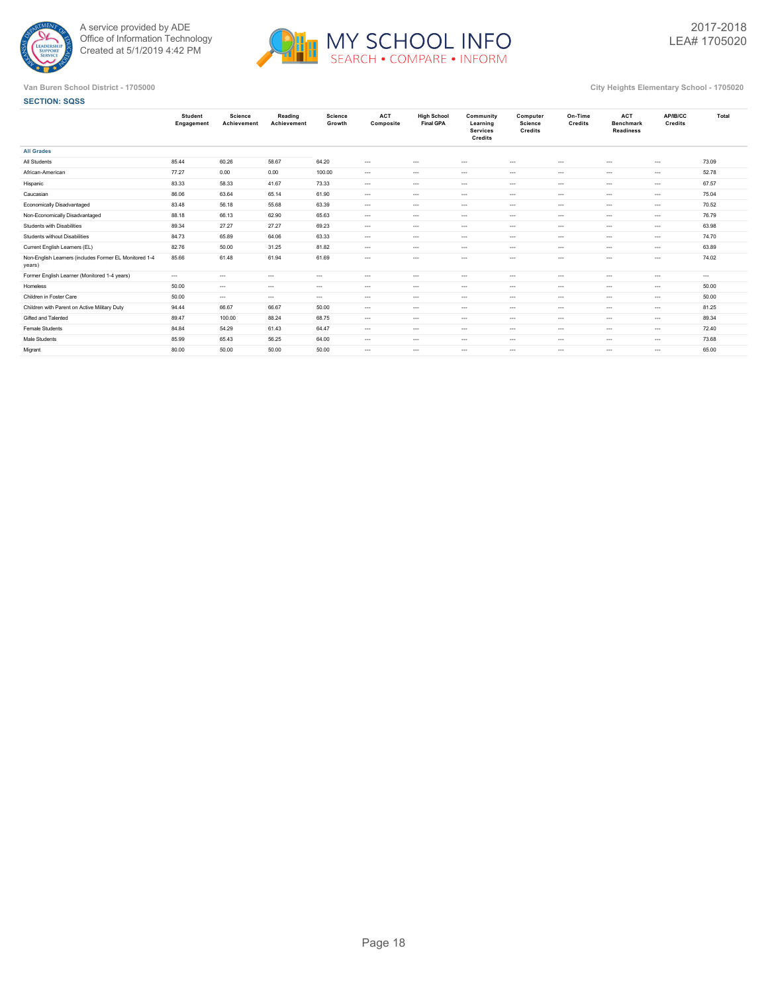



|                                                                  | <b>Student</b><br>Engagement | Science<br>Achievement | Reading<br>Achievement | Science<br>Growth | <b>ACT</b><br>Composite | <b>High School</b><br><b>Final GPA</b> | Community<br>Learning<br><b>Services</b><br>Credits | Computer<br>Science<br>Credits | On-Time<br>Credits | ACT<br><b>Benchmark</b><br><b>Readiness</b> | AP/IB/CC<br>Credits | Total    |
|------------------------------------------------------------------|------------------------------|------------------------|------------------------|-------------------|-------------------------|----------------------------------------|-----------------------------------------------------|--------------------------------|--------------------|---------------------------------------------|---------------------|----------|
| <b>All Grades</b>                                                |                              |                        |                        |                   |                         |                                        |                                                     |                                |                    |                                             |                     |          |
| All Students                                                     | 85.44                        | 60.26                  | 58.67                  | 64.20             | $\cdots$                | $\cdots$                               | $\cdots$                                            | $\cdots$                       | $\cdots$           | $\cdots$                                    | $---$               | 73.09    |
| African-American                                                 | 77.27                        | 0.00                   | 0.00                   | 100.00            | $\cdots$                | $\cdots$                               | $\cdots$                                            | $\cdots$                       | $\cdots$           | $\cdots$                                    | $---$               | 52.78    |
| Hispanic                                                         | 83.33                        | 58.33                  | 41.67                  | 73.33             | $\cdots$                | $\cdots$                               | $\cdots$                                            | $\cdots$                       | $\cdots$           | $\cdots$                                    | $---$               | 67.57    |
| Caucasian                                                        | 86.06                        | 63.64                  | 65.14                  | 61.90             | $\cdots$                | $\cdots$                               | $\cdots$                                            | $\cdots$                       | $\cdots$           | $\cdots$                                    | $---$               | 75.04    |
| Economically Disadvantaged                                       | 83.48                        | 56.18                  | 55.68                  | 63.39             | $\cdots$                | $\cdots$                               | $\cdots$                                            | $\cdots$                       | $\cdots$           | $\cdots$                                    | $---$               | 70.52    |
| Non-Economically Disadvantaged                                   | 88.18                        | 66.13                  | 62.90                  | 65.63             | $\cdots$                | $\cdots$                               | $\cdots$                                            | $\cdots$                       | $\cdots$           | $\cdots$                                    | $---$               | 76.79    |
| Students with Disabilities                                       | 89.34                        | 27.27                  | 27.27                  | 69.23             | $\cdots$                | $\cdots$                               | $\cdots$                                            | $\cdots$                       | $\cdots$           | $\cdots$                                    | $---$               | 63.98    |
| Students without Disabilities                                    | 84.73                        | 65.89                  | 64.06                  | 63.33             | $\cdots$                | $\cdots$                               | $\cdots$                                            | $\cdots$                       | $\sim$             | $\cdots$                                    | $---$               | 74.70    |
| Current English Learners (EL)                                    | 82.76                        | 50.00                  | 31.25                  | 81.82             | $\cdots$                | $\cdots$                               | $\cdots$                                            | $\cdots$                       |                    | $\cdots$                                    | $---$               | 63.89    |
| Non-English Learners (includes Former EL Monitored 1-4<br>years) | 85.66                        | 61.48                  | 61.94                  | 61.69             | $\cdots$                | $\cdots$                               | $\cdots$                                            | $\cdots$                       | $\cdots$           | $\cdots$                                    | $---$               | 74.02    |
| Former English Learner (Monitored 1-4 years)                     | $\cdots$                     | $\cdots$               | $\cdots$               | $\cdots$          | $\cdots$                | $\cdots$                               | $\cdots$                                            | $\cdots$                       | $\cdots$           | $\cdots$                                    | $---$               | $\cdots$ |
| Homeless                                                         | 50.00                        | $\cdots$               | $\cdots$               | $\cdots$          | $\cdots$                | $\cdots$                               | $\cdots$                                            | $\cdots$                       | $\sim$             | $\cdots$                                    | $---$               | 50.00    |
| Children in Foster Care                                          | 50.00                        | $\cdots$               | $\cdots$               | $\cdots$          | $\cdots$                | $\cdots$                               | $\cdots$                                            | $\cdots$                       | $\sim$             | $\cdots$                                    | $---$               | 50.00    |
| Children with Parent on Active Military Duty                     | 94.44                        | 66.67                  | 66.67                  | 50.00             | $\cdots$                | $\cdots$                               | $\cdots$                                            | $\cdots$                       | $\cdots$           | $\cdots$                                    | $---$               | 81.25    |
| Gifted and Talented                                              | 89.47                        | 100.00                 | 88.24                  | 68.75             | $\cdots$                | $\cdots$                               | $\cdots$                                            | $\cdots$                       | $\cdots$           | $\cdots$                                    | $---$               | 89.34    |
| Female Students                                                  | 84.84                        | 54.29                  | 61.43                  | 64.47             | $\cdots$                | $\cdots$                               | $\cdots$                                            | $\cdots$                       | $\sim$             | $\cdots$                                    | $\cdots$            | 72.40    |
| Male Students                                                    | 85.99                        | 65.43                  | 56.25                  | 64.00             | $\cdots$                | $\cdots$                               | $\cdots$                                            | $\cdots$                       | $\cdots$           | $\cdots$                                    | $---$               | 73.68    |
| Migrant                                                          | 80.00                        | 50.00                  | 50.00                  | 50.00             | $\cdots$                | $\cdots$                               | $\cdots$                                            | $\cdots$                       | $\cdots$           | $\cdots$                                    | $---$               | 65.00    |
|                                                                  |                              |                        |                        |                   |                         |                                        |                                                     |                                |                    |                                             |                     |          |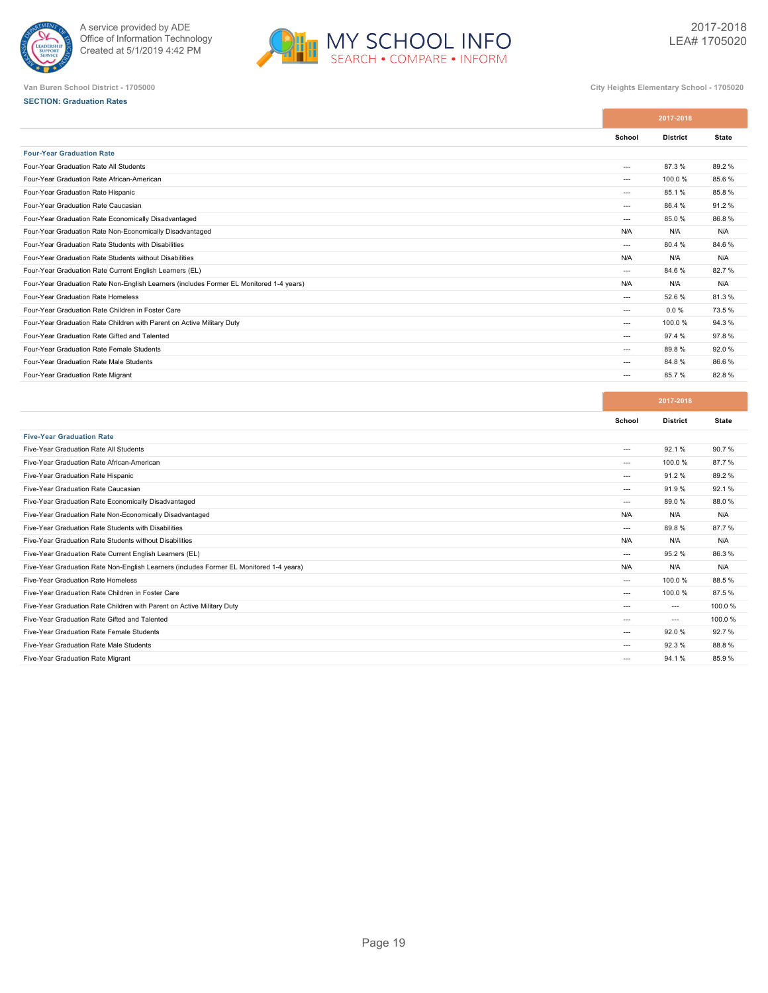



## **SECTION: Graduation Rates**

|                                                                                         |                          | 2017-2018       |              |
|-----------------------------------------------------------------------------------------|--------------------------|-----------------|--------------|
|                                                                                         | School                   | <b>District</b> | <b>State</b> |
| <b>Four-Year Graduation Rate</b>                                                        |                          |                 |              |
| Four-Year Graduation Rate All Students                                                  | $---$                    | 87.3%           | 89.2%        |
| Four-Year Graduation Rate African-American                                              | $\cdots$                 | 100.0%          | 85.6%        |
| Four-Year Graduation Rate Hispanic                                                      | $\cdots$                 | 85.1%           | 85.8%        |
| Four-Year Graduation Rate Caucasian                                                     | $---$                    | 86.4%           | 91.2%        |
| Four-Year Graduation Rate Economically Disadvantaged                                    | $---$                    | 85.0%           | 86.8%        |
| Four-Year Graduation Rate Non-Economically Disadvantaged                                | N/A                      | N/A             | N/A          |
| Four-Year Graduation Rate Students with Disabilities                                    | $---$                    | 80.4 %          | 84.6%        |
| Four-Year Graduation Rate Students without Disabilities                                 | <b>N/A</b>               | N/A             | N/A          |
| Four-Year Graduation Rate Current English Learners (EL)                                 | $---$                    | 84.6%           | 82.7%        |
| Four-Year Graduation Rate Non-English Learners (includes Former EL Monitored 1-4 years) | <b>N/A</b>               | N/A             | N/A          |
| Four-Year Graduation Rate Homeless                                                      | $---$                    | 52.6%           | 81.3%        |
| Four-Year Graduation Rate Children in Foster Care                                       | $\hspace{0.05cm} \ldots$ | 0.0%            | 73.5%        |
| Four-Year Graduation Rate Children with Parent on Active Military Duty                  | $---$                    | 100.0%          | 94.3%        |
| Four-Year Graduation Rate Gifted and Talented                                           | $---$                    | 97.4 %          | 97.8%        |
| Four-Year Graduation Rate Female Students                                               | $---$                    | 89.8%           | 92.0%        |
| Four-Year Graduation Rate Male Students                                                 | $\hspace{0.05cm} \ldots$ | 84.8%           | 86.6%        |
| Four-Year Graduation Rate Migrant                                                       | $---$                    | 85.7%           | 82.8%        |
|                                                                                         |                          |                 |              |

|                                                                                         |                          | 2017-2018       |              |
|-----------------------------------------------------------------------------------------|--------------------------|-----------------|--------------|
|                                                                                         | School                   | <b>District</b> | <b>State</b> |
| <b>Five-Year Graduation Rate</b>                                                        |                          |                 |              |
| Five-Year Graduation Rate All Students                                                  | $\hspace{0.05cm} \ldots$ | 92.1%           | 90.7%        |
| Five-Year Graduation Rate African-American                                              | $---$                    | 100.0%          | 87.7%        |
| Five-Year Graduation Rate Hispanic                                                      | $\cdots$                 | 91.2%           | 89.2%        |
| Five-Year Graduation Rate Caucasian                                                     | $---$                    | 91.9%           | 92.1%        |
| Five-Year Graduation Rate Economically Disadvantaged                                    | $\hspace{0.05cm} \ldots$ | 89.0%           | 88.0%        |
| Five-Year Graduation Rate Non-Economically Disadvantaged                                | N/A                      | N/A             | N/A          |
| Five-Year Graduation Rate Students with Disabilities                                    | $---$                    | 89.8%           | 87.7%        |
| Five-Year Graduation Rate Students without Disabilities                                 | N/A                      | N/A             | N/A          |
| Five-Year Graduation Rate Current English Learners (EL)                                 | $---$                    | 95.2%           | 86.3%        |
| Five-Year Graduation Rate Non-English Learners (includes Former EL Monitored 1-4 years) | N/A                      | N/A             | N/A          |
| Five-Year Graduation Rate Homeless                                                      | $---$                    | 100.0%          | 88.5%        |
| Five-Year Graduation Rate Children in Foster Care                                       | $---$                    | 100.0%          | 87.5 %       |
| Five-Year Graduation Rate Children with Parent on Active Military Duty                  | $\cdots$                 | $\cdots$        | 100.0%       |
| Five-Year Graduation Rate Gifted and Talented                                           | $---$                    | $\cdots$        | 100.0%       |
| Five-Year Graduation Rate Female Students                                               | $---$                    | 92.0%           | 92.7%        |
| Five-Year Graduation Rate Male Students                                                 | $---$                    | 92.3%           | 88.8%        |
| Five-Year Graduation Rate Migrant                                                       | $---$                    | 94.1%           | 85.9%        |
|                                                                                         |                          |                 |              |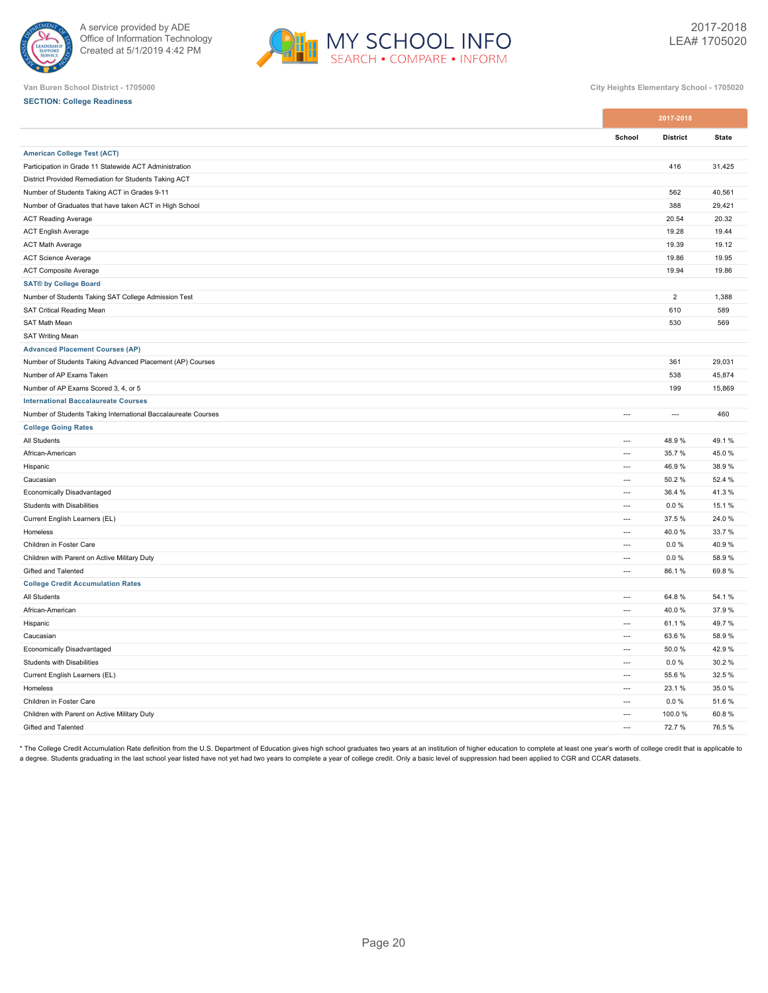



## **SECTION: College Readiness**

**Van Buren School District - 1705000 City Heights Elementary School - 1705020**

|                                                               |                          | 2017-2018                |              |
|---------------------------------------------------------------|--------------------------|--------------------------|--------------|
|                                                               | School                   | <b>District</b>          | <b>State</b> |
| <b>American College Test (ACT)</b>                            |                          |                          |              |
| Participation in Grade 11 Statewide ACT Administration        |                          | 416                      | 31,425       |
| District Provided Remediation for Students Taking ACT         |                          |                          |              |
| Number of Students Taking ACT in Grades 9-11                  |                          | 562                      | 40,561       |
| Number of Graduates that have taken ACT in High School        |                          | 388                      | 29,421       |
| <b>ACT Reading Average</b>                                    |                          | 20.54                    | 20.32        |
| <b>ACT English Average</b>                                    |                          | 19.28                    | 19.44        |
| <b>ACT Math Average</b>                                       |                          | 19.39                    | 19.12        |
| <b>ACT Science Average</b>                                    |                          | 19.86                    | 19.95        |
| <b>ACT Composite Average</b>                                  |                          | 19.94                    | 19.86        |
| <b>SAT® by College Board</b>                                  |                          |                          |              |
| Number of Students Taking SAT College Admission Test          |                          | $\overline{2}$           | 1,388        |
| SAT Critical Reading Mean                                     |                          | 610                      | 589          |
| SAT Math Mean                                                 |                          | 530                      | 569          |
| <b>SAT Writing Mean</b>                                       |                          |                          |              |
| <b>Advanced Placement Courses (AP)</b>                        |                          |                          |              |
| Number of Students Taking Advanced Placement (AP) Courses     |                          | 361                      | 29,031       |
| Number of AP Exams Taken                                      |                          | 538                      | 45,874       |
| Number of AP Exams Scored 3, 4, or 5                          |                          | 199                      | 15,869       |
| <b>International Baccalaureate Courses</b>                    |                          |                          |              |
| Number of Students Taking International Baccalaureate Courses | $\overline{a}$           | $\hspace{0.05cm} \ldots$ | 460          |
| <b>College Going Rates</b>                                    |                          |                          |              |
| All Students                                                  | $\overline{\phantom{a}}$ | 48.9%                    | 49.1%        |
| African-American                                              | $---$                    | 35.7%                    | 45.0%        |
| Hispanic                                                      | $\overline{a}$           | 46.9%                    | 38.9%        |
| Caucasian                                                     | $\overline{\phantom{a}}$ | 50.2%                    | 52.4 %       |
| Economically Disadvantaged                                    | $\overline{\phantom{a}}$ | 36.4%                    | 41.3%        |
| Students with Disabilities                                    | $\overline{a}$           | 0.0%                     | 15.1 %       |
| Current English Learners (EL)                                 | $\overline{\phantom{a}}$ | 37.5%                    | 24.0%        |
| Homeless                                                      | $\hspace{0.05cm} \cdots$ | 40.0%                    | 33.7%        |
| Children in Foster Care                                       | $\overline{a}$           | $0.0 \%$                 | 40.9%        |
| Children with Parent on Active Military Duty                  | $\overline{a}$           | $0.0 \%$                 | 58.9%        |
| Gifted and Talented                                           | $\overline{\phantom{a}}$ | 86.1%                    | 69.8%        |
| <b>College Credit Accumulation Rates</b>                      |                          |                          |              |
| All Students                                                  | $\overline{a}$           | 64.8%                    | 54.1%        |
| African-American                                              | $\overline{a}$           | 40.0%                    | 37.9%        |
| Hispanic                                                      | $\hspace{0.05cm} \cdots$ | 61.1%                    | 49.7%        |
| Caucasian                                                     | $\overline{\phantom{a}}$ | 63.6%                    | 58.9%        |
| Economically Disadvantaged                                    | $\overline{a}$           | 50.0%                    | 42.9%        |
| Students with Disabilities                                    | $\overline{\phantom{a}}$ | 0.0 %                    | 30.2%        |
| Current English Learners (EL)                                 | $\overline{a}$           | 55.6%                    | 32.5 %       |
| Homeless                                                      | $\overline{\phantom{a}}$ | 23.1%                    | 35.0%        |
| Children in Foster Care                                       | $\overline{a}$           | 0.0%                     | 51.6%        |
| Children with Parent on Active Military Duty                  | $\cdots$                 | 100.0%                   | 60.8%        |
| Gifted and Talented                                           | ---                      | 72.7%                    | 76.5%        |

\* The College Credit Accumulation Rate definition from the U.S. Department of Education gives high school graduates two years at an institution of higher education to complete at least one year's worth of college credit th a degree. Students graduating in the last school year listed have not yet had two years to complete a year of college credit. Only a basic level of suppression had been applied to CGR and CCAR datasets.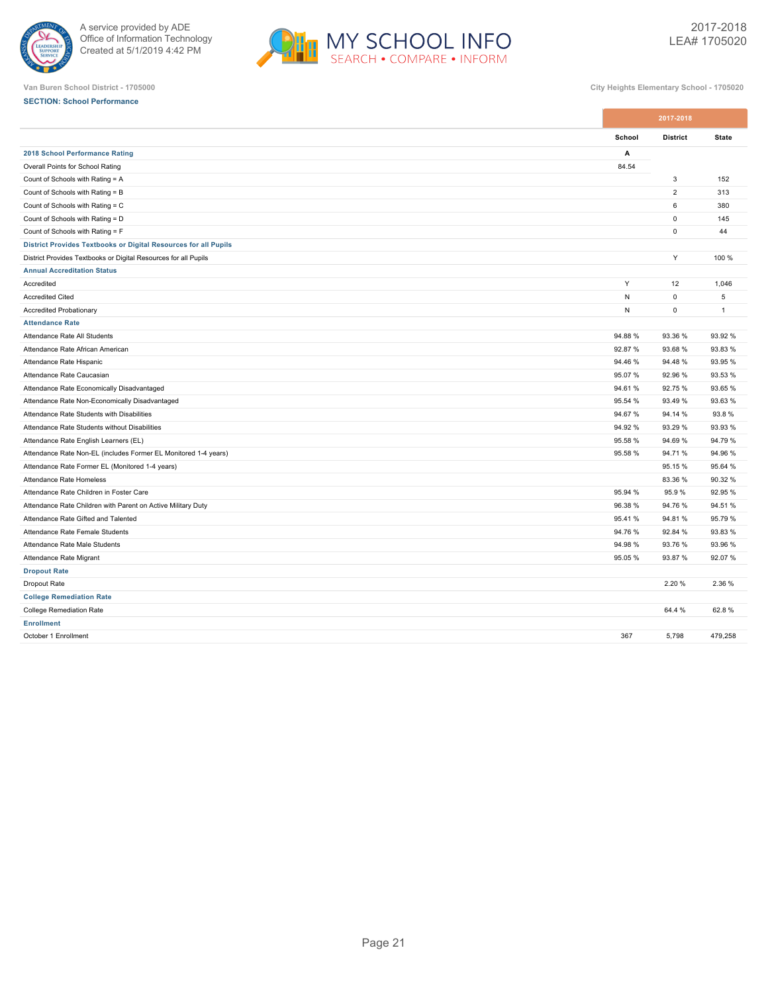



| <b>SECTION: School Performance</b>                              |         |                 |              |
|-----------------------------------------------------------------|---------|-----------------|--------------|
|                                                                 |         | 2017-2018       |              |
|                                                                 | School  | <b>District</b> | <b>State</b> |
| 2018 School Performance Rating                                  | Α       |                 |              |
| Overall Points for School Rating                                | 84.54   |                 |              |
| Count of Schools with Rating = A                                |         | 3               | 152          |
| Count of Schools with Rating = B                                |         | $\overline{2}$  | 313          |
| Count of Schools with Rating = C                                |         | 6               | 380          |
| Count of Schools with Rating = D                                |         | 0               | 145          |
| Count of Schools with Rating = F                                |         | 0               | 44           |
| District Provides Textbooks or Digital Resources for all Pupils |         |                 |              |
| District Provides Textbooks or Digital Resources for all Pupils |         | Υ               | 100 %        |
| <b>Annual Accreditation Status</b>                              |         |                 |              |
| Accredited                                                      | Y       | 12              | 1,046        |
| <b>Accredited Cited</b>                                         | N       | 0               | 5            |
| Accredited Probationary                                         | $\sf N$ | $\mathbf 0$     | $\mathbf{1}$ |
| <b>Attendance Rate</b>                                          |         |                 |              |
| Attendance Rate All Students                                    | 94.88%  | 93.36 %         | 93.92 %      |
| Attendance Rate African American                                | 92.87%  | 93.68 %         | 93.83%       |
| Attendance Rate Hispanic                                        | 94.46%  | 94.48 %         | 93.95 %      |
| Attendance Rate Caucasian                                       | 95.07%  | 92.96 %         | 93.53 %      |
| Attendance Rate Economically Disadvantaged                      | 94.61%  | 92.75 %         | 93.65 %      |
| Attendance Rate Non-Economically Disadvantaged                  | 95.54 % | 93.49 %         | 93.63 %      |
| Attendance Rate Students with Disabilities                      | 94.67%  | 94.14 %         | 93.8%        |
| Attendance Rate Students without Disabilities                   | 94.92%  | 93.29 %         | 93.93 %      |
| Attendance Rate English Learners (EL)                           | 95.58 % | 94.69 %         | 94.79%       |
| Attendance Rate Non-EL (includes Former EL Monitored 1-4 years) | 95.58%  | 94.71 %         | 94.96 %      |
| Attendance Rate Former EL (Monitored 1-4 years)                 |         | 95.15 %         | 95.64 %      |
| Attendance Rate Homeless                                        |         | 83.36 %         | 90.32 %      |
| Attendance Rate Children in Foster Care                         | 95.94 % | 95.9%           | 92.95 %      |
| Attendance Rate Children with Parent on Active Military Duty    | 96.38%  | 94.76 %         | 94.51%       |
| Attendance Rate Gifted and Talented                             | 95.41%  | 94.81%          | 95.79 %      |
| Attendance Rate Female Students                                 | 94.76%  | 92.84 %         | 93.83 %      |
| Attendance Rate Male Students                                   | 94.98%  | 93.76 %         | 93.96 %      |
| Attendance Rate Migrant                                         | 95.05%  | 93.87 %         | 92.07%       |
| <b>Dropout Rate</b>                                             |         |                 |              |
| Dropout Rate                                                    |         | 2.20%           | 2.36 %       |
| <b>College Remediation Rate</b>                                 |         |                 |              |
| College Remediation Rate                                        |         | 64.4%           | 62.8%        |
| <b>Enrollment</b>                                               |         |                 |              |
| October 1 Enrollment                                            | 367     | 5,798           | 479,258      |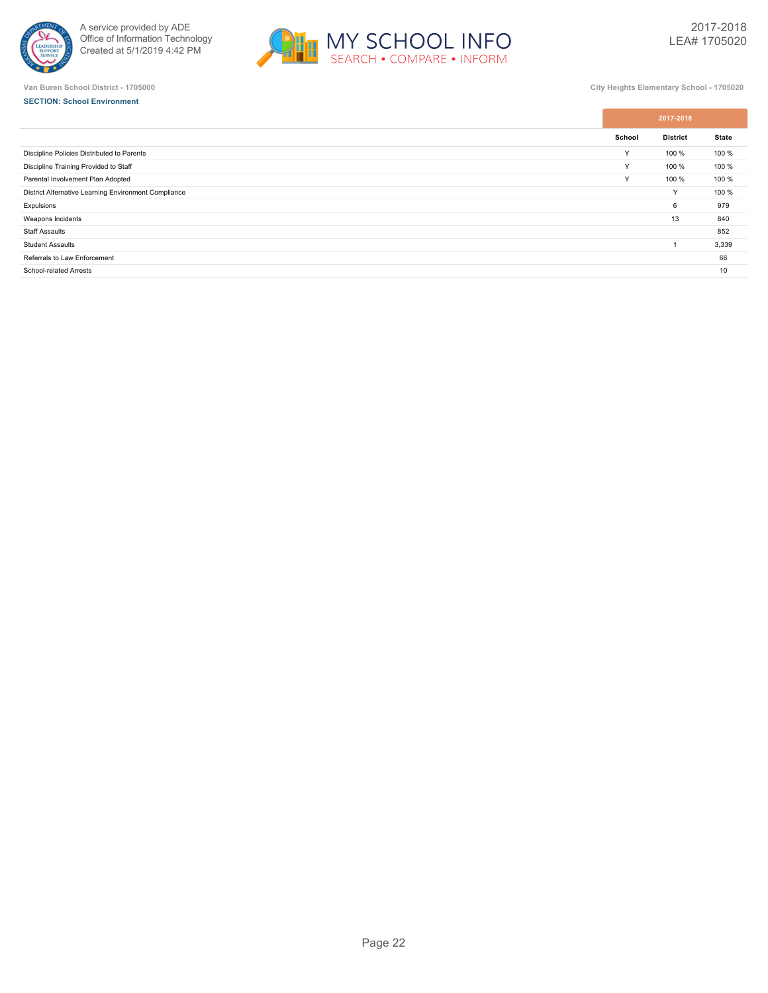



# **SECTION: School Environment**

| .                                                    |        |                 | State<br>100 %<br>100 %<br>100 %<br>100 %<br>979<br>840<br>852<br>3,339<br>66 |
|------------------------------------------------------|--------|-----------------|-------------------------------------------------------------------------------|
|                                                      |        | 2017-2018       |                                                                               |
|                                                      | School | <b>District</b> |                                                                               |
| Discipline Policies Distributed to Parents           | Y      | 100 %           |                                                                               |
| Discipline Training Provided to Staff                | Y      | 100 %           |                                                                               |
| Parental Involvement Plan Adopted                    | Y      | 100 %           |                                                                               |
| District Alternative Learning Environment Compliance |        | Y               |                                                                               |
| Expulsions                                           |        | 6               |                                                                               |
| Weapons Incidents                                    |        | 13              |                                                                               |
| <b>Staff Assaults</b>                                |        |                 |                                                                               |
| <b>Student Assaults</b>                              |        |                 |                                                                               |
| Referrals to Law Enforcement                         |        |                 |                                                                               |
| School-related Arrests                               |        |                 | 10                                                                            |
|                                                      |        |                 |                                                                               |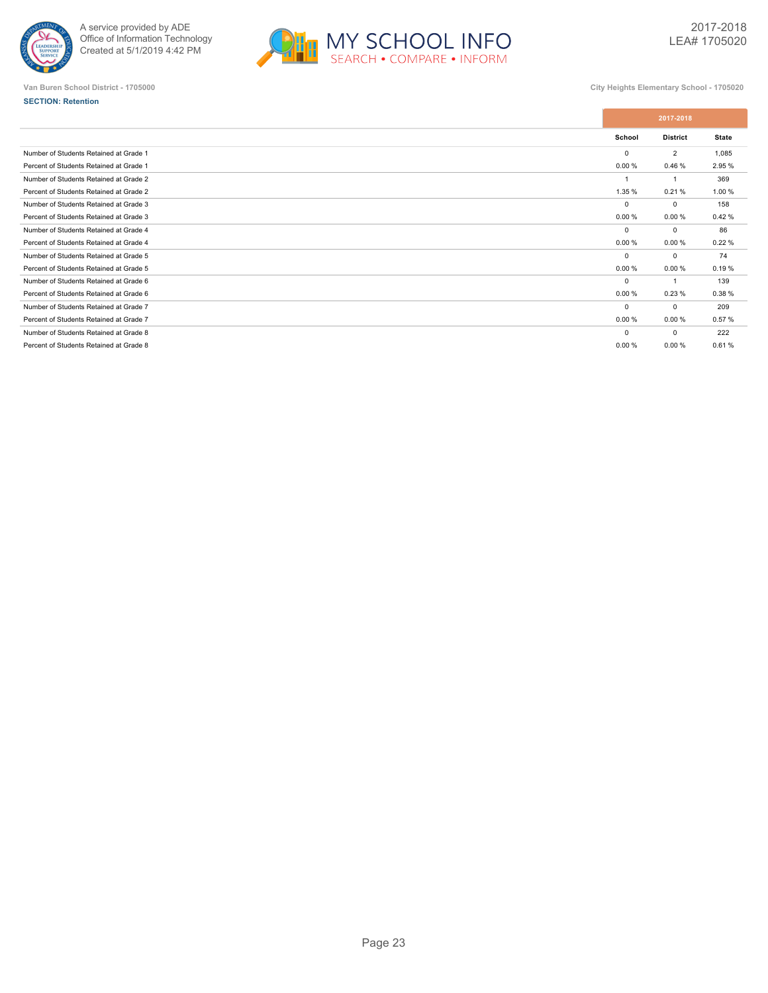

**SECTION: Retention**



|                                         |             | 2017-2018       |        |
|-----------------------------------------|-------------|-----------------|--------|
|                                         | School      | <b>District</b> | State  |
| Number of Students Retained at Grade 1  | $\mathbf 0$ | $\overline{2}$  | 1,085  |
| Percent of Students Retained at Grade 1 | 0.00%       | 0.46%           | 2.95 % |
| Number of Students Retained at Grade 2  |             |                 | 369    |
| Percent of Students Retained at Grade 2 | 1.35 %      | 0.21%           | 1.00 % |
| Number of Students Retained at Grade 3  | $\mathbf 0$ | $^{\circ}$      | 158    |
| Percent of Students Retained at Grade 3 | 0.00%       | 0.00%           | 0.42%  |
| Number of Students Retained at Grade 4  | $\mathbf 0$ | $\mathbf 0$     | 86     |
| Percent of Students Retained at Grade 4 | 0.00%       | 0.00%           | 0.22%  |
| Number of Students Retained at Grade 5  | $\mathbf 0$ | $\mathbf 0$     | 74     |
| Percent of Students Retained at Grade 5 | 0.00%       | 0.00%           | 0.19%  |
| Number of Students Retained at Grade 6  | $\mathbf 0$ |                 | 139    |
| Percent of Students Retained at Grade 6 | 0.00%       | 0.23%           | 0.38%  |
| Number of Students Retained at Grade 7  | $\mathbf 0$ | $\mathbf 0$     | 209    |
| Percent of Students Retained at Grade 7 | 0.00%       | 0.00%           | 0.57%  |
| Number of Students Retained at Grade 8  | $\mathbf 0$ | $\mathbf 0$     | 222    |
| Percent of Students Retained at Grade 8 | 0.00%       | 0.00%           | 0.61%  |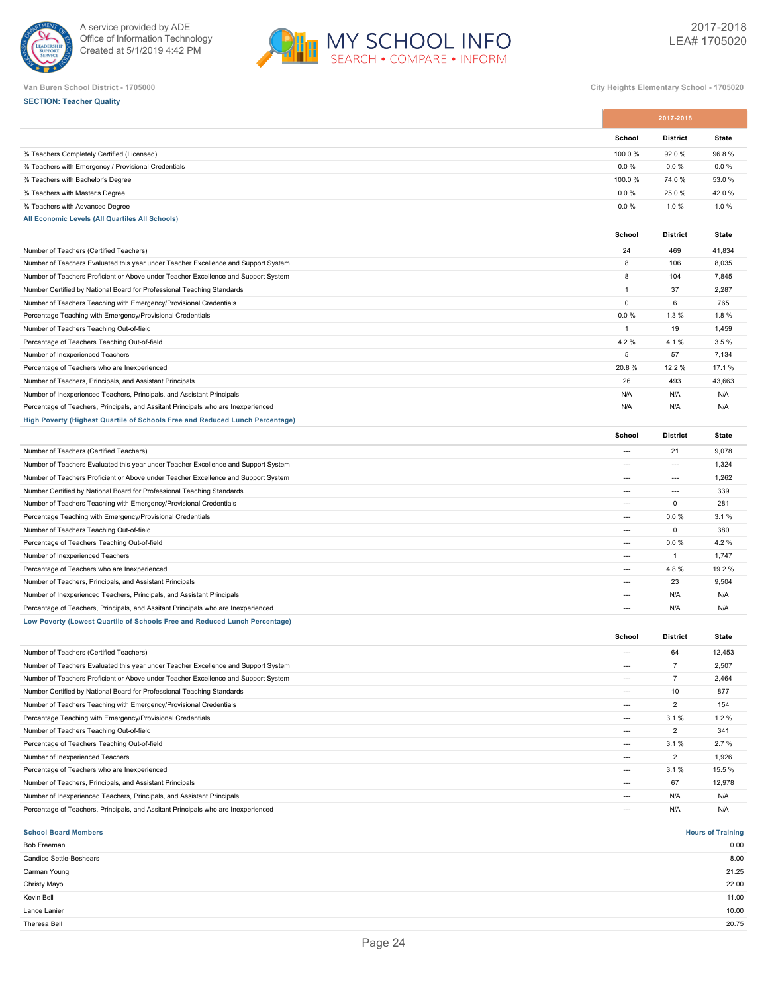



| <b>SECTION: Teacher Quality</b>                                                    |                          |                          |                          |
|------------------------------------------------------------------------------------|--------------------------|--------------------------|--------------------------|
|                                                                                    |                          | 2017-2018                |                          |
|                                                                                    | School                   | <b>District</b>          | State                    |
| % Teachers Completely Certified (Licensed)                                         | 100.0%                   | 92.0%                    | 96.8%                    |
| % Teachers with Emergency / Provisional Credentials                                | 0.0%                     | 0.0%                     | $0.0 \%$                 |
| % Teachers with Bachelor's Degree                                                  | 100.0%                   | 74.0%                    | 53.0 %                   |
| % Teachers with Master's Degree                                                    | 0.0%                     | 25.0%                    | 42.0%                    |
| % Teachers with Advanced Degree                                                    | 0.0%                     | 1.0%                     | 1.0%                     |
| All Economic Levels (All Quartiles All Schools)                                    |                          |                          |                          |
|                                                                                    | School                   | <b>District</b>          | <b>State</b>             |
| Number of Teachers (Certified Teachers)                                            | 24                       | 469                      | 41,834                   |
| Number of Teachers Evaluated this year under Teacher Excellence and Support System | 8                        | 106                      | 8,035                    |
| Number of Teachers Proficient or Above under Teacher Excellence and Support System | 8                        | 104                      | 7,845                    |
| Number Certified by National Board for Professional Teaching Standards             | $\mathbf{1}$             | 37                       | 2,287                    |
| Number of Teachers Teaching with Emergency/Provisional Credentials                 | $\mathsf 0$              | 6                        | 765                      |
| Percentage Teaching with Emergency/Provisional Credentials                         | 0.0%                     | 1.3%                     | 1.8%                     |
| Number of Teachers Teaching Out-of-field                                           | $\mathbf{1}$             | 19                       | 1,459                    |
| Percentage of Teachers Teaching Out-of-field                                       | 4.2%                     | 4.1%                     | 3.5%                     |
| Number of Inexperienced Teachers                                                   | 5                        | 57                       | 7,134                    |
| Percentage of Teachers who are Inexperienced                                       | 20.8%                    | 12.2%                    | 17.1 %                   |
| Number of Teachers, Principals, and Assistant Principals                           | 26                       | 493                      | 43,663                   |
| Number of Inexperienced Teachers, Principals, and Assistant Principals             | N/A                      | N/A                      | N/A                      |
| Percentage of Teachers, Principals, and Assitant Principals who are Inexperienced  | N/A                      | N/A                      | N/A                      |
| High Poverty (Highest Quartile of Schools Free and Reduced Lunch Percentage)       | School                   | <b>District</b>          | <b>State</b>             |
| Number of Teachers (Certified Teachers)                                            | $\overline{a}$           | 21                       | 9,078                    |
| Number of Teachers Evaluated this year under Teacher Excellence and Support System | ---                      | $\overline{a}$           | 1,324                    |
| Number of Teachers Proficient or Above under Teacher Excellence and Support System | $---$                    | $\hspace{0.05cm} \ldots$ | 1,262                    |
| Number Certified by National Board for Professional Teaching Standards             | ---                      | $\overline{a}$           | 339                      |
| Number of Teachers Teaching with Emergency/Provisional Credentials                 | $\overline{\phantom{a}}$ | 0                        | 281                      |
| Percentage Teaching with Emergency/Provisional Credentials                         | ---                      | 0.0%                     | 3.1%                     |
| Number of Teachers Teaching Out-of-field                                           | $\overline{a}$           | $\mathsf 0$              | 380                      |
| Percentage of Teachers Teaching Out-of-field                                       | $\overline{a}$           | 0.0%                     | 4.2%                     |
| Number of Inexperienced Teachers                                                   | $\overline{a}$           | $\mathbf{1}$             | 1,747                    |
| Percentage of Teachers who are Inexperienced                                       | $---$                    | 4.8%                     | 19.2 %                   |
| Number of Teachers, Principals, and Assistant Principals                           | $\overline{\phantom{a}}$ | 23                       | 9,504                    |
| Number of Inexperienced Teachers, Principals, and Assistant Principals             | ---                      | N/A                      | N/A                      |
| Percentage of Teachers, Principals, and Assitant Principals who are Inexperienced  | ---                      | N/A                      | N/A                      |
| Low Poverty (Lowest Quartile of Schools Free and Reduced Lunch Percentage)         |                          |                          |                          |
|                                                                                    | School                   | <b>District</b>          | State                    |
| Number of Teachers (Certified Teachers)                                            | ---                      | 64                       | 12,453                   |
| Number of Teachers Evaluated this year under Teacher Excellence and Support System | $\overline{\phantom{a}}$ | 7                        | 2,507                    |
| Number of Teachers Proficient or Above under Teacher Excellence and Support System | ---                      | $\overline{7}$           | 2,464                    |
| Number Certified by National Board for Professional Teaching Standards             | $\overline{\phantom{a}}$ | 10                       | 877                      |
| Number of Teachers Teaching with Emergency/Provisional Credentials                 | ---                      | $\overline{2}$           | 154                      |
| Percentage Teaching with Emergency/Provisional Credentials                         | $\overline{\phantom{a}}$ | 3.1%                     | 1.2%                     |
| Number of Teachers Teaching Out-of-field                                           | ---                      | $\overline{2}$           | 341                      |
| Percentage of Teachers Teaching Out-of-field                                       | $\overline{a}$           | 3.1%                     | 2.7%                     |
| Number of Inexperienced Teachers                                                   | $---$                    | $\overline{2}$           | 1,926                    |
| Percentage of Teachers who are Inexperienced                                       | ---                      | 3.1%                     | 15.5 %                   |
| Number of Teachers, Principals, and Assistant Principals                           | ---                      | 67                       | 12,978                   |
| Number of Inexperienced Teachers, Principals, and Assistant Principals             | ---                      | N/A                      | N/A                      |
| Percentage of Teachers, Principals, and Assitant Principals who are Inexperienced  | $\overline{a}$           | N/A                      | N/A                      |
| <b>School Board Members</b>                                                        |                          |                          | <b>Hours of Training</b> |
| Bob Freeman                                                                        |                          |                          | 0.00                     |
| Candice Settle-Beshears                                                            |                          |                          | 8.00                     |
| Carman Young                                                                       |                          |                          | 21.25                    |
| Christy Mayo                                                                       |                          |                          | 22.00                    |
| Kevin Bell                                                                         |                          |                          | 11.00                    |
| Lance Lanier                                                                       |                          |                          | 10.00                    |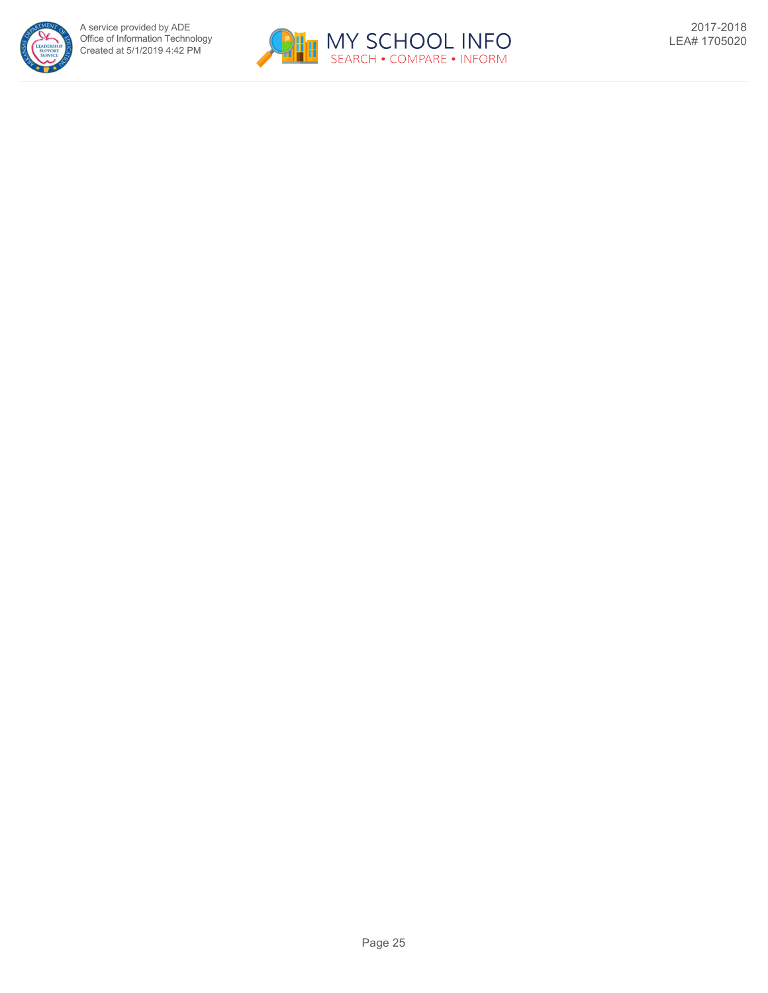

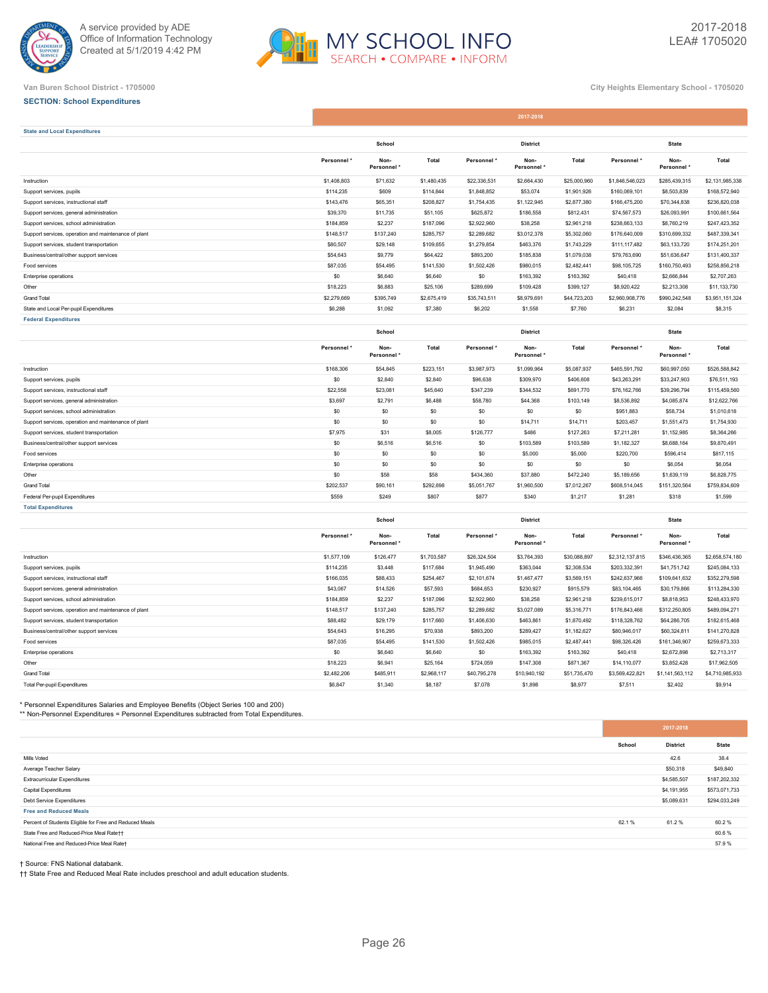



## **SECTION: School Expenditures**

|                                                      |                        |                                |             |                        | 2017-2018                      |              |                  |                     |                 |
|------------------------------------------------------|------------------------|--------------------------------|-------------|------------------------|--------------------------------|--------------|------------------|---------------------|-----------------|
| <b>State and Local Expenditures</b>                  |                        |                                |             |                        |                                |              |                  |                     |                 |
|                                                      |                        | School                         |             |                        | <b>District</b>                |              |                  | <b>State</b>        |                 |
|                                                      | Personnel <sup>*</sup> | Non-<br>Personnel *            | Total       | Personnel *            | Non-<br>Personnel *            | Total        | Personnel*       | Non-<br>Personnel * | Total           |
| Instruction                                          | \$1,408,803            | \$71.632                       | \$1,480,435 | \$22,336,531           | \$2,664,430                    | \$25,000.960 | \$1,846,546,023  | \$285,439,315       | \$2.131.985.338 |
| Support services, pupils                             | \$114,235              | \$609                          | \$114,844   | \$1,848,852            | \$53,074                       | \$1,901,926  | \$160,069,101    | \$8,503,839         | \$168,572,940   |
| Support services, instructional staff                | \$143,476              | \$65,351                       | \$208,827   | \$1,754,435            | \$1,122,945                    | \$2,877,380  | \$166,475,200    | \$70,344,838        | \$236,820,038   |
| Support services, general administration             | \$39,370               | \$11,735                       | \$51,105    | \$625,872              | \$186,558                      | \$812,431    | \$74,567,573     | \$26,093,991        | \$100,661,564   |
| Support services, school administration              | \$184,859              | \$2,237                        | \$187,096   | \$2,922,960            | \$38,258                       | \$2,961,218  | \$238,663,133    | \$8,760,219         | \$247,423,352   |
| Support services, operation and maintenance of plant | \$148,517              | \$137.240                      | \$285,757   | \$2,289,682            | \$3,012,378                    | \$5,302,060  | \$176,640,009    | \$310,699,332       | \$487,339,341   |
| Support services, student transportation             | \$80,507               | \$29,148                       | \$109,655   | \$1,279,854            | \$463,376                      | \$1,743,229  | \$111,117,482    | \$63,133,720        | \$174,251,201   |
| Business/central/other support services              | \$54,643               | \$9,779                        | \$64,422    | \$893,200              | \$185,838                      | \$1,079,038  | \$79,763,690     | \$51,636,647        | \$131,400,337   |
| Food services                                        | \$87,035               | \$54,495                       | \$141,530   | \$1,502,426            | \$980,015                      | \$2,482,441  | \$98,105,725     | \$160,750,493       | \$258,856,218   |
| Enterprise operations                                | \$0                    | \$6,640                        | \$6,640     | \$0                    | \$163,392                      | \$163,392    | \$40,418         | \$2,666,844         | \$2,707,263     |
| Other                                                | \$18,223               | \$6,883                        | \$25,106    | \$289,699              | \$109,428                      | \$399,127    | \$8,920,422      | \$2,213,308         | \$11,133,730    |
| <b>Grand Total</b>                                   | \$2,279,669            | \$395,749                      | \$2,675,419 | \$35,743,511           | \$8,979,691                    | \$44,723,203 | \$2,960,908,776  | \$990,242,548       | \$3,951,151,324 |
| State and Local Per-pupil Expenditures               | \$6,288                | \$1,092                        | \$7,380     | \$6,202                | \$1,558                        | \$7,760      | \$6,231          | \$2,084             | \$8,315         |
| <b>Federal Expenditures</b>                          |                        |                                |             |                        |                                |              |                  |                     |                 |
|                                                      |                        | School                         |             |                        | <b>District</b>                |              |                  | <b>State</b>        |                 |
|                                                      | Personnel *            | Non-<br>Personnel *            | Total       | Personnel *            | Non-<br>Personnel *            | Total        | Personnel *      | Non-<br>Personnel * | Total           |
| Instruction                                          | \$168,306              | \$54,845                       | \$223,151   | \$3,987,973            | \$1,099,964                    | \$5,087,937  | \$465,591,792    | \$60,997,050        | \$526,588,842   |
| Support services, pupils                             | S <sub>0</sub>         | \$2,840                        | \$2,840     | \$96,638               | \$309,970                      | \$406,608    | \$43,263,291     | \$33,247,903        | \$76,511,193    |
| Support services, instructional staff                | \$22,558               | \$23.081                       | \$45,640    | \$347,239              | \$344,532                      | \$691,770    | \$76,162,766     | \$39,296,794        | \$115,459,560   |
| Support services, general administration             | \$3,697                | \$2,791                        | \$6,488     | \$58,780               | \$44,368                       | \$103,149    | \$8,536,892      | \$4,085,874         | \$12,622,766    |
| Support services, school administration              | \$0                    | \$0                            | \$0         | \$0                    | \$0                            | \$0          | \$951,883        | \$58,734            | \$1,010,618     |
| Support services, operation and maintenance of plant | \$0                    | \$0                            | \$0         | \$0                    | \$14,711                       | \$14,711     | \$203,457        | \$1,551,473         | \$1,754,930     |
| Support services, student transportation             | \$7,975                | \$31                           | \$8,005     | \$126,777              | \$486                          | \$127,263    | \$7,211,281      | \$1,152,985         | \$8,364,266     |
| Business/central/other support services              | \$0                    | \$6,516                        | \$6,516     | \$0                    | \$103,589                      | \$103,589    | \$1,182,327      | \$8,688,164         | \$9,870,491     |
| Food services                                        | \$0                    | S <sub>0</sub>                 | \$0         | \$0                    | \$5,000                        | \$5,000      | \$220,700        | \$596,414           | \$817,115       |
| Enterprise operations                                | \$0                    | \$0                            | \$0         | \$0                    | \$0                            | \$0          | \$0              | \$6,054             | \$6,054         |
| Other                                                | \$0                    | \$58                           | \$58        | \$434,360              | \$37,880                       | \$472,240    | \$5,189,656      | \$1,639,119         | \$6,828,775     |
| <b>Grand Total</b>                                   | \$202,537              | \$90,161                       | \$292,698   | \$5,051,767            | \$1,960,500                    | \$7,012,267  | \$608,514,045    | \$151,320,564       | \$759,834,609   |
| Federal Per-pupil Expenditures                       | \$559                  | \$249                          | \$807       | \$877                  | \$340                          | \$1,217      | \$1,281          | \$318               | \$1,599         |
| <b>Total Expenditures</b>                            |                        |                                |             |                        |                                |              |                  |                     |                 |
|                                                      |                        | School                         |             |                        | <b>District</b>                |              |                  | <b>State</b>        |                 |
|                                                      | Personnel <sup>®</sup> | Non-<br>Personnel <sup>'</sup> | Total       | Personnel <sup>*</sup> | Non-<br>Personnel <sup>*</sup> | Total        | <b>Personnel</b> | Non-<br>Personnel * | Total           |

|                                                      |             | Personnel * |             |              | Personnel*   |              |                 | Personnel *     |                 |
|------------------------------------------------------|-------------|-------------|-------------|--------------|--------------|--------------|-----------------|-----------------|-----------------|
| Instruction                                          | \$1,577,109 | \$126,477   | \$1,703,587 | \$26,324,504 | \$3,764,393  | \$30,088,897 | \$2,312,137,815 | \$346,436,365   | \$2,658,574,180 |
| Support services, pupils                             | \$114,235   | \$3,448     | \$117,684   | \$1,945,490  | \$363,044    | \$2,308,534  | \$203,332,391   | \$41,751,742    | \$245,084,133   |
| Support services, instructional staff                | \$166,035   | \$88,433    | \$254,467   | \$2,101,674  | \$1,467,477  | \$3,569,151  | \$242,637,966   | \$109,641,632   | \$352,279,598   |
| Support services, general administration             | \$43,067    | \$14,526    | \$57,593    | \$684,653    | \$230,927    | \$915,579    | \$83,104,465    | \$30,179,866    | \$113,284,330   |
| Support services, school administration              | \$184,859   | \$2,237     | \$187,096   | \$2,922,960  | \$38,258     | \$2,961,218  | \$239,615,017   | \$8,818,953     | \$248,433,970   |
| Support services, operation and maintenance of plant | \$148,517   | \$137,240   | \$285,757   | \$2,289,682  | \$3,027,089  | \$5,316,771  | \$176,843,466   | \$312,250,805   | \$489,094,271   |
| Support services, student transportation             | \$88,482    | \$29,179    | \$117,660   | \$1,406,630  | \$463,861    | \$1,870,492  | \$118,328,762   | \$64,286,705    | \$182,615,468   |
| Business/central/other support services              | \$54,643    | \$16,295    | \$70,938    | \$893,200    | \$289,427    | \$1,182,627  | \$80,946,017    | \$60,324,811    | \$141,270,828   |
| Food services                                        | \$87,035    | \$54,495    | \$141,530   | \$1,502,426  | \$985,015    | \$2,487,441  | \$98,326,426    | \$161,346,907   | \$259,673,333   |
| Enterprise operations                                | \$0         | \$6,640     | \$6,640     | \$0          | \$163,392    | \$163,392    | \$40,418        | \$2,672,898     | \$2,713,317     |
| Other                                                | \$18,223    | \$6,941     | \$25,164    | \$724,059    | \$147,308    | \$871,367    | \$14,110,077    | \$3,852,428     | \$17,962,505    |
| <b>Grand Total</b>                                   | \$2,482,206 | \$485,911   | \$2,968,117 | \$40,795,278 | \$10,940,192 | \$51,735,470 | \$3,569,422.821 | \$1,141,563,112 | \$4,710,985,933 |
| <b>Total Per-pupil Expenditures</b>                  | \$6,847     | \$1,340     | \$8,187     | \$7,078      | \$1,898      | \$8,977      | \$7,511         | \$2,402         | \$9,914         |

\* Personnel Expenditures Salaries and Employee Benefits (Object Series 100 and 200)

\*\* Non-Personnel Expenditures = Personnel Expenditures subtracted from Total Expenditures.

|                                                         |        | 2017-2018       |               |
|---------------------------------------------------------|--------|-----------------|---------------|
|                                                         | School | <b>District</b> | State         |
| Mills Voted                                             |        | 42.6            | 38.4          |
| Average Teacher Salary                                  |        | \$50,318        | \$49,840      |
| <b>Extracurricular Expenditures</b>                     |        | \$4,585,507     | \$187,202,332 |
| Capital Expenditures                                    |        | \$4,191,955     | \$573,071,733 |
| Debt Service Expenditures                               |        | \$5,089,631     | \$294,033,249 |
| <b>Free and Reduced Meals</b>                           |        |                 |               |
| Percent of Students Eligible for Free and Reduced Meals | 62.1%  | 61.2%           | 60.2%         |
| State Free and Reduced-Price Meal Rate††                |        |                 | 60.6%         |
| National Free and Reduced-Price Meal Rate+              |        |                 | 57.9%         |
|                                                         |        |                 |               |

† Source: FNS National databank.

†† State Free and Reduced Meal Rate includes preschool and adult education students.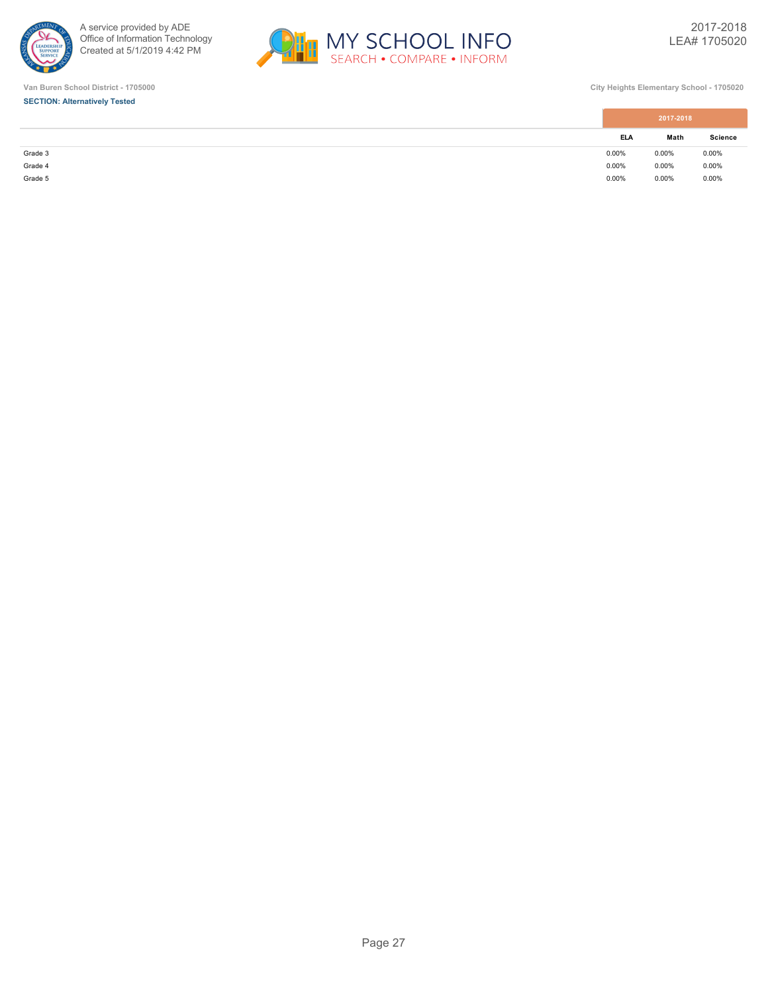

A service provided by ADE Office of Information Technology Created at 5/1/2019 4:42 PM





|                               |            | 2017-2018 |          |
|-------------------------------|------------|-----------|----------|
|                               | <b>ELA</b> | Math      | Science  |
|                               | 0.00%      | $0.00\%$  | $0.00\%$ |
| Grade 3<br>Grade 4<br>Grade 5 | 0.00%      | $0.00\%$  | $0.00\%$ |
|                               | 0.00%      | 0.00%     | $0.00\%$ |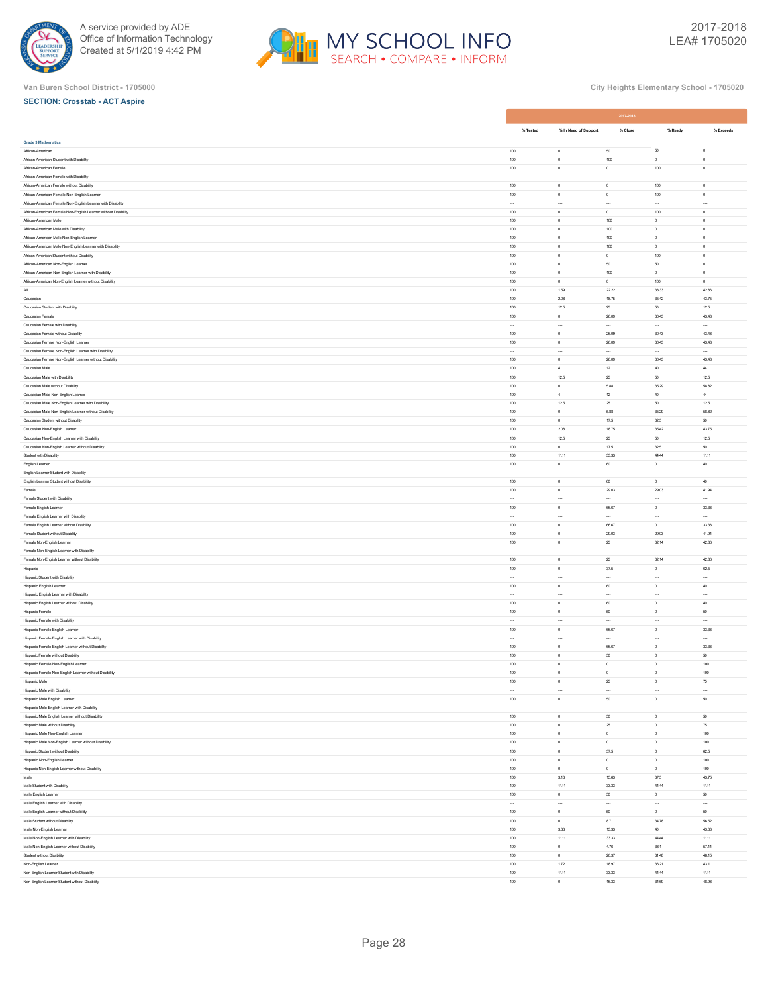



|                                                                                               |                      | 2017-2018                           |                                     |                            |                        |
|-----------------------------------------------------------------------------------------------|----------------------|-------------------------------------|-------------------------------------|----------------------------|------------------------|
|                                                                                               | $%$ Tested           | % In Need of Support                | $\%$ Close                          | % Ready                    | % Exceeds              |
| <b>Grade 3 Mathematics</b>                                                                    |                      |                                     |                                     |                            |                        |
| African-American                                                                              | 100                  | $\,$ 0 $\,$                         | $_{50}$                             | $_{50}$                    | $^{\circ}$             |
| African-American Student with Disability                                                      | 100                  | $\circ$                             | 100                                 | $\circ$                    | $^{\circ}$             |
| African-American Female                                                                       | $100\,$              | $\,$ 0                              | $\mathbf 0$                         | 100                        | $\circ$                |
| African-American Female with Disability                                                       | $\ddotsc$            | $\cdots$                            | $\cdots$                            |                            | $\cdots$               |
| African-American Female without Disability<br>African-American Female Non-English Learner     | 100<br>$100\,$       | $\,$ 0 $\,$<br>$\,$ 0 $\,$          | $\,$ 0 $\,$<br>$\mathbf 0$          | 100<br>$100\,$             | $\,$ 0 $\,$<br>$\,$ 0  |
| African-American Female Non-English Learner with Disability                                   | $\cdots$             | $\cdots$                            | $\cdots$                            | $\cdots$                   |                        |
| African-American Female Non-English Learner without Disability                                | 100                  | $\,$ 0 $\,$                         | $\,$ 0 $\,$                         | 100                        | $\circ$                |
| African-American Male                                                                         | 100                  | $\,$ 0                              | 100                                 | $\mathsf 0$                | $\circ$                |
| African-American Male with Disability                                                         | 100                  | $\,0\,$                             | 100                                 | $\circ$                    | $\,$ 0                 |
| African-American Male Non-English Learner                                                     | $100\,$              | $\,$ 0                              | 100                                 | $\mathsf{o}$               | $\circ$                |
| African-American Male Non-English Learner with Disability                                     | 100                  | $\,$ 0                              | 100                                 | $\circ$                    | $\,$ 0                 |
| African-American Student without Disability<br>African-American Non-English Learner           | 100<br>$100\,$       | $\,$ 0 $\,$<br>$\,$ 0               | $\mathbf 0$<br>$_{\rm 50}$          | 100<br>$_{50}$             | $\,$ 0 $\,$<br>$\circ$ |
| African-American Non-English Learner with Disability                                          | 100                  | $\circ$                             | 100                                 | $\circ$                    | $\circ$                |
| African-American Non-English Learner without Disability                                       | 100                  | $\,0\,$                             | $\mathbf 0$                         | 100                        | $\,$ 0 $\,$            |
| All                                                                                           | 100                  | 1.59                                | 22.22                               | 33.33                      | 42.86                  |
| Caucasian                                                                                     | 100                  | 2.08                                | 18.75                               | 35.42                      | 43.75                  |
| Caucasian Student with Disability                                                             | $100\,$              | $12.5\,$                            | $\rm{2S}$                           | $_{50}$                    | 12.5                   |
| Caucasian Female                                                                              | 100                  | $\,$ 0 $\,$                         | 26.09                               | 30.43                      | 43.48                  |
| Caucasian Female with Disability<br>Caucasian Female without Disability                       | $\cdots$<br>$100\,$  | $\cdots$<br>$\,$ 0                  | $\cdots$<br>26.09                   | $\cdots$<br>30.43          | <br>43.48              |
| Caucasian Female Non-English Learner                                                          | 100                  | $^{\circ}$                          | 26.09                               | 30.43                      | 43.48                  |
| Caucasian Female Non-English Learner with Disability                                          | $\cdots$             | $\cdots$                            | $\cdots$                            | $\cdots$                   |                        |
| Caucasian Female Non-English Learner without Disability                                       | 100                  | $\,$ 0 $\,$                         | 26.09                               | 30.43                      | 43.48                  |
| Caucasian Male                                                                                | 100                  | $\sim$                              | $12\,$                              | 40                         | 44                     |
| Caucasian Male with Disability                                                                | $100\,$              | $12.5\,$                            | $\rm{2S}$                           | $_{50}$                    | 12.5                   |
| Caucasian Male without Disability                                                             | 100                  | $\,$ 0                              | 5.88                                | 35.29                      | 58.82                  |
| Caucasian Male Non-English Learner<br>Caucasian Male Non-English Learner with Disability      | 100<br>$100\,$       | $\ddot{4}$<br>12.5                  | $12\,$<br>$\rm{2S}$                 | $40\,$<br>$_{50}$          | $44\,$<br>12.5         |
| Caucasian Male Non-English Learner without Disability                                         | 100                  | $^{\circ}$                          | 5.88                                | 35.29                      | 58.82                  |
| Caucasian Student without Disability                                                          | 100                  | $\,$ 0 $\,$                         | 17.5                                | 32.5                       | 60                     |
| Caucasian Non-English Learner                                                                 | 100                  | $2.08\,$                            | 18.75                               | 35.42                      | 43.75                  |
| Caucasian Non-English Learner with Disability                                                 | 100                  | 12.5                                | $2\!$                               | 60                         | 12.5                   |
| Caucasian Non-English Learner without Disability                                              | $100\,$              | $\,$ 0 $\,$                         | 17.5                                | 32.5                       | $_{50}$                |
| Student with Disability                                                                       | 100                  | 11.11                               | 33.33                               | 44.44<br>$\circ$           | 11.11                  |
| English Learner<br>English Learner Student with Disability                                    | 100                  | $\,$ 0 $\,$<br>$\ddot{\phantom{a}}$ | $60\,$                              |                            | $40\,$                 |
| English Learner Student without Disability                                                    | 100                  | $\,0\,$                             | 60                                  | $\,$ 0                     | 40                     |
| Female                                                                                        | 100                  | $\,$ 0 $\,$                         | 29.03                               | 29.03                      | 41.94                  |
| Female Student with Disability                                                                | $\ddotsc$            | $\ddot{\phantom{0}}$                | $\ddot{\phantom{a}}$                |                            |                        |
| Female English Learner                                                                        | 100                  | $^{\circ}$                          | 66.67                               | $\circ$                    | 33.33                  |
| Female English Learner with Disability                                                        |                      | $\ddot{\phantom{a}}$                |                                     |                            | $\cdots$               |
| Female English Learner without Disability<br>Female Student without Disability                | 100<br>100           | $\,$ 0 $\,$<br>$\,$ 0 $\,$          | 66.67<br>29.03                      | $\circ$<br>29.03           | 33.33<br>41.94         |
| Female Non-English Learner                                                                    | $100\,$              | $\,$ 0 $\,$                         | $\rm{2S}$                           | 32.14                      | 42.86                  |
| Female Non-English Learner with Disability                                                    | $\cdots$             | $\cdots$                            | $\ddotsc$                           | $\cdots$                   |                        |
| Female Non-English Learner without Disability                                                 | 100                  | $\,$ 0                              | $\rm{z}\rm{s}$                      | 32.14                      | 42.86                  |
| Hispanic                                                                                      | 100                  | $\,$ 0 $\,$                         | 37.5                                | $\,$ 0                     | 62.5                   |
| Hispanic Student with Disability                                                              | $\cdots$             | $\cdots$                            | $\cdots$                            | $\cdots$                   | $\cdots$               |
| Hispanic English Learner                                                                      | $100\,$              | $\,$ 0 $\,$                         | $60\,$                              | $\mathbb O$                | $40\,$                 |
| Hispanic English Learner with Disability<br>Hispanic English Learner without Disability       | $\cdots$<br>100      | $\cdots$<br>$\,$ 0 $\,$             | $\cdots$<br>$60\,$                  | <br>$\,$ 0                 | <br>$40\,$             |
| Hispanic Female                                                                               | $100\,$              | $\,$ 0                              | $_{\rm 50}$                         | $\mathsf{o}$               | $_{50}$                |
| Hispanic Female with Disability                                                               | $\cdots$             | $\cdots$                            | $\cdots$                            | $\cdots$                   |                        |
| Hispanic Female English Learner                                                               | 100                  | $\,$ 0 $\,$                         | 66.67                               | $\,$ 0                     | 33.33                  |
| Hispanic Female English Learner with Disability                                               |                      | $\ddot{\phantom{0}}$                |                                     |                            |                        |
| Hispanic Female English Learner without Disability                                            | 100                  | $\,0\,$                             | 66.67                               | $\circ$                    | 33.33                  |
| Hispanic Female without Disability                                                            | $100\,$              | $\,$ 0                              | $_{\rm 50}$                         | $\mathsf{o}$               | $_{50}$                |
| Hispanic Female Non-English Learner<br>Hispanic Female Non-English Learner without Disability | 100<br>100           | $\,0\,$<br>$\mathfrak o$            | $\mathbf 0$<br>$\circ$              | $\mathsf 0$<br>$\mathsf 0$ | 100<br>100             |
| Hispanic Male                                                                                 | $100\,$              | $\,$ 0 $\,$                         | $\rm{2S}$                           | $\,$ 0                     | 75                     |
| Hispanic Male with Disability                                                                 | $\cdots$             | $\cdots$                            | $\cdots$                            | $\cdots$                   |                        |
| Hispanic Male English Learner                                                                 | 100                  | $\,$ 0 $\,$                         | $_{50}$                             | $\,$ 0 $\,$                | 60                     |
| Hispanic Male English Learner with Disability                                                 | $\ldots$             | $\cdots$                            | $\cdots$                            | $\ldots$                   |                        |
| Hispanic Male English Learner without Disability                                              | 100                  | $\circ$                             | 50                                  | $\circ$                    | 50                     |
| Hispanic Male without Disability                                                              | $100\,$<br>100       | $\,$ 0 $\,$<br>$\,$ 0 $\,$          | $\rm{2S}$<br>$\,0\,$                | $\mathsf{o}$<br>$\,$ 0     | 75<br>100              |
| Hispanic Male Non-English Learner<br>Hispanic Male Non-English Learner without Disability     | 100                  | $\,$ 0 $\,$                         | $\mathbf 0$                         | $\circ$                    | 100                    |
| Hispanic Student without Disability                                                           | $100\,$              | $\,$ 0 $\,$                         | $37.5\,$                            | $\mathsf{o}$               | 62.5                   |
| Hispanic Non-English Learner                                                                  | 100                  | $\,$ 0 $\,$                         | $\mathbf{0}$                        | $\circ$                    | 100                    |
| Hispanic Non-English Learner without Disability                                               | 100                  | $\,$ 0 $\,$                         | $\,$ 0 $\,$                         | $\,$ 0 $\,$                | 100                    |
| Male                                                                                          | 100                  | 3.13                                | 15.63                               | 37.5                       | 43.75                  |
| Male Student with Disability                                                                  | 100                  | 11.11                               | 33.33                               | 44.44<br>$\,$ 0            | 11.11                  |
| Male English Learner<br>Male English Learner with Disability                                  | $100\,$<br>$\ddotsc$ | $\,$ 0 $\,$<br>$\sim$               | $_{\rm 50}$<br>$\ddot{\phantom{a}}$ | $\cdots$                   | $_{50}$<br>            |
| Male English Learner without Disability                                                       | 100                  | $\,$ 0 $\,$                         | $_{50}$                             | $\circ$                    | 60                     |
| Male Student without Disability                                                               | $100\,$              | $\,$ 0 $\,$                         | $^{\rm 87}$                         | 34.78                      | 56.52                  |
| Male Non-English Learner                                                                      | 100                  | 3.33                                | 13.33                               | 40                         | 43.33                  |
| Male Non-English Learner with Disability                                                      | 100                  | 11.11                               | 33.33                               | 44.44                      | 11.11                  |
| Male Non-English Learner without Disability                                                   | 100                  | $\,$ 0 $\,$                         | 4.76                                | 38.1                       | 57.14                  |
| Student without Disability<br>Non-English Learner                                             | 100<br>$100\,$       | $\circ$<br>$1.72\,$                 | 20.37<br>18.97                      | 31.48<br>36.21             | 48.15<br>43.1          |
| Non-English Learner Student with Disability                                                   | 100                  | 11.11                               | 33.33                               | 44.44                      | 11.11                  |
| Non-English Learner Student without Disability                                                | 100                  | $\,$ 0 $\,$                         | 16.33                               | 34.69                      | 48.98                  |
|                                                                                               |                      |                                     |                                     |                            |                        |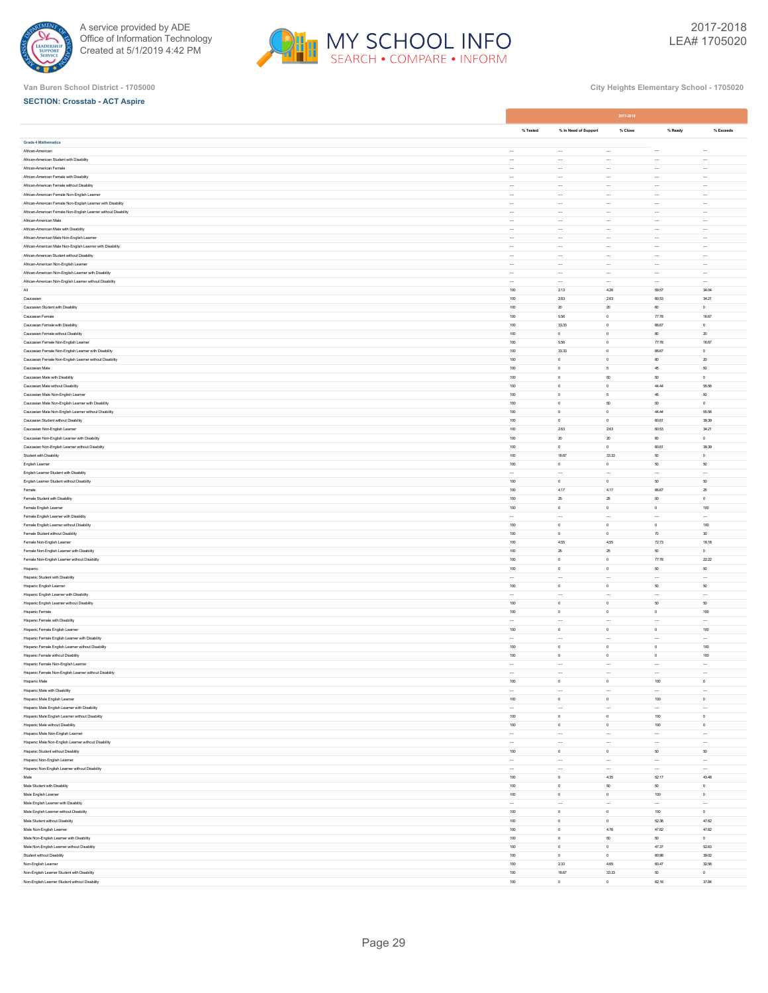



|                                                                                                             | 2017-2018            |                                     |                                  |                         |                          |
|-------------------------------------------------------------------------------------------------------------|----------------------|-------------------------------------|----------------------------------|-------------------------|--------------------------|
|                                                                                                             | % Tested             | % In Need of Support                | % Close                          | % Ready                 | % Exceeds                |
| <b>Grade 4 Mathematics</b>                                                                                  |                      |                                     |                                  |                         |                          |
| African-American                                                                                            | $\ldots$             | $\cdots$                            | $\cdots$                         | $\cdots$                |                          |
| African-American Student with Disability                                                                    | $\cdots$             | $\overline{\phantom{a}}$            | $\ddotsc$                        | $\ddotsc$               | $\ddotsc$                |
| African-American Female                                                                                     | $\cdots$             | $\cdots$                            | $\cdots$                         | $\cdots$                | $\cdots$                 |
| African-American Female with Disability<br>African-American Female without Disability                       | $\cdots$<br>$\sim$   | $\cdots$<br>ä,                      | $\ldots$<br>$\ddot{\phantom{a}}$ | $\cdots$<br>            | $\cdots$<br>             |
| African-American Female Non-English Learner                                                                 | $\cdots$             | $\sim$                              | $\cdots$                         | $\cdots$                | $\cdots$                 |
| African-American Female Non-English Learner with Disability                                                 | $\cdots$             | $\sim$                              | $\ddotsc$                        | $\cdots$                | $\cdots$                 |
| African-American Female Non-English Learner without Disability                                              | $\ddotsc$            | $\sim$                              | $\ddot{\phantom{a}}$             | $\ddotsc$               | $\overline{\phantom{a}}$ |
| African-American Male                                                                                       | $\cdots$             | $\cdots$                            | $\cdots$                         | $\cdots$                | $\cdots$                 |
| African-American Male with Disability<br>African-American Male Non-English Learner                          | $\cdots$<br>$\cdots$ | $\cdots$<br>$\cdots$                | $\cdots$<br>$\sim$               | $\cdots$<br>$\cdots$    | $\cdots$<br>$\cdots$     |
| African-American Male Non-English Learner with Disability                                                   | $\cdots$             | $\cdots$                            | $\cdots$                         | $\cdots$                | $\cdots$                 |
| African-American Student without Disability                                                                 | $\cdots$             | $\cdots$                            | $\cdots$                         | $\cdots$                | $\cdots$                 |
| African-American Non-English Learner                                                                        | $\cdots$             | $\sim$                              | $\cdots$                         | $\cdots$                | $\cdots$                 |
| African-American Non-English Learner with Disability                                                        | $\sim$               | $\cdots$                            | $\cdots$                         | $\cdots$                | $\cdots$                 |
| African-American Non-English Learner without Disability<br>$AII$                                            | $\cdots$<br>100      | $\cdots$<br>2.13                    | $\ddot{\phantom{0}}$<br>4.26     | <br>59.57               | $\cdots$<br>34.04        |
| Caucasian                                                                                                   | 100                  | 263                                 | 263                              | 60.53                   | 34.21                    |
| Caucasian Student with Disability                                                                           | 100                  | $20\,$                              | $\rm{20}$                        | $_{60}$                 | $\circ$                  |
| Caucasian Female                                                                                            | 100                  | 5.56                                | $\,$ 0 $\,$                      | 77.78                   | 16.67                    |
| Caucasian Female with Disability                                                                            | 100                  | 33.33                               | $\,$ 0 $\,$                      | 66.67                   | $\,$ 0 $\,$              |
| Caucasian Female without Disability                                                                         | 100                  | $\circ$                             | $\circ$                          | 80                      | 20                       |
| Caucasian Female Non-English Learner<br>Caucasian Female Non-English Learner with Disability                | 100<br>100           | $5.56\,$<br>33.33                   | $\,$ 0 $\,$<br>$\,$ 0 $\,$       | 77.78<br>66.67          | 16.67<br>$\mathbb O$     |
| Caucasian Female Non-English Learner without Disability                                                     | 100                  | $\,$ 0 $\,$                         | $\,$ 0 $\,$                      | 80                      | $\mathbf{20}$            |
| Caucasian Male                                                                                              | 100                  | $\,$ 0                              | $\mathsf{s}$                     | $45\,$                  | $_{\rm 50}$              |
| Caucasian Male with Disability                                                                              | 100                  | $\circ$                             | $_{50}$                          | 50                      | $^{\circ}$               |
| Caucasian Male without Disability                                                                           | 100                  | $\circ$                             | $\circ$                          | 44.44                   | 55.56                    |
| Caucasian Male Non-English Learner                                                                          | 100<br>100           | $\circ$<br>$\circ$                  | $\sqrt{5}$<br>$_{50}$            | $45\,$<br>50            | $_{50}$<br>$\circ$       |
| Caucasian Male Non-English Learner with Disability<br>Caucasian Male Non-English Learner without Disability | 100                  | $\,$ 0 $\,$                         | $\,$ 0                           | 44.44                   | 55.56                    |
| Caucasian Student without Disability                                                                        | 100                  | $\,$ 0                              | $\,$ 0 $\,$                      | 60.61                   | 39.39                    |
| Caucasian Non-English Learner                                                                               | 100                  | 2.63                                | 263                              | 60.53                   | 34.21                    |
| Caucasian Non-English Learner with Disability                                                               | 100                  | $\rm{20}$                           | $\rm{20}$                        | $_{60}$                 | $\,$ 0 $\,$              |
| Caucasian Non-English Learner without Disability                                                            | 100                  | $\circ$                             | $\circ$                          | 60.61                   | 39.39                    |
| Student with Disability                                                                                     | 100                  | 16.67                               | 33.33                            | $_{50}$                 | $\mathbb O$              |
| English Learner<br>English Learner Student with Disability                                                  | 100<br>$\cdots$      | $\,$ 0<br>$\cdots$                  | $\,$ 0 $\,$<br>$\cdots$          | $_{50}$<br>$\cdots$     | $_{50}$<br>$\cdots$      |
| English Learner Student without Disability                                                                  | 100                  | $\,$ 0                              | $\,$ 0 $\,$                      | $_{\rm 50}$             | $_{\rm 50}$              |
| Female                                                                                                      | 100                  | 4.17                                | 4.17                             | 66.67                   | $\rm 25$                 |
| Female Student with Disability                                                                              | 100                  | $\rm{25}$                           | $\rm zs$                         | $_{50}$                 | $\,$ 0 $\,$              |
| Female English Learner                                                                                      | 100                  | $\,$ 0                              | $\,$ 0 $\,$                      | $\mathbb O$             | $100\,$                  |
| Female English Learner with Disability<br>Female English Learner without Disability                         | $\cdots$<br>100      | $\cdots$<br>$\circ$                 | $\sim$<br>$\circ$                | $\cdots$<br>$\circ$     | $\cdots$<br>100          |
| Female Student without Disability                                                                           | 100                  | $\,$ 0                              | $\,$ 0 $\,$                      | $70\,$                  | $30\,$                   |
| Female Non-English Learner                                                                                  | 100                  | 4.55                                | 4.55                             | 72.73                   | 18.18                    |
| Female Non-English Learner with Disability                                                                  | 100                  | $\rm{25}$                           | $\rm{2S}$                        | $_{\rm 50}$             | $\mathbb O$              |
| Female Non-English Learner without Disability                                                               | 100                  | $\,$ 0                              | $\,$ 0 $\,$                      | 77.78                   | 22.22                    |
| Hispanic                                                                                                    | 100                  | $\,$ 0 $\,$                         | $\,$ 0 $\,$                      | $_{50}$                 | $_{50}$                  |
| Hispanic Student with Disability<br>Hispanic English Learner                                                | 100                  | $\ddot{\phantom{a}}$<br>$\,$ 0 $\,$ | $\sim$<br>$\,$ 0 $\,$            | $_{50}$                 | $_{50}$                  |
| Hispanic English Learner with Disability                                                                    | $\cdots$             | $\cdots$                            | $\cdots$                         | $\cdots$                | $\cdots$                 |
| Hispanic English Learner without Disability                                                                 | 100                  | $\circ$                             | $\,$ 0 $\,$                      | $_{50}$                 | $_{50}$                  |
| Hispanic Female                                                                                             | 100                  | $\circ$                             | $\circ$                          | $\circ$                 | 100                      |
| Hispanic Female with Disability                                                                             | $\ddotsc$            | $\overline{\phantom{a}}$            | $\ddot{\phantom{0}}$             | $\ddotsc$               | $\cdots$                 |
| Hispanic Female English Learner<br>Hispanic Female English Learner with Disability                          | 100<br>$\cdots$      | $\circ$<br>$\cdots$                 | $\,$ 0 $\,$<br>$\ddotsc$         | $\mathbb O$<br>$\cdots$ | 100<br>$\cdots$          |
| Hispanic Female English Learner without Disability                                                          | 100                  | $\,$ 0                              | $\,$ 0 $\,$                      | $\mathbb O$             | $100\,$                  |
| Hispanic Female without Disability                                                                          | 100                  | $\circ$                             | $\circ$                          | $^{\circ}$              | 100                      |
| Hispanic Female Non-English Learner                                                                         | $\cdots$             | $\cdots$                            | $\cdots$                         | $\cdots$                | $\cdots$                 |
| Hispanic Female Non-English Learner without Disability                                                      |                      |                                     |                                  |                         |                          |
| Hispanic Male<br>Hispanic Male with Disability                                                              | 100<br>              | $\circ$<br>$\overline{\phantom{a}}$ | $\circ$<br>$\ddot{\phantom{0}}$  | 100<br>$\ddotsc$        | $^{\circ}$<br>$\ddotsc$  |
| Hispanic Male English Learner                                                                               | 100                  | $\circ$                             | $\,$ 0 $\,$                      | 100                     | $\mathbb O$              |
| Hispanic Male English Learner with Disability                                                               | $\ldots$             | $\cdots$                            | $\cdots$                         | $\cdots$                | $\cdots$                 |
| Hispanic Male English Learner without Disability                                                            | 100                  | $\circ$                             | $\,$ 0 $\,$                      | $100\,$                 | $\,$ 0 $\,$              |
| Hispanic Male without Disability                                                                            | 100                  | $\circ$                             | $\,$ 0 $\,$                      | 100                     | $\circ$                  |
| Hispanic Male Non-English Learner                                                                           | $\ldots$             | $\ldots$                            | $\ldots$                         | $\cdots$                | $\ldots$                 |
| Hispanic Male Non-English Learner without Disability<br>Hispanic Student without Disability                 | $\ddotsc$<br>100     | $\sim$<br>$\circ$                   | $\ddotsc$<br>$\circ$             | $\ddotsc$<br>50         | $\ddotsc$<br>50          |
| Hispanic Non-English Learner                                                                                | $\ldots$             | $\ldots$                            | $\cdots$                         | $\cdots$                | $\cdots$                 |
| Hispanic Non-English Learner without Disability                                                             | $\ddotsc$            | $\sim$                              | $\ddotsc$                        | $\ddotsc$               | $\cdots$                 |
| Male                                                                                                        | 100                  | $\circ$                             | 4.35                             | 52.17                   | 43.48                    |
| Male Student with Disability                                                                                | 100                  | $\,$ 0 $\,$                         | $_{50}$                          | $_{\rm 50}$             | $\,$ 0 $\,$              |
| Male English Learner                                                                                        | 100                  | $\circ$                             | $\circ$                          | 100                     | $\circ$                  |
| Male English Learner with Disability<br>Male English Learner without Disability                             | $\cdots$<br>100      | $\cdots$<br>$\,$ 0                  | $\cdots$<br>$\,$ 0 $\,$          | $\cdots$<br>100         | $\cdots$<br>$\mathbb O$  |
| Male Student without Disability                                                                             | 100                  | $\circ$                             | $\circ$                          | 52.38                   | 47.62                    |
| Male Non-English Learner                                                                                    | 100                  | $\,$ 0 $\,$                         | 4.76                             | 47.62                   | 47.62                    |
| Male Non-English Learner with Disability                                                                    | 100                  | $\circ$                             | 50                               | 50                      | $\mathbb O$              |
| Male Non-English Learner without Disability                                                                 | 100                  | $\,$ 0 $\,$                         | $\,$ 0 $\,$                      | 47.37                   | 52.63                    |
| Student without Disability<br>Non-English Learner                                                           | 100<br>100           | $\,$ 0 $\,$<br>2.33                 | $\,$ 0 $\,$<br>4.65              | 60.98<br>60.47          | 39.02<br>32.56           |
| Non-English Learner Student with Disability                                                                 | 100                  | 16.67                               | 33.33                            | $_{50}$                 | $\mathbb O$              |
| Non-English Learner Student without Disability                                                              | 100                  | $\circ$                             | $\,$ 0 $\,$                      | 62.16                   | 37.84                    |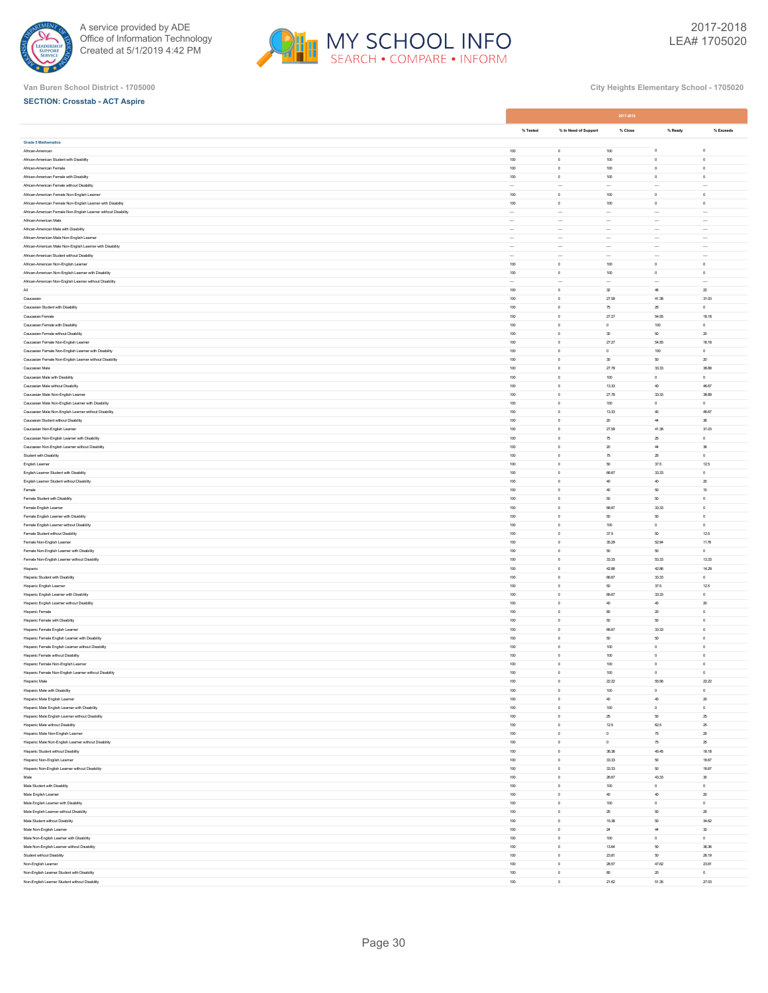



|                                                                                           |                      | 2017-2018                  |                                 |                                |                                                                                                                             |
|-------------------------------------------------------------------------------------------|----------------------|----------------------------|---------------------------------|--------------------------------|-----------------------------------------------------------------------------------------------------------------------------|
|                                                                                           | $\%$ Tested          | % In Need of Support       | $\%$ Close                      | % Ready                        | % Exceeds                                                                                                                   |
| <b>Grade 5 Mathematics</b>                                                                |                      |                            |                                 |                                |                                                                                                                             |
| African-American                                                                          | 100                  | $\,$ 0 $\,$                | 100                             | $\,$ 0 $\,$                    | $\mathbb O$                                                                                                                 |
| African-American Student with Disability                                                  | 100                  | $^{\circ}$                 | 100                             | $\mathbf{0}$                   | $^{\circ}$                                                                                                                  |
| African-American Female                                                                   | $100\,$              | $\,0\,$                    | $100\,$                         | $\,$ 0                         | $\,$ 0                                                                                                                      |
| African-American Female with Disability                                                   | 100                  | $\,$ 0 $\,$                | 100                             | $\,$ 0 $\,$                    | $\,$ 0 $\,$                                                                                                                 |
| African-American Female without Disability<br>African-American Female Non-English Learner | $\cdots$<br>$100\,$  | $\cdots$<br>$\,$ 0 $\,$    | $\ddot{\phantom{0}}$<br>$100\,$ | $\ddot{\phantom{0}}$<br>$\,$ 0 | $\cdots$<br>$\,$ 0 $\,$                                                                                                     |
| African-American Female Non-English Learner with Disability                               | 100                  | $\circ$                    | 100                             | $\mathbb O$                    | $\circ$                                                                                                                     |
| African-American Female Non-English Learner without Disability                            | $\ldots$             | $\cdots$                   | $\ldots$                        | $\cdots$                       | $\cdots$                                                                                                                    |
| African-American Male                                                                     | $\ddot{\phantom{a}}$ | $\sim$                     | $\ddotsc$                       | $\ddotsc$                      | $\cdots$                                                                                                                    |
| African-American Male with Disability                                                     | $\cdots$             | $\cdots$                   | $\cdots$                        | $\cdots$                       | $\cdots$                                                                                                                    |
| African-American Male Non-English Learner                                                 | $\ddotsc$            | $\sim$                     | $\ddot{\phantom{0}}$            | $\ddotsc$                      | $\cdots$                                                                                                                    |
| African-American Male Non-English Learner with Disability                                 | $\sim$               | $\sim$                     | $\sim$                          | $\ddotsc$                      | $\cdots$                                                                                                                    |
| African-American Student without Disability<br>African-American Non-English Learner       | $\cdots$<br>$100\,$  | $\cdots$<br>$\,$ 0 $\,$    | $\cdots$<br>100                 | $\cdots$<br>$\,$ 0 $\,$        | $\cdots$<br>$\,$ 0 $\,$                                                                                                     |
| African-American Non-English Learner with Disability                                      | 100                  | $^{\circ}$                 | 100                             | $^{\circ}$                     | $^{\circ}$                                                                                                                  |
| African-American Non-English Learner without Disability                                   | $\cdots$             | $\cdots$                   | $\cdots$                        | $\cdots$                       | $\cdots$                                                                                                                    |
| All                                                                                       | 100                  | $\,$ 0 $\,$                | $_{32}$                         | $46\,$                         | $\rm{z}$                                                                                                                    |
| Caucasian                                                                                 | 100                  | $^{\circ}$                 | 27.59                           | 41.38                          | 31.03                                                                                                                       |
| Caucasian Student with Disability                                                         | $100\,$              | $\,$ 0 $\,$                | $\rm 75$                        | $\rm 25$                       | $\,$ 0                                                                                                                      |
| Caucasian Female<br>Caucasian Female with Disability                                      | 100<br>100           | $\,$ 0 $\,$<br>$\,$ 0 $\,$ | 27.27<br>$\,$ 0 $\,$            | 54.55<br>100                   | 18.18<br>$\,$ 0 $\,$                                                                                                        |
| Caucasian Female without Disability                                                       | $100\,$              | $\,0\,$                    | $_{30}$                         | $_{\rm 50}$                    | $\rm{20}$                                                                                                                   |
| Caucasian Female Non-English Learner                                                      | 100                  | $\circ$                    | 27.27                           | 54.55                          | 18.18                                                                                                                       |
| Caucasian Female Non-English Learner with Disability                                      | 100                  | $\,$ 0 $\,$                | $\,$ 0 $\,$                     | 100                            | $\,$ 0 $\,$                                                                                                                 |
| Caucasian Female Non-English Learner without Disability                                   | 100                  | $\,0\,$                    | $30\,$                          | $_{\rm 50}$                    | $\rm{20}$                                                                                                                   |
| Caucasian Male                                                                            | 100                  | $\circ$                    | 27.78                           | 33.33                          | 38.89                                                                                                                       |
| Caucasian Male with Disability                                                            | $100\,$              | $\,$ 0 $\,$                | $100\,$                         | $\mathbb O$                    | $\mathbf 0$                                                                                                                 |
| Caucasian Male without Disability                                                         | 100                  | $\,0\,$                    | 13.33                           | $40\,$                         | 46.67                                                                                                                       |
| Caucasian Male Non-English Learner<br>Caucasian Male Non-English Learner with Disability  | 100<br>$100\,$       | $\circ$<br>$\,$ 0 $\,$     | 27.78<br>100                    | 33.33<br>$\mathbb O$           | 38.89<br>$\mathbb O$                                                                                                        |
| Caucasian Male Non-English Learner without Disability                                     | 100                  | $^{\circ}$                 | 13.33                           | 40                             | 46.67                                                                                                                       |
| Caucasian Student without Disability                                                      | 100                  | $\,$ 0 $\,$                | $\rm{20}$                       | $\bf{44}$                      | $36\,$                                                                                                                      |
| Caucasian Non-English Learner                                                             | 100                  | $\,$ 0 $\,$                | 27.59                           | 41.38                          | 31.03                                                                                                                       |
| Caucasian Non-English Learner with Disability                                             | 100                  | $^{\circ}$                 | $75\,$                          | $\rm 25$                       | $\circ$                                                                                                                     |
| Caucasian Non-English Learner without Disability                                          | $100\,$              | $\,0\,$                    | $\rm{20}$                       | $\bf{44}$                      | $36\,$                                                                                                                      |
| Student with Disability                                                                   | 100                  | $\,$ 0 $\,$                | 75                              | $\rm 25$                       | $\,$ 0 $\,$                                                                                                                 |
| English Learner<br>English Learner Student with Disability                                | 100                  | $\,0\,$                    | $_{50}$                         | 37.5                           | 12.5                                                                                                                        |
| English Learner Student without Disability                                                | $100\,$<br>100       | $\,$ 0 $\,$<br>$\circ$     | 66.67<br>$40\,$                 | 33.33<br>$40\,$                | $\,$ 0<br>$\rm{20}$                                                                                                         |
| Female                                                                                    | 100                  | $\,$ 0 $\,$                | $40\,$                          | $_{50}$                        | $10\,$                                                                                                                      |
| Female Student with Disability                                                            | 100                  | $\,0\,$                    | $_{50}$                         | $_{50}$                        | $\mathbb O$                                                                                                                 |
| Female English Learner                                                                    | 100                  | $\circ$                    | 66.67                           | 33.33                          | $\circ$                                                                                                                     |
| Female English Learner with Disability                                                    | $100\,$              | $\,$ 0 $\,$                | $_{\rm S0}$                     | $_{\rm 50}$                    | $\mathbb O$                                                                                                                 |
| Female English Learner without Disability                                                 | 100                  | $\,0\,$                    | 100                             | $\mathbb O$                    | $\mathbb O$                                                                                                                 |
| Female Student without Disability                                                         | 100                  | $\,$ 0 $\,$                | 37.5                            | $_{50}$                        | 12.5                                                                                                                        |
| Female Non-English Learner<br>Female Non-English Learner with Disability                  | $100\,$<br>100       | $\,$ 0 $\,$<br>$^{\circ}$  | 35.29<br>$_{50}$                | 52.94<br>$_{50}$               | 11.76<br>$\circ$                                                                                                            |
| Female Non-English Learner without Disability                                             | 100                  | $\circ$                    | 33.33                           | 53.33                          | 13.33                                                                                                                       |
| Hispanic                                                                                  | 100                  | $\,$ 0 $\,$                | 42.86                           | 42.86                          | 14.29                                                                                                                       |
| Hispanic Student with Disability                                                          | 100                  | $^{\circ}$                 | 66.67                           | 33.33                          | $^{\circ}$                                                                                                                  |
| Hispanic English Learner                                                                  | $100\,$              | $\,$ 0 $\,$                | $_{\rm S0}$                     | 37.5                           | 12.5                                                                                                                        |
| Hispanic English Learner with Disability                                                  | 100                  | $\,$ 0 $\,$                | 66.67                           | 33.33                          | $\,$ 0 $\,$                                                                                                                 |
| Hispanic English Learner without Disability                                               | 100                  | $\,$ 0 $\,$                | $40\,$                          | $40\,$                         | $\rm{20}$                                                                                                                   |
| Hispanic Female<br>Hispanic Female with Disability                                        | $100\,$<br>100       | $\,$ 0 $\,$<br>$\circ$     | $_{80}$<br>50                   | $\rm{20}$<br>50                | $\,$ 0<br>$\circ$                                                                                                           |
| Hispanic Female English Learner                                                           | 100                  | $\circ$                    | 66.67                           | 33.33                          | $\,$ 0 $\,$                                                                                                                 |
| Hispanic Female English Learner with Disability                                           | 100                  | $\,0\,$                    | $_{50}$                         | $_{50}$                        | $\,$ 0 $\,$                                                                                                                 |
| Hispanic Female English Learner without Disability                                        | 100                  | $\circ$                    | 100                             | $\mathbb O$                    | $\mathbb O$                                                                                                                 |
| Hispanic Female without Disability                                                        | $100\,$              | $\,$ 0 $\,$                | 100                             | $\,$ 0                         | $\,$ 0                                                                                                                      |
| Hispanic Female Non-English Learner                                                       | 100                  | $\,0\,$                    | 100                             | $\mathbb O$                    | $\mathbb O$                                                                                                                 |
| Hispanic Female Non-English Learner without Disability                                    | 100                  | $\,0\,$                    | 100                             | $\circ$                        | $\circ$                                                                                                                     |
| Hispanic Male<br>Hispanic Male with Disability                                            | $100\,$<br>100       | $\,$ 0 $\,$<br>$^{\circ}$  | $\mathbf{222}$<br>100           | 55.56<br>$^{\circ}$            | 22.22<br>$^{\circ}$                                                                                                         |
| Hispanic Male English Learner                                                             | 100                  | $\circ$                    | 40                              | $40\,$                         | $\rm{20}$                                                                                                                   |
| Hispanic Male English Learner with Disability                                             | 100                  | $\,$ 0 $\,$                | 100                             | $\mathbb O$                    | $\mathsf{O}$                                                                                                                |
| Hispanic Male English Learner without Disability                                          | 100                  | $\circ$                    | $_{\rm 2S}$                     | 60                             | $\rm{25}$                                                                                                                   |
| Hispanic Male without Disability                                                          | $100\,$              | $\,$ 0 $\,$                | $12.5\,$                        | 62.5                           | $\rm{25}$                                                                                                                   |
| Hispanic Male Non-English Learner                                                         | 100                  | $\,$ 0 $\,$                | $\,$ 0 $\,$                     | 75                             | $\rm 25$                                                                                                                    |
| Hispanic Male Non-English Learner without Disability                                      | 100                  | $\,$ 0 $\,$                | $\,$ 0 $\,$                     | $75\,$                         | $\rm{25}$                                                                                                                   |
| Hispanic Student without Disability                                                       | $100\,$<br>100       | $\,0\,$<br>$\circ$         | 36.36<br>33.33                  | 45.45<br>$_{50}$               | 18.18<br>16.67                                                                                                              |
| Hispanic Non-English Learner<br>Hispanic Non-English Learner without Disability           | 100                  | $\,$ 0 $\,$                | 33.33                           | $_{50}$                        | 16.67                                                                                                                       |
| Male                                                                                      | 100                  | $\circ$                    | 26.67                           | 43.33                          | $30\,$                                                                                                                      |
| Male Student with Disability                                                              | 100                  | $^{\circ}$                 | 100                             | $^{\circ}$                     | $^{\circ}$                                                                                                                  |
| Male English Learner                                                                      | $100\,$              | $\,$ 0 $\,$                | $40\,$                          | $40\,$                         | $\rm{20}$                                                                                                                   |
| Male English Learner with Disability                                                      | 100                  | $\,$ 0 $\,$                | 100                             | $\,$ 0 $\,$                    | $\,$ 0 $\,$                                                                                                                 |
| Male English Learner without Disability                                                   | 100                  | $\circ$                    | $\rm{2S}$                       | $_{50}$                        | $\rm{25}$                                                                                                                   |
| Male Student without Disability                                                           | $100\,$<br>100       | $\,$ 0 $\,$<br>$^{\circ}$  | 15.38<br>24                     | $_{\rm 50}$<br>44              | 34.62<br>$\mathfrak{D}% _{T}=\mathfrak{D}_{T}\!\left( a,b\right) ,\ \mathfrak{D}_{T}=\mathfrak{D}_{T}\!\left( a,b\right) ,$ |
| Male Non-English Learner<br>Male Non-English Learner with Disability                      | 100                  | $\circ$                    | 100                             | $\,$ 0 $\,$                    | $\,$ 0 $\,$                                                                                                                 |
| Male Non-English Learner without Disability                                               | 100                  | $\circ$                    | 13.64                           | 50                             | 36.36                                                                                                                       |
| Student without Disability                                                                | 100                  | $^{\circ}$                 | 23.81                           | $_{50}$                        | 26.19                                                                                                                       |
| Non-English Learner                                                                       | $100\,$              | $\,$ 0 $\,$                | 28.57                           | 47.62                          | 23.81                                                                                                                       |
| Non-English Learner Student with Disability                                               | 100                  | $\,$ 0 $\,$                | 80                              | $\rm{20}$                      | $\mathsf{O}$                                                                                                                |
| Non-English Learner Student without Disability                                            | 100                  | $\,$ 0 $\,$                | 21.62                           | 51.35                          | 27.03                                                                                                                       |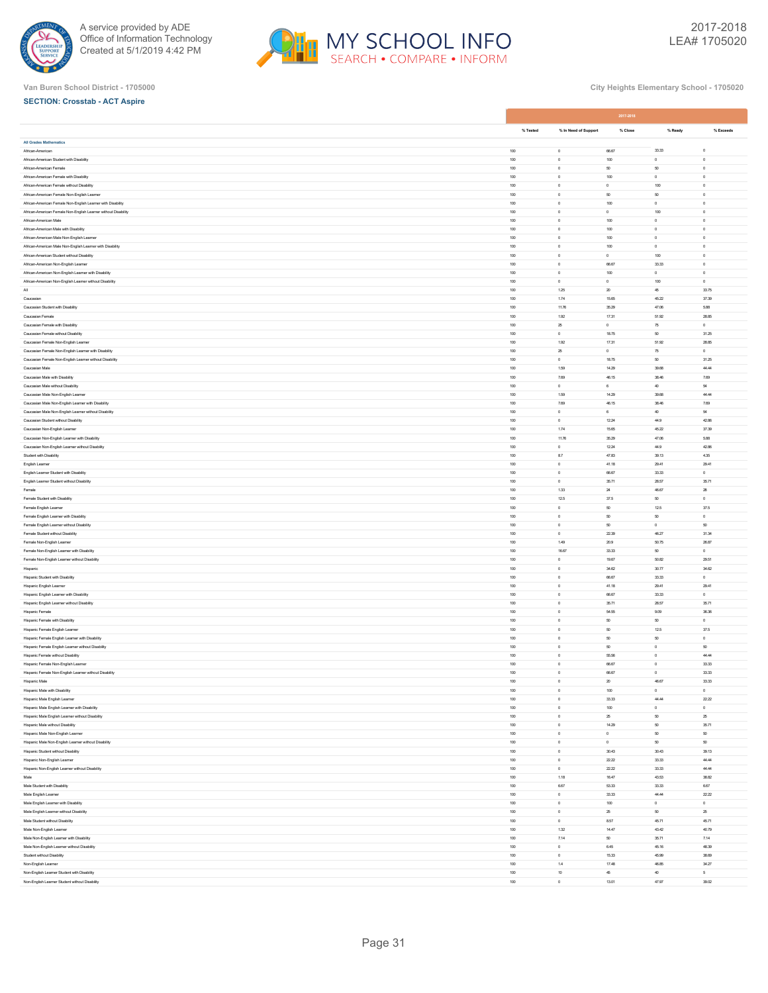



|                                                                                           |                | 2017-2018              |                            |                            |                            |
|-------------------------------------------------------------------------------------------|----------------|------------------------|----------------------------|----------------------------|----------------------------|
|                                                                                           | $%$ Tested     | % In Need of Support   | $\%$ Close                 | % Ready                    | % Exceeds                  |
| All Grades Mathematics                                                                    |                |                        |                            |                            |                            |
| African-American                                                                          | 100            | $\,$ 0 $\,$            | 66.67                      | 33.33                      | $\mathbb O$                |
| African-American Student with Disability                                                  | 100            | $^{\circ}$             | 100                        | $^{\circ}$                 | $^{\circ}$                 |
| African-American Female                                                                   | $100\,$        | $\circ$                | $_{\rm S0}$                | $_{\rm 50}$                | $\,$ 0                     |
| African-American Female with Disability                                                   | 100            | $\circ$                | 100                        | $\,$ 0 $\,$                | $\,$ 0 $\,$                |
| African-American Female without Disability                                                | 100            | $\,$ 0 $\,$            | $\,$ 0 $\,$                | 100                        | $\,$ 0 $\,$                |
| African-American Female Non-English Learner                                               | $100\,$        | $\,0\,$                | $_{\rm S0}$                | $_{\rm 50}$                | $\mathbb O$                |
| African-American Female Non-English Learner with Disability                               | 100            | $\circ$                | 100                        | $\mathbb O$                | $\mathbb O$                |
| African-American Female Non-English Learner without Disability<br>African-American Male   | 100<br>100     | $\,$ 0 $\,$<br>$\circ$ | $\,$ 0 $\,$<br>100         | 100<br>$\mathbb O$         | $\,$ 0 $\,$<br>$\,$ 0 $\,$ |
| African-American Male with Disability                                                     | 100            | $^{\circ}$             | 100                        | $\mathbb O$                | $\mathbb O$                |
| African-American Male Non-English Learner                                                 | $100\,$        | $\,$ 0 $\,$            | 100                        | $\mathbb O$                | $\mathbb O$                |
| African-American Male Non-English Learner with Disability                                 | 100            | $\,$ 0                 | 100                        | $\,$ 0 $\,$                | $\,$ 0 $\,$                |
| African-American Student without Disability                                               | 100            | $\circ$                | $\mathbf 0$                | 100                        | $\,$ 0 $\,$                |
| African-American Non-English Learner                                                      | $100\,$        | $\,$ 0 $\,$            | 66.67                      | 33.33                      | $\mathbb O$                |
| African-American Non-English Learner with Disability                                      | 100            | $^{\circ}$             | 100                        | $^{\circ}$                 | $^{\circ}$                 |
| African-American Non-English Learner without Disability<br>All                            | 100<br>100     | $\circ$                | $\mathbf 0$                | 100                        | $\,$ 0 $\,$                |
| Caucasian                                                                                 | 100            | 1.25<br>1.74           | $\rm{20}$<br>15.65         | $45\,$<br>45.22            | 33.75<br>37.39             |
| Caucasian Student with Disability                                                         | $100\,$        | 11.76                  | 35.29                      | 47.06                      | 5.88                       |
| Caucasian Female                                                                          | 100            | 1.92                   | 17.31                      | 51.92                      | 28.85                      |
| Caucasian Female with Disability                                                          | 100            | $\rm{z}$               | $\,$ 0 $\,$                | $75\,$                     | $\,$ 0 $\,$                |
| Caucasian Female without Disability                                                       | $100\,$        | $\circ$                | 18.75                      | $_{\rm 50}$                | 31.25                      |
| Caucasian Female Non-English Learner                                                      | 100            | 1.92                   | 17.31                      | 51.92                      | 28.85                      |
| Caucasian Female Non-English Learner with Disability                                      | 100            | $\rm{z}$               | $\,$ 0 $\,$                | $75\,$                     | $\,$ 0 $\,$                |
| Caucasian Female Non-English Learner without Disability                                   | 100            | $\circ$                | 18.75                      | $_{50}$                    | 31.25                      |
| Caucasian Male                                                                            | 100            | 1.59                   | 14.29                      | 39.68                      | 44.44                      |
| Caucasian Male with Disability                                                            | $100\,$        | 7.69                   | 46.15                      | 38.46                      | 7.69                       |
| Caucasian Male without Disability<br>Caucasian Male Non-English Learner                   | 100<br>100     | $^{\circ}$<br>1.59     | 6<br>14.29                 | $40\,$<br>39.68            | 54<br>44.44                |
| Caucasian Male Non-English Learner with Disability                                        | $100\,$        | 7.69                   | 46.15                      | 38.46                      | 7.69                       |
| Caucasian Male Non-English Learner without Disability                                     | 100            | $^{\circ}$             | 6                          | 40                         | 54                         |
| Caucasian Student without Disability                                                      | 100            | $\circ$                | 12.24                      | 44.9                       | 42.86                      |
| Caucasian Non-English Learner                                                             | 100            | 1.74                   | 15.65                      | 45.22                      | 37.39                      |
| Caucasian Non-English Learner with Disability                                             | 100            | 11.76                  | 35.29                      | 47.06                      | 5.88                       |
| Caucasian Non-English Learner without Disability                                          | $100\,$        | $\circ$                | 12.24                      | 44.9                       | 42.86                      |
| Student with Disability                                                                   | 100            | 8.7                    | 47.83                      | 39.13                      | 4.35                       |
| English Learner                                                                           | 100            | $\,$ 0 $\,$            | 41.18                      | 29.41                      | 29.41                      |
| English Learner Student with Disability                                                   | $100\,$<br>100 | $\,$ 0                 | 66.67<br>35.71             | 33.33<br>28.57             | $\,$ 0<br>35.71            |
| English Learner Student without Disability<br>Female                                      | 100            | $\circ$<br>1.33        | $24\,$                     | 46.67                      | $\rm 28$                   |
| Female Student with Disability                                                            | 100            | 12.5                   | 37.5                       | $_{50}$                    | $^{\circ}$                 |
| Female English Learner                                                                    | 100            | $\circ$                | $_{50}$                    | 12.5                       | 37.5                       |
| Female English Learner with Disability                                                    | $100\,$        | $\,$ 0 $\,$            | $_{\rm S0}$                | $_{\rm 50}$                | $\mathbb O$                |
| Female English Learner without Disability                                                 | 100            | $\circ$                | $_{50}$                    | $\mathbb O$                | $_{\rm 50}$                |
| Female Student without Disability                                                         | 100            | $\circ$                | 22.39                      | 46.27                      | 31.34                      |
| Female Non-English Learner                                                                | $100\,$        | 1.49                   | $20.9\,$                   | 50.75                      | 26.87                      |
| Female Non-English Learner with Disability                                                | 100            | 16.67                  | 33.33                      | $_{50}$                    | $\mathbf{0}$               |
| Female Non-English Learner without Disability                                             | 100            | $\circ$<br>$\circ$     | 19.67                      | 50.82                      | 29.51                      |
| Hispanic<br>Hispanic Student with Disability                                              | 100<br>100     | $^{\circ}$             | 34.62<br>66.67             | 30.77<br>33.33             | 34.62<br>$^{\circ}$        |
| Hispanic English Learner                                                                  | $100\,$        | $\,$ 0                 | 41.18                      | 29.41                      | 29.41                      |
| Hispanic English Learner with Disability                                                  | 100            | $\,$ 0 $\,$            | 66.67                      | 33.33                      | $\mathsf{O}$               |
| Hispanic English Learner without Disability                                               | 100            | $\,$ 0 $\,$            | 35.71                      | 28.57                      | 35.71                      |
| Hispanic Female                                                                           | $100\,$        | $\circ$                | 54.55                      | 9.09                       | 36.36                      |
| Hispanic Female with Disability                                                           | 100            | $\circ$                | 50                         | 50                         | $^{\circ}$                 |
| Hispanic Female English Learner                                                           | 100            | $\circ$                | $_{50}$                    | 12.5                       | 37.5                       |
| Hispanic Female English Learner with Disability                                           | 100            | $\,$ 0                 | $_{50}$                    | $_{50}$                    | $\mathbb O$                |
| Hispanic Female English Learner without Disability<br>Hispanic Female without Disability  | 100<br>$100\,$ | $\circ$<br>$\,$ 0 $\,$ | $_{50}$<br>55.56           | $\mathbb O$<br>$\mathbb O$ | $_{\rm 50}$<br>44.44       |
| Hispanic Female Non-English Learner                                                       | 100            | $^{\circ}$             | 66.67                      | $\mathbb O$                | 33.33                      |
| Hispanic Female Non-English Learner without Disability                                    | 100            | $\,0\,$                | 66.67                      | $\mathbb O$                | 33.33                      |
| Hispanic Male                                                                             | 100            | $\,$ 0                 | $\rm{20}$                  | 46.67                      | 33.33                      |
| Hispanic Male with Disability                                                             | 100            | $\circ$                | 100                        | $^{\circ}$                 | $^{\circ}$                 |
| Hispanic Male English Learner                                                             | 100            | $\circ$                | 33.33                      | 44.44                      | 22.22                      |
| Hispanic Male English Learner with Disability                                             | 100            | $\circ$                | 100                        | $\mathbb O$                | $\mathsf{O}$               |
| Hispanic Male English Learner without Disability                                          | 100            | $\circ$                | $_{25}$                    | 50                         | 25                         |
| Hispanic Male without Disability                                                          | $100\,$<br>100 | $\,$ 0 $\,$<br>$\circ$ | 14.29                      | $_{\rm 50}$                | 35.71                      |
| Hispanic Male Non-English Learner<br>Hispanic Male Non-English Learner without Disability | 100            | $\circ$                | $\,$ 0 $\,$<br>$\,$ 0 $\,$ | $_{50}$<br>$_{50}$         | $_{\rm 50}$<br>$_{\rm 50}$ |
| Hispanic Student without Disability                                                       | $100\,$        | $\circ$                | 30.43                      | 30.43                      | 39.13                      |
| Hispanic Non-English Learner                                                              | 100            | $^{\circ}$             | 22.22                      | 33.33                      | 44.44                      |
| Hispanic Non-English Learner without Disability                                           | 100            | $\,$ 0 $\,$            | 22.22                      | 33.33                      | 44.44                      |
| Male                                                                                      | 100            | 1.18                   | 16.47                      | 43.53                      | 38.82                      |
| Male Student with Disability                                                              | 100            | 6.67                   | 53.33                      | 33.33                      | 6.67                       |
| Male English Learner                                                                      | 100            | $\,$ 0 $\,$            | 33.33                      | 44.44                      | 22.22                      |
| Male English Learner with Disability                                                      | 100            | $\circ$                | 100                        | $\mathbb O$                | $\mathbb O$                |
| Male English Learner without Disability                                                   | 100            | $\,$ 0 $\,$            | $\rm{z}\rm{s}$             | $_{50}$                    | $\rm{25}$                  |
| Male Student without Disability<br>Male Non-English Learner                               | 100<br>100     | $\,$ 0 $\,$<br>1.32    | 8.57                       | 45.71                      | 45.71                      |
|                                                                                           | 100            | 7.14                   | 14.47<br>50                | 43.42<br>35.71             | 40.79<br>7.14              |
| Male Non-English Learner with Disability<br>Male Non-English Learner without Disability   | 100            | $\,$ 0 $\,$            | 6.45                       | 45.16                      | 48.39                      |
| Student without Disability                                                                | 100            | $^{\circ}$             | 15.33                      | 45.99                      | 38.69                      |
| Non-English Learner                                                                       | $100\,$        | $1.4\,$                | 17.48                      | 46.85                      | 34.27                      |
| Non-English Learner Student with Disability                                               | 100            | $10\,$                 | $45\,$                     | $40\,$                     | $\,$ 5 $\,$                |
| Non-English Learner Student without Disability                                            | 100            | $\,$ 0 $\,$            | 13.01                      | 47.97                      | 39.02                      |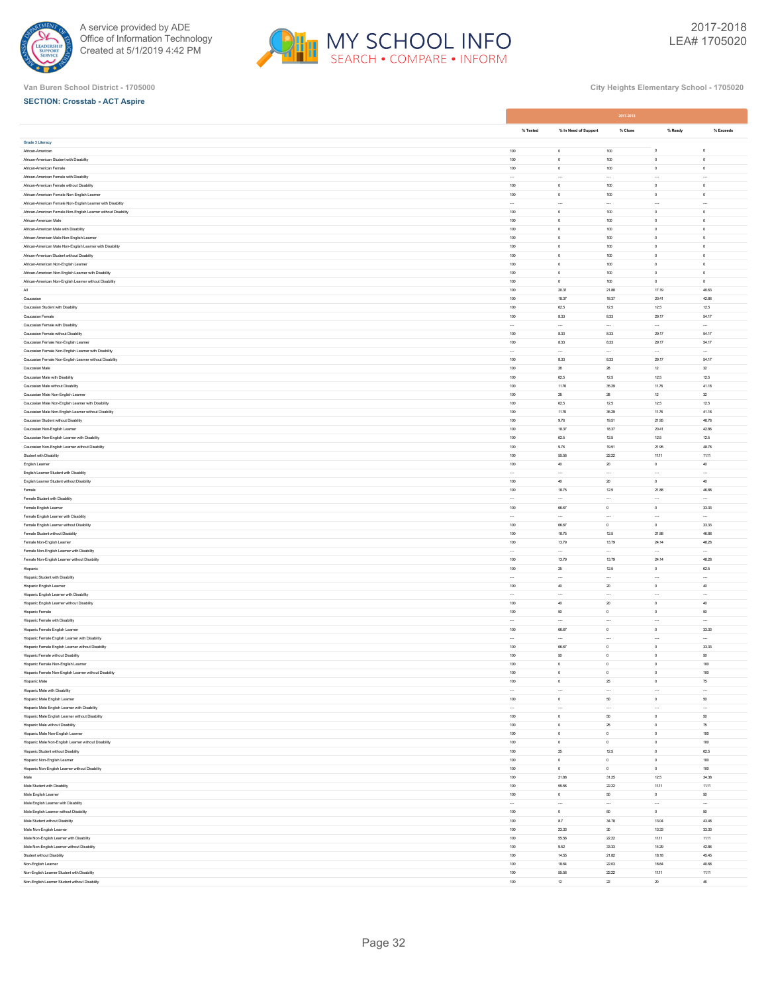



|                                                                                               |                      | 2017-2018                     |                                   |                             |                                             |
|-----------------------------------------------------------------------------------------------|----------------------|-------------------------------|-----------------------------------|-----------------------------|---------------------------------------------|
|                                                                                               | % Tested             | % In Need of Support          | % Close                           | % Ready                     | % Exceeds                                   |
| Grade 3 Literacy                                                                              |                      |                               |                                   |                             |                                             |
| African-American                                                                              | 100                  | $\circ$                       | 100                               | $\,$ 0 $\,$                 | $\,$ 0 $\,$                                 |
| African-American Student with Disability                                                      | 100                  | $\,$ 0 $\,$                   | 100                               | $\,$ 0 $\,$                 | $\,$ 0 $\,$                                 |
| African-American Female                                                                       | 100                  | $\,0\,$                       | 100                               | $\,$ 0 $\,$                 | $\,$ 0 $\,$                                 |
| African-American Female with Disability                                                       | $\ddotsc$            | $\cdots$                      | $\ddotsc$                         | $\cdots$                    | $\cdots$                                    |
| African-American Female without Disability<br>African-American Female Non-English Learner     | $100\,$<br>100       | $\,$ 0 $\,$<br>$\,$ 0 $\,$    | 100<br>100                        | $\,$ 0 $\,$<br>$\,$ 0 $\,$  | $\,$ 0 $\,$<br>$\,$ 0 $\,$                  |
| African-American Female Non-English Learner with Disability                                   | $\cdots$             | $\cdots$                      | $\cdots$                          | $\cdots$                    | $\cdots$                                    |
| African-American Female Non-English Learner without Disability                                | $100\,$              | $\,$ 0 $\,$                   | 100                               | $\,$ 0 $\,$                 | $\,$ 0 $\,$                                 |
| African-American Male                                                                         | 100                  | $^{\circ}$                    | 100                               | $^{\circ}$                  | $\ddot{\phantom{0}}$                        |
| African-American Male with Disability                                                         | 100                  | $\circ$                       | 100                               | $\mathbb O$                 | $\mathbb O$                                 |
| African-American Male Non-English Learner                                                     | 100                  | $\,$ 0 $\,$                   | 100                               | $\,$ 0 $\,$                 | $\,$ 0 $\,$                                 |
| African-American Male Non-English Learner with Disability                                     | 100                  | $^{\circ}$                    | 100                               | $\ddot{\phantom{0}}$        | $\ddot{\phantom{0}}$                        |
| African-American Student without Disability<br>African-American Non-English Learner           | $100\,$<br>100       | $\,$ 0 $\,$<br>$\,$ 0 $\,$    | $100\,$<br>100                    | $\,$ 0<br>$\,$ 0 $\,$       | $\,$ 0 $\,$<br>$\,$ 0 $\,$                  |
| African-American Non-English Learner with Disability                                          | 100                  | $\,$ 0 $\,$                   | 100                               | $\,$ 0 $\,$                 | $\circ$                                     |
| African-American Non-English Learner without Disability                                       | $100\,$              | $\,0\,$                       | $100\,$                           | $\,$ 0                      | $\,$ 0                                      |
| All                                                                                           | 100                  | 20.31                         | 21.88                             | 17.19                       | 40.63                                       |
| Caucasian                                                                                     | 100                  | 18.37                         | 18.37                             | 20.41                       | 42.86                                       |
| Caucasian Student with Disability                                                             | 100                  | 62.5                          | 12.5                              | 12.5                        | 12.5                                        |
| Caucasian Female                                                                              | 100<br>$\ddotsc$     | 8.33<br>$\cdots$              | 8.33<br>$\cdots$                  | 29.17<br>$\cdots$           | 54.17<br>$\ldots$                           |
| Caucasian Female with Disability<br>Caucasian Female without Disability                       | 100                  | 8.33                          | 8.33                              | 29.17                       | 54.17                                       |
| Caucasian Female Non-English Learner                                                          | 100                  | 8.33                          | 8.33                              | 29.17                       | 54.17                                       |
| Caucasian Female Non-English Learner with Disability                                          |                      | $\ddot{\phantom{0}}$          | $\ddot{\phantom{0}}$              | $\ddotsc$                   | $\cdots$                                    |
| Caucasian Female Non-English Learner without Disability                                       | 100                  | 8.33                          | 8.33                              | 29.17                       | 54.17                                       |
| Caucasian Male                                                                                | 100                  | $\rm 28$                      | $\rm 28$                          | $^{\rm 12}$                 | $\mathfrak V$                               |
| Caucasian Male with Disability                                                                | 100                  | 62.5                          | 12.5                              | 12.5                        | 12.5                                        |
| Caucasian Male without Disability<br>Caucasian Male Non-English Learner                       | 100<br>$100\,$       | 11.76<br>$\rm 28$             | 35.29<br>$_{\rm 28}$              | 11.76<br>$^{\rm 12}$        | 41.18<br>$\mathbf{\underline{\mathcal{Q}}}$ |
| Caucasian Male Non-English Learner with Disability                                            | 100                  | 62.5                          | 12.5                              | 12.5                        | 12.5                                        |
| Caucasian Male Non-English Learner without Disability                                         | 100                  | 11.76                         | 35.29                             | 11.76                       | 41.18                                       |
| Caucasian Student without Disability                                                          | $100\,$              | 9.76                          | 19.51                             | 21.96                       | 48.78                                       |
| Caucasian Non-English Learner                                                                 | 100                  | 18.37                         | 18.37                             | 20.41                       | 42.86                                       |
| Caucasian Non-English Learner with Disability                                                 | 100                  | 62.5                          | 12.5                              | 12.5                        | 12.5                                        |
| Caucasian Non-English Learner without Disability                                              | 100                  | 9.76                          | 19.51                             | 21.95                       | 48.78                                       |
| Student with Disability<br>English Learner                                                    | 100                  | 55.56                         | 22.22                             | 11.11                       | 11.11                                       |
| English Learner Student with Disability                                                       | $100\,$<br>$\ddotsc$ | $40$<br>$\sim$                | $\rm{20}$<br>$\ddot{\phantom{a}}$ | $\,$ 0 $\,$<br>$\ddotsc$    | $40\,$<br>$\ddotsc$                         |
| English Learner Student without Disability                                                    | 100                  | $40$                          | $\rm{20}$                         | $\,$ 0 $\,$                 | $40\,$                                      |
| Female                                                                                        | $100\,$              | 18.75                         | 12.5                              | 21.88                       | 46.88                                       |
| Female Student with Disability                                                                | $\ddotsc$            | $\cdots$                      | $\ddotsc$                         | $\cdots$                    | $\cdots$                                    |
| Female English Learner                                                                        | 100                  | 66.67                         | $\circ$                           | $\circ$                     | 33.33                                       |
| Female English Learner with Disability                                                        | $\ddotsc$            | $\sim$                        | $\ddotsc$                         | $\cdots$                    | $\overline{\phantom{a}}$                    |
| Female English Learner without Disability                                                     | 100                  | 66.67                         | $\circ$                           | $\circ$                     | 33.33                                       |
| Female Student without Disability                                                             | $100\,$<br>100       | 18.75                         | 12.5                              | 21.88                       | 46.88<br>48.28                              |
| Female Non-English Learner<br>Female Non-English Learner with Disability                      | $\cdots$             | 13.79<br>$\ddot{\phantom{a}}$ | 13.79<br>$\cdots$                 | 24.14<br>$\cdots$           | $\cdots$                                    |
| Female Non-English Learner without Disability                                                 | $100\,$              | 13.79                         | 13.79                             | 24.14                       | 48.28                                       |
| Hispanic                                                                                      | 100                  | 25                            | 12.5                              | $\circ$                     | 62.5                                        |
| Hispanic Student with Disability                                                              | $\cdots$             | $\ddot{\phantom{0}}$          | $\ddot{\phantom{0}}$              | $\cdots$                    | $\cdots$                                    |
| Hispanic English Learner                                                                      | 100                  | 40                            | $\rm{20}$                         | $\,$ 0 $\,$                 | $40\,$                                      |
| Hispanic English Learner with Disability                                                      | $\ddotsc$            | $\cdots$                      | $\ddotsc$                         | $\cdots$                    | $\cdots$                                    |
| Hispanic English Learner without Disability<br>Hispanic Female                                | $100\,$<br>100       | $40$<br>60                    | $\rm{20}$<br>$\,$ 0 $\,$          | $\,$ 0 $\,$<br>$\mathbb O$  | $40\,$<br>$_{\rm 50}$                       |
| Hispanic Female with Disability                                                               | $\cdots$             | $\cdots$                      | $\cdots$                          | $\cdots$                    | $\cdots$                                    |
| Hispanic Female English Learner                                                               | $100\,$              | 66.67                         | $\,$ 0 $\,$                       | $\,$ 0 $\,$                 | 33.33                                       |
| Hispanic Female English Learner with Disability                                               | $\cdots$             | $\sim$                        | $\ddotsc$                         | $\cdots$                    | $\ddotsc$                                   |
| Hispanic Female English Learner without Disability                                            | 100                  | 66.67                         | $\mathbf 0$                       | $\mathbb O$                 | 33.33                                       |
| Hispanic Female without Disability                                                            | 100<br>100           | 60                            | $\,$ 0 $\,$<br>$\circ$            | $\,$ 0 $\,$<br>$\mathbf{0}$ | $_{\rm 50}$<br>100                          |
| Hispanic Female Non-English Learner<br>Hispanic Female Non-English Learner without Disability | 100                  | $^{\circ}$<br>$\circ$         | $\,$ 0 $\,$                       | $\circ$                     | 100                                         |
| Hispanic Male                                                                                 | 100                  | $\,$ 0 $\,$                   | $\rm{2S}$                         | $\,$ 0 $\,$                 | $75\,$                                      |
| Hispanic Male with Disability                                                                 | $\cdots$             | $\ddotsc$                     | $\cdots$                          |                             | $\cdots$                                    |
| Hispanic Male English Learner                                                                 | $100\,$              | $\,$ 0 $\,$                   | $_{\rm 50}$                       | $\,$ 0 $\,$                 | $_{\rm 50}$                                 |
| Hispanic Male English Learner with Disability                                                 | $\cdots$             | $\cdots$                      | $\cdots$                          | $\cdots$                    | $\cdots$                                    |
| Hispanic Male English Learner without Disability                                              | 100                  | $\,$ 0 $\,$                   | $_{50}$                           | $\mathbb O$                 | $_{\rm 50}$                                 |
| Hispanic Male without Disability                                                              | 100<br>100           | $\circ$<br>$^{\circ}$         | $\rm{2S}$<br>$\circ$              | $\mathbb O$<br>$^{\circ}$   | $75\,$<br>100                               |
| Hispanic Male Non-English Learner<br>Hispanic Male Non-English Learner without Disability     | 100                  | $\,$ 0 $\,$                   | $\,$ 0 $\,$                       | $\,$ 0 $\,$                 | $100\,$                                     |
| Hispanic Student without Disability                                                           | 100                  | $\rm{25}$                     | 12.5                              | $\,$ 0 $\,$                 | 62.5                                        |
| Hispanic Non-English Learner                                                                  | 100                  | $\circ$                       | $\,$ 0 $\,$                       | $\,$ 0 $\,$                 | 100                                         |
| Hispanic Non-English Learner without Disability                                               | $100\,$              | $\,$ 0 $\,$                   | $\,$ 0 $\,$                       | $\,$ 0 $\,$                 | $100\,$                                     |
| Male                                                                                          | 100                  | 21.88                         | 31.25                             | 12.5                        | 34.38                                       |
| Male Student with Disability                                                                  | 100                  | 55.56                         | 22.22                             | 11.11                       | 11.11                                       |
| Male English Learner                                                                          | 100                  | $\circ$                       | $_{50}$<br>$\sim$                 | $\mathbb O$                 | $_{\rm 50}$                                 |
| Male English Learner with Disability<br>Male English Learner without Disability               | $\cdots$<br>$100\,$  | $\cdots$<br>$\,0\,$           | $_{\rm S0}$                       | $\cdots$<br>$\,$ 0          | $\cdots$<br>$_{\rm 50}$                     |
| Male Student without Disability                                                               | 100                  | 8.7                           | 34.78                             | 13.04                       | 43.48                                       |
| Male Non-English Learner                                                                      | 100                  | 23.33                         | 30                                | 13.33                       | 33.33                                       |
| Male Non-English Learner with Disability                                                      | $100\,$              | 55.56                         | $\mathbf{222}$                    | 11.11                       | 11.11                                       |
| Male Non-English Learner without Disability                                                   | 100                  | 9.52                          | 33.33                             | 14.29                       | 42.86                                       |
| Student without Disability                                                                    | 100                  | 14.55                         | 21.82                             | 18.18                       | 45.45                                       |
| Non-English Learner                                                                           | 100                  | 18.64                         | 22.03                             | 18.64                       | 40.68                                       |
| Non-English Learner Student with Disability<br>Non-English Learner Student without Disability | 100<br>$100\,$       | 55.56<br>$12\,$               | 22.22<br>$\mathbf{z}$             | 11.11<br>$\rm{20}$          | 11.11<br>$46\,$                             |
|                                                                                               |                      |                               |                                   |                             |                                             |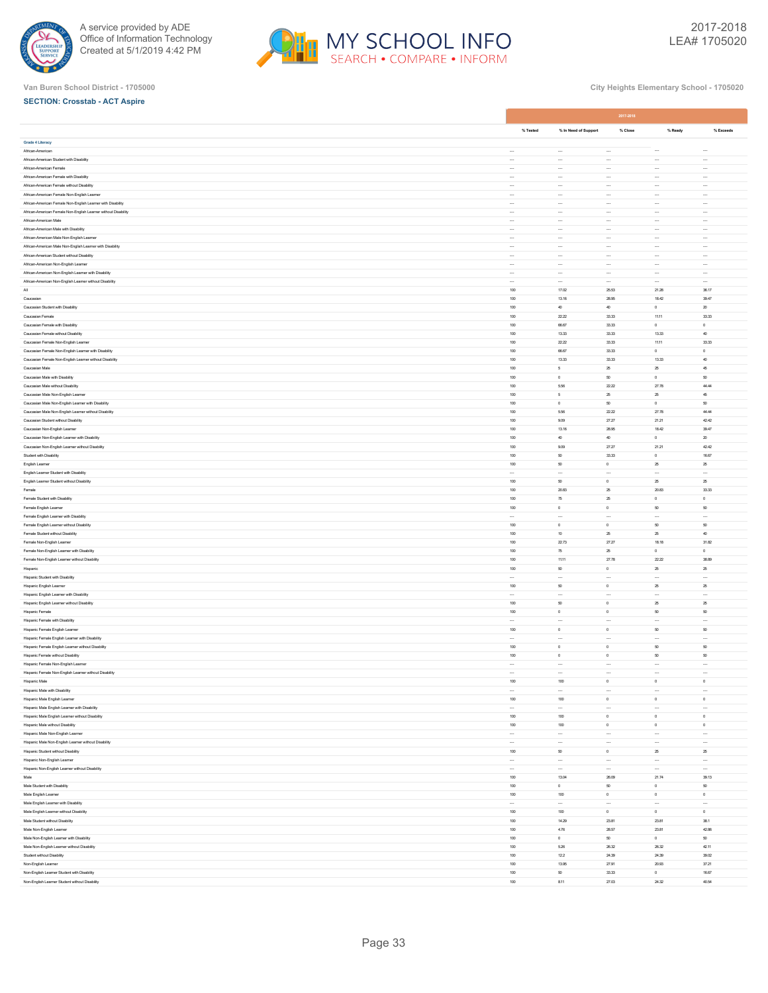



|                                                                                               | 2017-2018             |                                      |                                              |                         |                         |  |  |  |
|-----------------------------------------------------------------------------------------------|-----------------------|--------------------------------------|----------------------------------------------|-------------------------|-------------------------|--|--|--|
|                                                                                               | % Tested              | % In Need of Support                 | % Close                                      | % Ready                 | % Exceeds               |  |  |  |
| <b>Grade 4 Literacy</b>                                                                       |                       |                                      |                                              |                         |                         |  |  |  |
| African-American                                                                              | $\cdots$              | $\cdots$                             | $\cdots$                                     | $\cdots$                |                         |  |  |  |
| African-American Student with Disability                                                      | $\cdots$              | $\sim$                               | $\cdots$                                     | $\cdots$                | $\cdots$                |  |  |  |
| African-American Female<br>African-American Female with Disability                            | $\cdots$<br>$\cdots$  | $\cdots$<br>$\overline{\phantom{a}}$ | $\cdots$<br>$\cdots$                         | <br>                    | $\cdots$<br>$\cdots$    |  |  |  |
| African-American Female without Disability                                                    | $\cdots$              | $\sim$                               | $\cdots$                                     | $\cdots$                | $\cdots$                |  |  |  |
| African-American Female Non-English Learner                                                   | $\cdots$              | $\cdots$                             | $\cdots$                                     | $\cdots$                | $\cdots$                |  |  |  |
| African-American Female Non-English Learner with Disability                                   |                       | $\sim$                               | $\ddot{\phantom{a}}$                         | $\ddotsc$               | $\cdots$                |  |  |  |
| African-American Female Non-English Learner without Disability                                | $\cdots$              | $\sim$                               | $\cdots$                                     | $\cdots$                | $\cdots$                |  |  |  |
| African-American Male<br>African-American Male with Disability                                | $\ddotsc$<br>$\cdots$ | $\overline{\phantom{a}}$<br>$\sim$   | $\ddot{\phantom{0}}$<br>$\ddot{\phantom{a}}$ | $\ddotsc$<br>$\ddotsc$  | <br>$\cdots$            |  |  |  |
| African-American Male Non-English Learner                                                     | $\cdots$              | $\cdots$                             | $\cdots$                                     | $\cdots$                | $\cdots$                |  |  |  |
| African-American Male Non-English Learner with Disability                                     | $\cdots$              | $\cdots$                             | $\cdots$                                     | $\cdots$                | $\cdots$                |  |  |  |
| African-American Student without Disability                                                   | $\cdots$              | $\sim$                               | $\sim$                                       | $\cdots$                | $\cdots$                |  |  |  |
| African-American Non-English Learner<br>African-American Non-English Learner with Disability  | $\cdots$<br>$\cdots$  | $\cdots$<br>$\cdots$                 | $\cdots$<br>$\cdots$                         | $\cdots$<br>$\cdots$    | $\cdots$<br>$\cdots$    |  |  |  |
| African-American Non-English Learner without Disability                                       | $\cdots$              | $\sim$                               | $\cdots$                                     | $\cdots$                | $\cdots$                |  |  |  |
| $\mathsf{All}$                                                                                | 100                   | 17.02                                | 25.53                                        | 21.28                   | 36.17                   |  |  |  |
| Caucasian                                                                                     | 100                   | 13.16                                | 28.95                                        | 18.42                   | 39.47                   |  |  |  |
| Caucasian Student with Disability                                                             | 100                   | 40                                   | $40\,$                                       | $\mathbb O$             | $\mathbf{20}$           |  |  |  |
| Caucasian Female<br>Caucasian Female with Disability                                          | 100<br>100            | 22.22<br>66.67                       | 33.33<br>33.33                               | 11.11<br>$\circ$        | 33.33<br>$^{\circ}$     |  |  |  |
| Caucasian Female without Disability                                                           | 100                   | 13.33                                | 33.33                                        | 13.33                   | $40\,$                  |  |  |  |
| Caucasian Female Non-English Learner                                                          | 100                   | 22.22                                | 33.33                                        | 11.11                   | 33.33                   |  |  |  |
| Caucasian Female Non-English Learner with Disability                                          | 100                   | 66.67                                | 33.33                                        | $\circ$                 | $\circ$                 |  |  |  |
| Caucasian Female Non-English Learner without Disability                                       | 100                   | 13.33                                | 33.33                                        | 13.33                   | $40\,$                  |  |  |  |
| Caucasian Male<br>Caucasian Male with Disability                                              | 100<br>100            | 5<br>$\circ$                         | $\rm{2S}$<br>$_{50}$                         | $\rm 25$<br>$\,$ 0 $\,$ | $45\,$<br>$_{50}$       |  |  |  |
| Caucasian Male without Disability                                                             | 100                   | 5.56                                 | 22.22                                        | 27.78                   | 44.44                   |  |  |  |
| Caucasian Male Non-English Learner                                                            | 100                   | 5                                    | $\rm{2S}$                                    | 25                      | $45\,$                  |  |  |  |
| Caucasian Male Non-English Learner with Disability                                            | 100                   | $\,$ 0 $\,$                          | $_{\rm 50}$                                  | $\,$ 0 $\,$             | $_{50}$                 |  |  |  |
| Caucasian Male Non-English Learner without Disability                                         | 100                   | 5.56                                 | 22.22                                        | 27.78                   | 44.44                   |  |  |  |
| Caucasian Student without Disability                                                          | 100                   | 9.09                                 | 27.27                                        | 21.21                   | 42.42                   |  |  |  |
| Caucasian Non-English Learner<br>Caucasian Non-English Learner with Disability                | 100<br>100            | 13.16<br>40                          | 28.95<br>40                                  | 18.42<br>$\mathbb O$    | 39.47<br>$\rm{20}$      |  |  |  |
| Caucasian Non-English Learner without Disability                                              | 100                   | 9.09                                 | 27.27                                        | 21.21                   | 42.42                   |  |  |  |
| Student with Disability                                                                       | 100                   | $_{\rm S0}$                          | 33.33                                        | $\,$ 0 $\,$             | 16.67                   |  |  |  |
| English Learner                                                                               | 100                   | $_{50}$                              | $\,$ 0 $\,$                                  | $\rm{25}$               | $\rm 25$                |  |  |  |
| English Learner Student with Disability                                                       | $\cdots$              | $\cdots$                             | $\cdots$<br>$\circ$                          | $\cdots$                | $\cdots$                |  |  |  |
| English Learner Student without Disability<br>Female                                          | 100<br>100            | 60<br>20.83                          | 25                                           | $\rm 25$<br>20.83       | $\rm 25$<br>33.33       |  |  |  |
| Female Student with Disability                                                                | 100                   | $7\!$                                | $\rm{2S}$                                    | $\,$ 0 $\,$             | $\,$ 0 $\,$             |  |  |  |
| Female English Learner                                                                        | 100                   | $\circ$                              | $\,$ 0 $\,$                                  | $_{50}$                 | $_{\rm 50}$             |  |  |  |
| Female English Learner with Disability                                                        | $\cdots$              | $\cdots$                             | $\cdots$                                     | $\cdots$                | $\cdots$                |  |  |  |
| Female English Learner without Disability<br>Female Student without Disability                | 100<br>100            | $\,$ 0<br>10                         | $\,$ 0 $\,$<br>25                            | $_{\rm 50}$<br>25       | $_{\rm 50}$<br>$40\,$   |  |  |  |
| Female Non-English Learner                                                                    | 100                   | 22.73                                | 27.27                                        | 18.18                   | 31.82                   |  |  |  |
| Female Non-English Learner with Disability                                                    | 100                   | 75                                   | $\rm{2S}$                                    | $\mathbb O$             | $\mathbb O$             |  |  |  |
| Female Non-English Learner without Disability                                                 | 100                   | 11.11                                | 27.78                                        | 22.22                   | 38.89                   |  |  |  |
| Hispanic                                                                                      | 100                   | $_{\rm 50}$                          | $\,$ 0 $\,$                                  | $\rm 25$                | $\rm 25$                |  |  |  |
| Hispanic Student with Disability<br>Hispanic English Learner                                  | $\ddotsc$<br>100      | $\sim$<br>60                         | $\ddot{\phantom{0}}$<br>$\,$ 0 $\,$          | $\cdots$<br>$\rm 25$    | $\cdots$<br>$\rm 25$    |  |  |  |
| Hispanic English Learner with Disability                                                      | $\cdots$              | $\ddot{\phantom{a}}$                 | $\ddot{\phantom{a}}$                         |                         |                         |  |  |  |
| Hispanic English Learner without Disability                                                   | 100                   | 50                                   | $\circ$                                      | 25                      | 25                      |  |  |  |
| Hispanic Female                                                                               | 100                   | $\,$ 0 $\,$                          | $\,$ 0 $\,$                                  | $_{50}$                 | $_{50}$                 |  |  |  |
| Hispanic Female with Disability                                                               |                       | $\sim$                               | $\ddotsc$                                    |                         | $\sim$                  |  |  |  |
| Hispanic Female English Learner<br>Hispanic Female English Learner with Disability            | 100<br>$\ddotsc$      | $\circ$<br>$\overline{\phantom{a}}$  | $\circ$<br>$\ddot{\phantom{0}}$              | 50<br>$\ddotsc$         | 50<br>$\cdots$          |  |  |  |
| Hispanic Female English Learner without Disability                                            | 100                   | $\circ$                              | $\circ$                                      | $_{50}$                 | $_{50}$                 |  |  |  |
| Hispanic Female without Disability                                                            | 100                   | $\,$ 0 $\,$                          | $\,$ 0 $\,$                                  | $_{50}$                 | $_{50}$                 |  |  |  |
| Hispanic Female Non-English Learner                                                           | $\cdots$              | $\cdots$                             | $\cdots$                                     |                         | $\cdots$                |  |  |  |
| Hispanic Female Non-English Learne<br>hout Disability<br>Hispanic Male                        | 100                   | 100                                  | $\,$ 0 $\,$                                  | $\mathbb O$             | $\mathbb O$             |  |  |  |
| Hispanic Male with Disability                                                                 | $\ldots$              | $\cdots$                             | $\cdots$                                     | $\cdots$                | $\cdots$                |  |  |  |
| Hispanic Male English Learner                                                                 | 100                   | 100                                  | $\circ$                                      | $\circ$                 | $\circ$                 |  |  |  |
| Hispanic Male English Learner with Disability                                                 | $\ddotsc$             | $\sim$                               | $\ddot{\phantom{a}}$                         |                         | $\cdots$                |  |  |  |
| Hispanic Male English Learner without Disability                                              | 100                   | 100                                  | $\,$ 0 $\,$                                  | $\mathbb O$             | $\mathbb O$             |  |  |  |
| Hispanic Male without Disability<br>Hispanic Male Non-English Learner                         | 100<br>$\cdots$       | 100<br>$\cdots$                      | $\,$ 0 $\,$<br>$\cdots$                      | $\mathbb O$<br>$\cdots$ | $\mathbb O$<br>$\cdots$ |  |  |  |
| Hispanic Male Non-English Learner without Disability                                          | $\cdots$              | $\sim$                               | $\cdots$                                     | $\cdots$                | $\cdots$                |  |  |  |
| Hispanic Student without Disability                                                           | 100                   | 60                                   | $\,$ 0 $\,$                                  | $\rm{25}$               | $\rm 25$                |  |  |  |
| Hispanic Non-English Learner                                                                  |                       | $\sim$                               | $\sim$                                       | $\ddotsc$               | $\cdots$                |  |  |  |
| Hispanic Non-English Learner without Disability                                               | $\cdots$              | $\sim$                               | $\cdots$                                     | $\cdots$                | $\cdots$                |  |  |  |
| Male<br>Male Student with Disability                                                          | 100<br>100            | 13.04<br>$\circ$                     | 26.09<br>50                                  | 21.74<br>$\mathbb O$    | 39.13<br>$_{50}$        |  |  |  |
| Male English Learner                                                                          | 100                   | 100                                  | $\,$ 0 $\,$                                  | $\mathbb O$             | $\mathbb O$             |  |  |  |
| Male English Learner with Disability                                                          | $\cdots$              | $\cdots$                             | $\cdots$                                     |                         | $\cdots$                |  |  |  |
| Male English Learner without Disability                                                       | 100                   | 100                                  | $\circ$                                      | $\circ$                 | $\circ$                 |  |  |  |
| Male Student without Disability                                                               | 100                   | 14.29                                | 23.81                                        | 23.81                   | 38.1                    |  |  |  |
| Male Non-English Learner<br>Male Non-English Learner with Disability                          | 100<br>100            | 4.76<br>$\circ$                      | 28.57<br>60                                  | 23.81<br>$\circ$        | 42.86<br>$_{50}$        |  |  |  |
| Male Non-English Learner without Disability                                                   | 100                   | $_{\rm 526}$                         | 26.32                                        | 26.32                   | 42.11                   |  |  |  |
| Student without Disability                                                                    | 100                   | 122                                  | 24.39                                        | 24.39                   | 39.02                   |  |  |  |
| Non-English Learner                                                                           | 100                   | 13.95                                | 27.91                                        | 20.93                   | 37.21                   |  |  |  |
| Non-English Learner Student with Disability<br>Non-English Learner Student without Disability | 100<br>100            | $_{\rm 50}$<br>8.11                  | 33.33<br>27.03                               | $\,$ 0 $\,$<br>24.32    | 16.67<br>40.54          |  |  |  |
|                                                                                               |                       |                                      |                                              |                         |                         |  |  |  |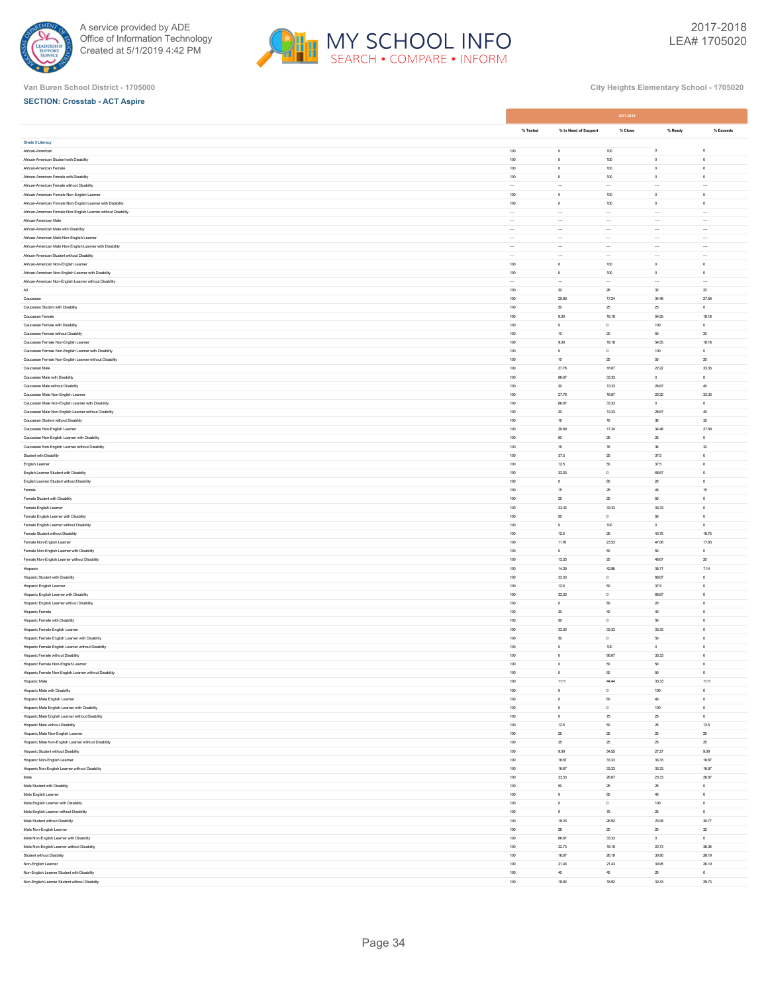



|                                                                                                          |                       | 2017-2018               |                          |                         |                                                                                                                    |
|----------------------------------------------------------------------------------------------------------|-----------------------|-------------------------|--------------------------|-------------------------|--------------------------------------------------------------------------------------------------------------------|
|                                                                                                          | $%$ Tested            | % In Need of Support    | $\%$ Close               | % Ready                 | % Exceeds                                                                                                          |
| <b>Grade 5 Literacy</b>                                                                                  |                       |                         |                          |                         |                                                                                                                    |
| African-American                                                                                         | 100                   | $\,$ 0 $\,$             | 100                      | $\mathbb O$             | $\mathbb O$                                                                                                        |
| African-American Student with Disability                                                                 | 100                   | $^{\circ}$              | 100                      | $\mathbf{0}$            | $^{\circ}$                                                                                                         |
| African-American Female                                                                                  | $100\,$               | $\circ$                 | $100\,$                  | $\mathbb O$             | $\,$ 0 $\,$                                                                                                        |
| African-American Female with Disability                                                                  | 100                   | $\circ$                 | 100                      | $\,$ 0 $\,$             | $\,$ 0 $\,$                                                                                                        |
| African-American Female without Disability<br>African-American Female Non-English Learner                | $\cdots$<br>$100\,$   | $\cdots$<br>$\,$ 0      | $\cdots$<br>$100\,$      | $\cdots$<br>$\mathbb O$ | $\cdots$<br>$\,$ 0 $\,$                                                                                            |
| African-American Female Non-English Learner with Disability                                              | 100                   | $\circ$                 | 100                      | $\mathbb O$             | $\circ$                                                                                                            |
| African-American Female Non-English Learner without Disability                                           | $\cdots$              | $\cdots$                | $\ddot{\phantom{0}}$     | $\cdots$                | $\cdots$                                                                                                           |
| African-American Male                                                                                    | à.                    | $\sim$                  | $\ddot{\phantom{a}}$     | $\ddotsc$               |                                                                                                                    |
| African-American Male with Disability                                                                    | $\cdots$              | $\sim$                  | $\cdots$                 | $\cdots$                | $\cdots$                                                                                                           |
| African-American Male Non-English Learner                                                                | $\cdots$              | $\ddotsc$               | $\ddot{\phantom{0}}$     | $\ddotsc$               |                                                                                                                    |
| African-American Male Non-English Learner with Disability<br>African-American Student without Disability | $\ddotsc$<br>$\cdots$ | $\sim$<br>$\cdots$      | $\sim$<br>$\cdots$       | $\ddotsc$<br>$\cdots$   | $\overline{\phantom{a}}$<br>$\cdots$                                                                               |
| African-American Non-English Learner                                                                     | $100\,$               | $\,$ 0 $\,$             | $100\,$                  | $\,$ 0 $\,$             | $\,$ 0 $\,$                                                                                                        |
| African-American Non-English Learner with Disability                                                     | 100                   | $^{\circ}$              | 100                      | $^{\circ}$              | $^{\circ}$                                                                                                         |
| African-American Non-English Learner without Disability                                                  | $\cdots$              | $\cdots$                | $\cdots$                 | $\cdots$                | $\cdots$                                                                                                           |
| All                                                                                                      | 100                   | $\rm{20}$               | $\rm 26$                 | $\mathbf{\mathcal{Q}}$  | $\mathbf{z}$                                                                                                       |
| Caucasian                                                                                                | 100                   | 20.69                   | 17.24                    | 34.48                   | 27.59                                                                                                              |
| Caucasian Student with Disability                                                                        | $100\,$               | $_{50}$<br>9.09         | $\rm{2S}$                | $\rm 25$                | $\,$ 0                                                                                                             |
| Caucasian Female<br>Caucasian Female with Disability                                                     | 100<br>100            | $\,$ 0 $\,$             | 18.18<br>$\,$ 0 $\,$     | 54.55<br>100            | 18.18<br>$\,$ 0 $\,$                                                                                               |
| Caucasian Female without Disability                                                                      | $100\,$               | 10                      | $\rm{20}$                | $_{\rm 50}$             | $\rm{20}$                                                                                                          |
| Caucasian Female Non-English Learner                                                                     | 100                   | 9.09                    | 18.18                    | 54.55                   | 18.18                                                                                                              |
| Caucasian Female Non-English Learner with Disability                                                     | 100                   | $\,$ 0 $\,$             | $\,$ 0 $\,$              | 100                     | $\,$ 0 $\,$                                                                                                        |
| Caucasian Female Non-English Learner without Disability                                                  | 100                   | $10\,$                  | $\rm{20}$                | $_{50}$                 | $\rm{20}$                                                                                                          |
| Caucasian Male                                                                                           | 100                   | 27.78                   | 16.67                    | 22.22                   | 33.33                                                                                                              |
| Caucasian Male with Disability<br>Caucasian Male without Disability                                      | $100\,$<br>100        | 66.67<br>$\mathbf{20}$  | 33.33<br>13.33           | $\mathbb O$<br>26.67    | $\,$ 0 $\,$<br>$40\,$                                                                                              |
| Caucasian Male Non-English Learner                                                                       | 100                   | 27.78                   | 16.67                    | 22.22                   | 33.33                                                                                                              |
| Caucasian Male Non-English Learner with Disability                                                       | $100\,$               | 66.67                   | 33.33                    | $\,$ 0 $\,$             | $\,$ 0 $\,$                                                                                                        |
| Caucasian Male Non-English Learner without Disability                                                    | 100                   | $\rm{20}$               | 13.33                    | 26.67                   | $40\,$                                                                                                             |
| Caucasian Student without Disability                                                                     | 100                   | 16                      | $16\,$                   | $36\,$                  | $\mathfrak V$                                                                                                      |
| Caucasian Non-English Learner                                                                            | 100                   | 20.69                   | 17.24                    | 34.48                   | 27.59                                                                                                              |
| Caucasian Non-English Learner with Disability<br>Caucasian Non-English Learner without Disability        | 100<br>$100\,$        | $_{50}$<br>16           | $\rm{z}\rm{s}$<br>$16\,$ | $\rm 25$<br>$36\,$      | $\ddot{\phantom{0}}$<br>$\mathbf{\underline{\mathcal{Q}}}$                                                         |
| Student with Disability                                                                                  | 100                   | 37.5                    | $\rm{2S}$                | 37.5                    | $\,$ 0 $\,$                                                                                                        |
| English Learner                                                                                          | 100                   | 12.5                    | $_{50}$                  | 37.5                    | $\,$ 0 $\,$                                                                                                        |
| English Learner Student with Disability                                                                  | $100\,$               | 33.33                   | $\,$ 0 $\,$              | 66.67                   | $\,$ 0 $\,$                                                                                                        |
| English Learner Student without Disability                                                               | 100                   | $\circ$                 | 80                       | $\rm{20}$               | $\mathbb O$                                                                                                        |
| Female                                                                                                   | 100                   | $15\,$                  | $\rm{2S}$                | $45\,$                  | $15\,$                                                                                                             |
| Female Student with Disability                                                                           | 100<br>100            | 25<br>33.33             | $\rm{2S}$<br>33.33       | 50<br>33.33             | $\mathbb O$<br>$\mathbb O$                                                                                         |
| Female English Learner<br>Female English Learner with Disability                                         | $100\,$               | $_{50}$                 | $\,$ 0 $\,$              | $_{\rm 50}$             | $\mathbb O$                                                                                                        |
| Female English Learner without Disability                                                                | 100                   | $\circ$                 | 100                      | $\mathbb O$             | $\,$ 0 $\,$                                                                                                        |
| Female Student without Disability                                                                        | 100                   | 12.5                    | $\rm{2S}$                | 43.75                   | 18.75                                                                                                              |
| Female Non-English Learner                                                                               | $100\,$               | 11.76                   | 23.53                    | 47.06                   | 17.65                                                                                                              |
| Female Non-English Learner with Disability                                                               | 100                   | $^{\circ}$              | $_{50}$                  | 50                      | $\ddot{\phantom{0}}$                                                                                               |
| Female Non-English Learner without Disability<br>Hispanic                                                | 100<br>100            | 13.33<br>14.29          | $\rm{20}$<br>42.86       | 46.67<br>35.71          | $\rm{20}$<br>7.14                                                                                                  |
| Hispanic Student with Disability                                                                         | 100                   | 33.33                   | $\circ$                  | 66.67                   | $^{\circ}$                                                                                                         |
| Hispanic English Learner                                                                                 | $100\,$               | $12.5\,$                | $_{\rm S0}$              | $37.5\,$                | $\mathbb O$                                                                                                        |
| Hispanic English Learner with Disability                                                                 | 100                   | 33.33                   | $\,$ 0 $\,$              | 66.67                   | $\,$ 0 $\,$                                                                                                        |
| Hispanic English Learner without Disability                                                              | 100                   | $\,$ 0 $\,$             | 80                       | $\rm{20}$               | $\,$ 0 $\,$                                                                                                        |
| Hispanic Female                                                                                          | $100\,$               | $\rm{20}$               | $40\,$                   | $40\,$                  | $\,$ 0                                                                                                             |
| Hispanic Female with Disability<br>Hispanic Female English Learner                                       | 100<br>100            | 50<br>33.33             | $\circ$<br>33.33         | $_{50}$<br>33.33        | $\mathbb O$<br>$\,$ 0 $\,$                                                                                         |
| Hispanic Female English Learner with Disability                                                          | 100                   | 60                      | $\,$ 0 $\,$              | $_{50}$                 | $\,$ 0 $\,$                                                                                                        |
| Hispanic Female English Learner without Disability                                                       | 100                   | $\circ$                 | 100                      | $\mathbb O$             | $\mathbb O$                                                                                                        |
| Hispanic Female without Disability                                                                       | $100\,$               | $\,$ 0 $\,$             | 66.67                    | 33.33                   | $\mathbb O$                                                                                                        |
| Hispanic Female Non-English Learner                                                                      | 100                   | $^{\circ}$              | $_{\rm S0}$              | $_{50}$                 | $\,$ 0 $\,$                                                                                                        |
| Hispanic Female Non-English Learner without Disability                                                   | 100                   | $\,0\,$                 | $_{50}$                  | $_{50}$                 | $\circ$                                                                                                            |
| Hispanic Male<br>Hispanic Male with Disability                                                           | 100<br>100            | $11.11\,$<br>$^{\circ}$ | 44.44<br>$\circ$         | 33.33<br>100            | $11.11\,$<br>$^{\circ}$                                                                                            |
| Hispanic Male English Learner                                                                            | 100                   | $\,$ 0 $\,$             | $_{60}$                  | $40\,$                  | $\,$ 0 $\,$                                                                                                        |
| Hispanic Male English Learner with Disability                                                            | 100                   | $\circ$                 | $\,$ 0 $\,$              | 100                     | $\mathsf{O}$                                                                                                       |
| Hispanic Male English Learner without Disability                                                         | 100                   | $\circ$                 | 75                       | $\rm{2S}$               | $\circ$                                                                                                            |
| Hispanic Male without Disability                                                                         | $100\,$               | 12.5                    | $_{\rm S0}$              | $\rm 25$                | 12.5                                                                                                               |
| Hispanic Male Non-English Learner                                                                        | 100                   | $\rm{25}$               | $\rm{2S}$                | $\rm 25$                | $\rm 25$                                                                                                           |
| Hispanic Male Non-English Learner without Disability<br>Hispanic Student without Disability              | 100<br>$100\,$        | $\rm{25}$<br>9.09       | $\rm{z}\rm{s}$<br>54.55  | $\rm 25$<br>27.27       | $\rm{25}$<br>9.09                                                                                                  |
| Hispanic Non-English Learner                                                                             | 100                   | 16.67                   | 33.33                    | 33.33                   | 16.67                                                                                                              |
| Hispanic Non-English Learner without Disability                                                          | 100                   | 16.67                   | 33.33                    | 33.33                   | 16.67                                                                                                              |
| Male                                                                                                     | 100                   | 23.33                   | 26.67                    | 23.33                   | 26.67                                                                                                              |
| Male Student with Disability                                                                             | 100                   | 50                      | 25                       | 25                      | $\circ$                                                                                                            |
| Male English Learner                                                                                     | 100                   | $\,$ 0 $\,$             | $_{60}$                  | $40\,$                  | $\mathbb O$                                                                                                        |
| Male English Learner with Disability<br>Male English Learner without Disability                          | 100<br>100            | $\circ$<br>$\circ$      | $\,$ 0 $\,$<br>$75\,$    | 100<br>$\rm{25}$        | $\,$ 0 $\,$<br>$\,$ 0 $\,$                                                                                         |
| Male Student without Disability                                                                          | 100                   | 19.23                   | 26.92                    | 23.08                   | 30.77                                                                                                              |
| Male Non-English Learner                                                                                 | 100                   | 28                      | 20                       | 20                      | $\mathfrak{D}% _{T}=\mathfrak{D}_{T}\!\left( a,b\right) ,\ \mathfrak{D}_{T}=\mathfrak{D}_{T}\!\left( a,b\right) ,$ |
| Male Non-English Learner with Disability                                                                 | 100                   | 66.67                   | 33.33                    | $\mathbb O$             | $\mathbb O$                                                                                                        |
| Male Non-English Learner without Disability                                                              | 100                   | 22.73                   | 18.18                    | 22.73                   | 36.36                                                                                                              |
| Student without Disability                                                                               | 100                   | 16.67                   | 26.19                    | 30.95                   | 26.19                                                                                                              |
| Non-English Learner                                                                                      | $100\,$<br>100        | 21.43<br>40             | 21.43                    | 30.96                   | 26.19                                                                                                              |
| Non-English Learner Student with Disability<br>Non-English Learner Student without Disability            | 100                   | 18.92                   | 40<br>18.92              | $\rm{20}$<br>32.43      | $\mathsf{O}$<br>29.73                                                                                              |
|                                                                                                          |                       |                         |                          |                         |                                                                                                                    |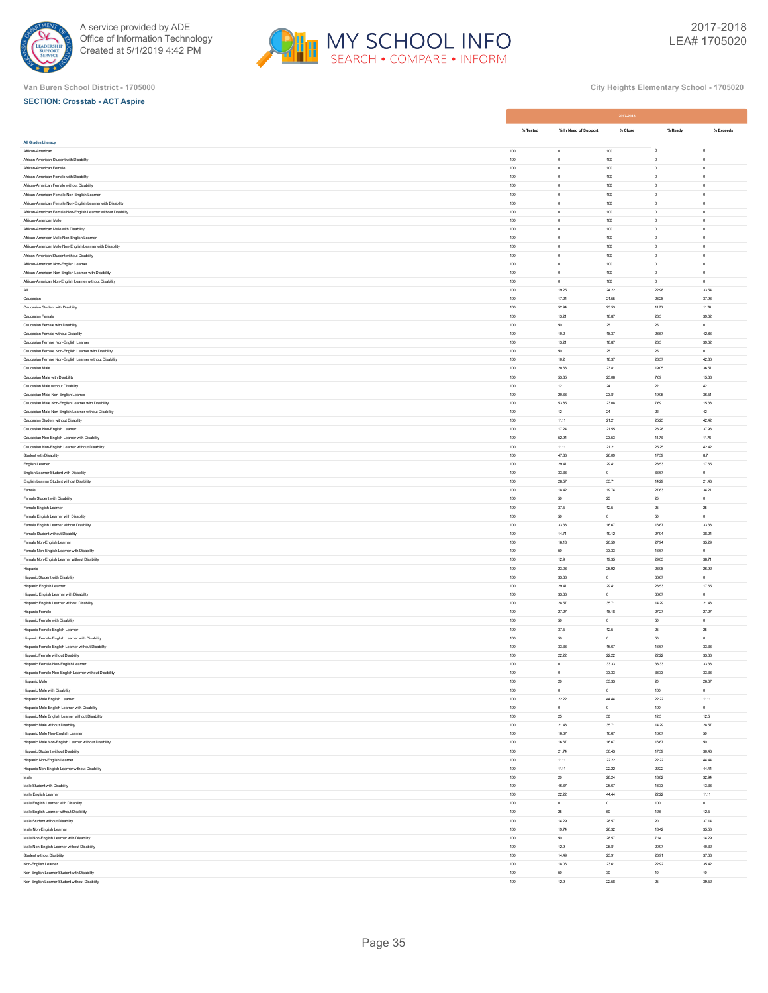



|                                                                                               |                | 2017-2018              |                         |                            |                            |
|-----------------------------------------------------------------------------------------------|----------------|------------------------|-------------------------|----------------------------|----------------------------|
|                                                                                               | $%$ Tested     | % In Need of Support   | $\%$ Close              | % Ready                    | % Exceeds                  |
| <b>All Grades Literacy</b>                                                                    |                |                        |                         |                            |                            |
| African-American                                                                              | 100            | $\,$ 0 $\,$            | 100                     | $\mathbb O$                | $\mathbb O$                |
| African-American Student with Disability                                                      | 100            | $^{\circ}$             | 100                     | $\ddot{\phantom{0}}$       | $^{\circ}$                 |
| African-American Female                                                                       | $100\,$        | $\circ$                | $100\,$                 | $\mathbb O$                | $\,$ 0                     |
| African-American Female with Disability                                                       | 100            | $\circ$                | 100                     | $\,$ 0 $\,$                | $\,$ 0 $\,$                |
| African-American Female without Disability<br>African-American Female Non-English Learner     | 100<br>$100\,$ | $\,$ 0 $\,$<br>$\circ$ | 100<br>$100\,$          | $\,$ 0 $\,$<br>$\mathbb O$ | $\,$ 0 $\,$<br>$\,$ 0 $\,$ |
| African-American Female Non-English Learner with Disability                                   | 100            | $\circ$                | 100                     | $\mathbb O$                | $\mathbb O$                |
| African-American Female Non-English Learner without Disability                                | 100            | $\,$ 0 $\,$            | 100                     | $\,$ 0 $\,$                | $\,$ 0 $\,$                |
| African-American Male                                                                         | 100            | $\circ$                | 100                     | $\,$ 0 $\,$                | $\,$ 0 $\,$                |
| African-American Male with Disability                                                         | 100            | $^{\circ}$             | 100                     | $\mathbb O$                | $\mathbb O$                |
| African-American Male Non-English Learner                                                     | $100\,$        | $\,$ 0 $\,$            | 100                     | $\,$ 0 $\,$                | $\,$ 0 $\,$                |
| African-American Male Non-English Learner with Disability                                     | 100            | $\,$ 0                 | 100                     | $\,$ 0 $\,$                | $\,$ 0 $\,$                |
| African-American Student without Disability<br>African-American Non-English Learner           | 100<br>$100\,$ | $\circ$<br>$\,$ 0 $\,$ | 100<br>100              | $\,$ 0 $\,$<br>$\,$ 0 $\,$ | $\,$ 0 $\,$<br>$\,$ 0 $\,$ |
| African-American Non-English Learner with Disability                                          | 100            | $^{\circ}$             | 100                     | $^{\circ}$                 | $\ddot{\phantom{0}}$       |
| African-American Non-English Learner without Disability                                       | 100            | $\circ$                | 100                     | $\,$ 0 $\,$                | $\,$ 0 $\,$                |
| All                                                                                           | 100            | 19.25                  | 24.22                   | 22.98                      | 33.54                      |
| Caucasian                                                                                     | 100            | 17.24                  | 21.55                   | 23.28                      | 37.93                      |
| Caucasian Student with Disability                                                             | $100\,$        | 52.94                  | 23.53                   | 11.76                      | 11.76                      |
| Caucasian Female<br>Caucasian Female with Disability                                          | 100<br>100     | 13.21<br>$_{50}$       | 18.87<br>$\rm{z}\rm{s}$ | 28.3<br>$\rm 25$           | 39.62<br>$\mathsf{O}$      |
| Caucasian Female without Disability                                                           | $100\,$        | $10.2\,$               | 18.37                   | 28.57                      | 42.86                      |
| Caucasian Female Non-English Learner                                                          | 100            | 13.21                  | 18.87                   | 28.3                       | 39.62                      |
| Caucasian Female Non-English Learner with Disability                                          | 100            | $_{50}$                | $\rm{z}\rm{s}$          | $\rm 25$                   | $\,$ 0 $\,$                |
| Caucasian Female Non-English Learner without Disability                                       | 100            | 10.2                   | 18.37                   | 28.57                      | 42.86                      |
| Caucasian Male                                                                                | 100            | 20.63                  | 23.81                   | 19.05                      | 36.51                      |
| Caucasian Male with Disability                                                                | $100\,$        | 53.85                  | 23.08                   | 7.69                       | 15.38                      |
| Caucasian Male without Disability                                                             | 100            | 12                     | 24                      | $\mathbf{z}$               | 42                         |
| Caucasian Male Non-English Learner<br>Caucasian Male Non-English Learner with Disability      | 100<br>$100\,$ | 20.63<br>53.85         | 23.81<br>23.08          | 19.05<br>7.69              | 36.51<br>15.38             |
| Caucasian Male Non-English Learner without Disability                                         | 100            | 12                     | 24                      | $\rm{z}$                   | 42                         |
| Caucasian Student without Disability                                                          | 100            | 11.11                  | 21.21                   | 25.25                      | 42.42                      |
| Caucasian Non-English Learner                                                                 | 100            | 17.24                  | 21.55                   | 23.28                      | 37.93                      |
| Caucasian Non-English Learner with Disability                                                 | 100            | 52.94                  | 23.53                   | 11.76                      | 11.76                      |
| Caucasian Non-English Learner without Disability                                              | $100\,$        | $11.11\,$              | 21.21                   | 25.25                      | 42.42                      |
| Student with Disability                                                                       | 100            | 47.83                  | 26.09                   | 17.39                      | 8.7                        |
| English Learner<br>English Learner Student with Disability                                    | 100<br>$100\,$ | 29.41<br>33.33         | 29.41<br>$\,$ 0 $\,$    | 23.53<br>66.67             | 17.65<br>$\,$ 0            |
| English Learner Student without Disability                                                    | 100            | 28.57                  | 35.71                   | 14.29                      | 21.43                      |
| Female                                                                                        | 100            | 18.42                  | 19.74                   | 27.63                      | 34.21                      |
| Female Student with Disability                                                                | 100            | 60                     | $\rm{2S}$               | $\rm 25$                   | $\mathbb O$                |
| Female English Learner                                                                        | 100            | 37.5                   | 12.5                    | 25                         | 25                         |
| Female English Learner with Disability                                                        | $100\,$        | $_{50}$                | $\,$ 0 $\,$             | $_{\rm 50}$                | $\mathbb O$                |
| Female English Learner without Disability                                                     | 100            | 33.33                  | 16.67                   | 16.67                      | 33.33                      |
| Female Student without Disability<br>Female Non-English Learner                               | 100<br>$100\,$ | 14.71<br>16.18         | 19.12<br>20.59          | 27.94<br>27.94             | 38.24<br>35.29             |
| Female Non-English Learner with Disability                                                    | 100            | 60                     | 33.33                   | 16.67                      | $\ddot{\phantom{0}}$       |
| Female Non-English Learner without Disability                                                 | 100            | 12.9                   | 19.35                   | 29.03                      | 38.71                      |
| Hispanic                                                                                      | 100            | 23.08                  | 26.92                   | 23.08                      | 26.92                      |
| Hispanic Student with Disability                                                              | 100            | 33.33                  | $\circ$                 | 66.67                      | $^{\circ}$                 |
| Hispanic English Learner                                                                      | $100\,$        | 29.41                  | 29.41                   | 23.53                      | 17.65                      |
| Hispanic English Learner with Disability<br>Hispanic English Learner without Disability       | 100<br>100     | 33.33<br>28.57         | $\,$ 0 $\,$<br>35.71    | 66.67<br>14.29             | $\mathsf{O}$<br>21.43      |
| Hispanic Female                                                                               | $100\,$        | 27.27                  | 18.18                   | 27.27                      | 27.27                      |
| Hispanic Female with Disability                                                               | 100            | 50                     | $\circ$                 | 50                         | $\circ$                    |
| Hispanic Female English Learner                                                               | 100            | 37.5                   | 12.5                    | $\rm 25$                   | $\rm{25}$                  |
| Hispanic Female English Learner with Disability                                               | 100            | $_{50}$                | $\,0\,$                 | $_{50}$                    | $\circ$                    |
| Hispanic Female English Learner without Disability                                            | 100            | 33.33                  | 16.67                   | 16.67                      | 33.33                      |
| Hispanic Female without Disability                                                            | 100            | 22.22<br>$^{\circ}$    | $22.22\,$               | 22.22                      | 33.33                      |
| Hispanic Female Non-English Learner<br>Hispanic Female Non-English Learner without Disability | 100<br>100     | $\,0\,$                | 33.33<br>33.33          | 33.33<br>33.33             | 33.33<br>33.33             |
| Hispanic Male                                                                                 | 100            | $\rm{20}$              | 33.33                   | $\rm{20}$                  | 26.67                      |
| Hispanic Male with Disability                                                                 | 100            | $\circ$                | $\circ$                 | 100                        | $^{\circ}$                 |
| Hispanic Male English Learner                                                                 | 100            | 22.22                  | 44.44                   | 22.22                      | 11.11                      |
| Hispanic Male English Learner with Disability                                                 | 100            | $\circ$                | $\,$ 0 $\,$             | 100                        | $\mathsf{O}$               |
| Hispanic Male English Learner without Disability                                              | 100            | $\mathbf{z}$           | 50                      | 12.5                       | 12.5                       |
| Hispanic Male without Disability                                                              | $100\,$<br>100 | 21.43<br>16.67         | 35.71<br>16.67          | 14.29<br>16.67             | 28.57                      |
| Hispanic Male Non-English Learner<br>Hispanic Male Non-English Learner without Disability     | 100            | 16.67                  | 16.67                   | 16.67                      | $_{\rm 50}$<br>$_{\rm 50}$ |
| Hispanic Student without Disability                                                           | $100\,$        | 21.74                  | 30.43                   | 17.39                      | 30.43                      |
| Hispanic Non-English Learner                                                                  | 100            | 11.11                  | 22.22                   | 22.22                      | 44.44                      |
| Hispanic Non-English Learner without Disability                                               | 100            | 11.11                  | 22.22                   | 22.22                      | 44.44                      |
| Male                                                                                          | 100            | 20                     | 28.24                   | 18.82                      | 32.94                      |
| Male Student with Disability<br>Male English Learner                                          | 100<br>100     | 46.67                  | 26.67                   | 13.33                      | 13.33                      |
| Male English Learner with Disability                                                          | 100            | 22.22<br>$\circ$       | 44.44<br>$\,0\,$        | $22.22\,$<br>100           | 11.11<br>$\mathbb O$       |
| Male English Learner without Disability                                                       | 100            | $\rm{z}$               | $_{50}$                 | 12.5                       | 12.5                       |
| Male Student without Disability                                                               | 100            | 14.29                  | 28.57                   | $\rm{20}$                  | 37.14                      |
| Male Non-English Learner                                                                      | 100            | 19.74                  | 26.32                   | 18.42                      | 35.53                      |
| Male Non-English Learner with Disability                                                      | 100            | 50                     | 28.57                   | 7.14                       | 14.29                      |
| Male Non-English Learner without Disability                                                   | 100            | 12.9                   | 25.81                   | 20.97                      | 40.32                      |
| Student without Disability                                                                    | 100            | 14.49                  | 23.91                   | 23.91                      | 37.68                      |
| Non-English Learner                                                                           | $100\,$<br>100 | 18.06<br>50            | 23.61<br>30             | 22.92                      | 35.42                      |
| Non-English Learner Student with Disability<br>Non-English Learner Student without Disability | 100            | 12.9                   | 22.58                   | $10\,$<br>$\rm 25$         | $10\,$<br>39.52            |
|                                                                                               |                |                        |                         |                            |                            |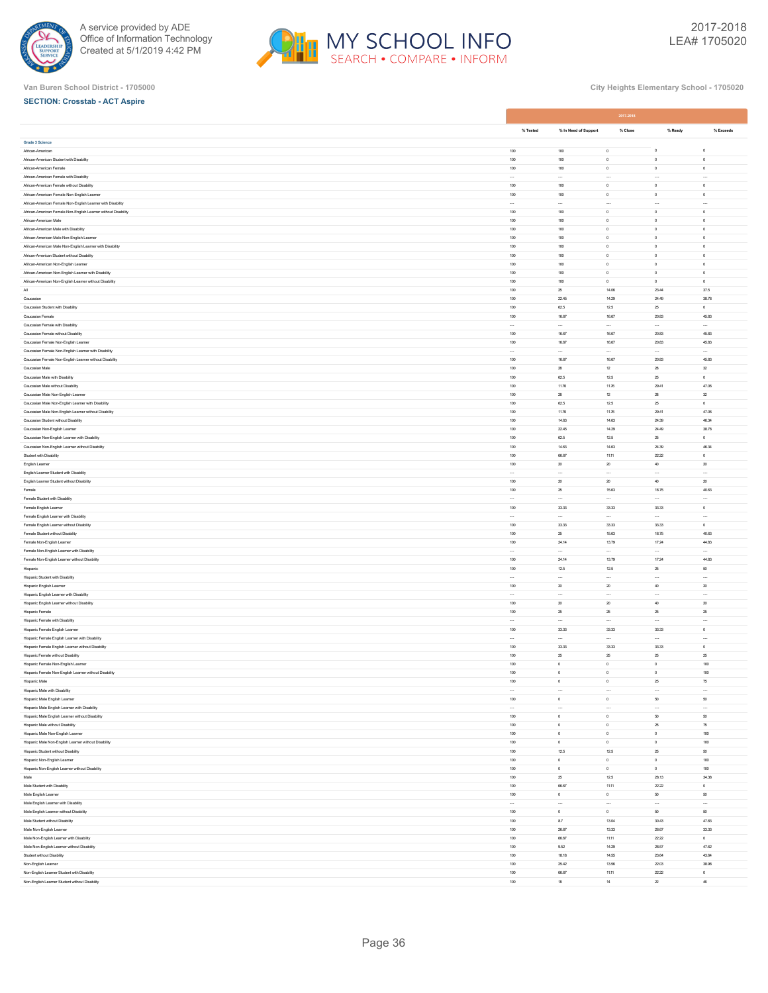



|                                                                                               |                     |                        | 2017-2018                     |                            |                                    |  |
|-----------------------------------------------------------------------------------------------|---------------------|------------------------|-------------------------------|----------------------------|------------------------------------|--|
|                                                                                               | $%$ Tested          | % In Need of Support   | $\%$ Close                    | % Ready                    | % Exceeds                          |  |
| Grade 3 Science                                                                               |                     |                        |                               |                            |                                    |  |
| African-American                                                                              | 100                 | 100                    | $\circ$                       | $\,$ 0 $\,$                | $\,$ 0 $\,$                        |  |
| African-American Student with Disability                                                      | 100                 | 100                    | $\circ$                       | $\mathbb O$                | $\mathbb O$                        |  |
| African-American Female                                                                       | 100                 | 100                    | $\,$ 0 $\,$                   | $\,$ 0 $\,$                | $\,$ 0 $\,$                        |  |
| African-American Female with Disability<br>African-American Female without Disability         | $\cdots$<br>$100\,$ | $\sim$<br>100          | $\ddotsc$<br>$\,$ 0           | $\cdots$<br>$\mathbb O$    | $\cdots$<br>$\mathbb O$            |  |
| African-American Female Non-English Learner                                                   | 100                 | 100                    | $\,$ 0 $\,$                   | $\mathbb O$                | $\mathbb O$                        |  |
| African-American Female Non-English Learner with Disability                                   | $\cdots$            | $\cdots$               | $\ddot{\phantom{0}}$          | $\cdots$                   | $\cdots$                           |  |
| African-American Female Non-English Learner without Disability                                | $100\,$             | 100                    | $\,$ 0                        | $\mathbb O$                | $\,$ 0 $\,$                        |  |
| African-American Male<br>African-American Male with Disability                                | 100<br>100          | 100<br>100             | $\circ$<br>$\,$ 0 $\,$        | $\circ$<br>$\,$ 0 $\,$     | $\circ$<br>$\,$ 0 $\,$             |  |
| African-American Male Non-English Learner                                                     | 100                 | 100                    | $\,$ 0                        | $\,$ 0 $\,$                | $\,$ 0 $\,$                        |  |
| African-American Male Non-English Learner with Disability                                     | 100                 | 100                    | $\circ$                       | $\mathbb O$                | $\,$ 0 $\,$                        |  |
| African-American Student without Disability                                                   | $100\,$             | 100                    | $\,$ 0 $\,$                   | $\,$ 0 $\,$                | $\,$ 0 $\,$                        |  |
| African-American Non-English Learner<br>African-American Non-English Learner with Disability  | 100<br>100          | 100<br>100             | $\,$ 0 $\,$<br>$\circ$        | $\mathbb O$<br>$\mathbb O$ | $\,$ 0 $\,$<br>$\mathbb O$         |  |
| African-American Non-English Learner without Disability                                       | $100\,$             | 100                    | $\,$ 0 $\,$                   | $\,$ 0 $\,$                | $\,$ 0 $\,$                        |  |
| All                                                                                           | 100                 | 25                     | 14.06                         | 23.44                      | 37.5                               |  |
| Caucasian                                                                                     | 100                 | 22.45                  | 14.29                         | 24.49                      | 38.78                              |  |
| Caucasian Student with Disability                                                             | 100                 | 62.5                   | 12.5                          | $\rm 25$                   | $\mathbb O$                        |  |
| Caucasian Female<br>Caucasian Female with Disability                                          | 100<br>$\ddotsc$    | 16.67<br>$\sim$        | 16.67<br>$\ddot{\phantom{a}}$ | 20.83<br>$\ddotsc$         | 45.83                              |  |
| Caucasian Female without Disability                                                           | 100                 | 16.67                  | 16.67                         | 20.83                      | 45.83                              |  |
| Caucasian Female Non-English Learner                                                          | 100                 | 16.67                  | 16.67                         | 20.83                      | 45.83                              |  |
| Caucasian Female Non-English Learner with Disability                                          |                     |                        |                               |                            |                                    |  |
| Caucasian Female Non-English Learner without Disability<br>Caucasian Male                     | 100<br>100          | 16.67<br>28            | 16.67<br>12                   | 20.83<br>$\rm 28$          | 45.83<br>$\mathfrak V$             |  |
| Caucasian Male with Disability                                                                | 100                 | 62.5                   | 12.5                          | $\rm 25$                   | $\mathbb O$                        |  |
| Caucasian Male without Disability                                                             | 100                 | 11.76                  | 11.76                         | 29.41                      | 47.06                              |  |
| Caucasian Male Non-English Learner                                                            | $100\,$             | $\rm 28$               | $12\,$                        | $\rm 28$                   | $\mathbf{\underline{\mathcal{Q}}}$ |  |
| Caucasian Male Non-English Learner with Disability                                            | 100                 | 62.5                   | 12.5                          | $\rm 25$                   | $^{\circ}$                         |  |
| Caucasian Male Non-English Learner without Disability<br>Caucasian Student without Disability | 100<br>$100\,$      | 11.76<br>14.63         | 11.76<br>14.63                | 29.41<br>24.39             | 47.06<br>46.34                     |  |
| Caucasian Non-English Learner                                                                 | 100                 | 22.45                  | 14.29                         | 24.49                      | 38.78                              |  |
| Caucasian Non-English Learner with Disability                                                 | 100                 | 62.5                   | 12.5                          | 25                         | $\circ$                            |  |
| Caucasian Non-English Learner without Disability                                              | 100                 | 14.63                  | 14.63                         | 24.39                      | 46.34                              |  |
| Student with Disability                                                                       | 100<br>$100\,$      | 66.67<br>$\rm{20}$     | 11.11<br>$\rm{20}$            | 22.22<br>$40\,$            | $^{\circ}$<br>$\rm{20}$            |  |
| English Learner<br>English Learner Student with Disability                                    | $\cdots$            | $\sim$                 | $\cdots$                      | $\cdots$                   | $\cdots$                           |  |
| English Learner Student without Disability                                                    | 100                 | $\rm{20}$              | $\rm{20}$                     | $40\,$                     | $\rm{20}$                          |  |
| Female                                                                                        | $100\,$             | $\rm{25}$              | 15.63                         | 18.75                      | 40.63                              |  |
| Female Student with Disability                                                                | $\cdots$            | $\sim$                 | $\overline{\phantom{a}}$      | $\cdots$                   | $\cdots$                           |  |
| Female English Learner<br>Female English Learner with Disability                              | 100<br>             | 33.33                  | 33.33                         | 33.33                      | $\,$ 0 $\,$<br>$\ddotsc$           |  |
| Female English Learner without Disability                                                     | 100                 | 33.33                  | 33.33                         | 33.33                      | $\circ$                            |  |
| Female Student without Disability                                                             | $100\,$             | $\rm{z}\rm{s}$         | 15.63                         | 18.75                      | 40.63                              |  |
| Female Non-English Learner                                                                    | 100                 | 24.14                  | 13.79                         | 17.24                      | 44.83                              |  |
| Female Non-English Learner with Disability                                                    | $\cdots$            | $\cdots$               | $\cdots$                      | $\cdots$                   | $\cdots$                           |  |
| Female Non-English Learner without Disability<br>Hispanic                                     | $100\,$<br>100      | 24.14<br>12.5          | 13.79<br>12.5                 | 17.24<br>$\rm 25$          | 44.83<br>$_{50}$                   |  |
| Hispanic Student with Disability                                                              | $\cdots$            | $\cdots$               | $\cdots$                      | $\cdots$                   | $\cdots$                           |  |
| Hispanic English Learner                                                                      | 100                 | $\rm{20}$              | $20\,$                        | $40\,$                     | $\rm{20}$                          |  |
| Hispanic English Learner with Disability                                                      | $\cdots$            | $\sim$                 | $\overline{\phantom{a}}$      | $\cdots$                   | $\cdots$                           |  |
| Hispanic English Learner without Disability<br>Hispanic Female                                | $100\,$<br>100      | $\rm{20}$<br>$\rm{25}$ | $\rm{20}$<br>$\rm{2S}$        | $40\,$<br>$\rm 25$         | $\rm{20}$<br>$\rm 25$              |  |
| Hispanic Female with Disability                                                               | $\cdots$            | $\sim$                 | $\sim$                        | $\ddotsc$                  |                                    |  |
| Hispanic Female English Learner                                                               | $100\,$             | 33.33                  | 33.33                         | 33.33                      | $\,$ 0 $\,$                        |  |
| Hispanic Female English Learner with Disability                                               | $\cdots$            | $\sim$                 | $\overline{\phantom{a}}$      | $\cdots$                   | $\cdots$                           |  |
| Hispanic Female English Learner without Disability<br>Hispanic Female without Disability      | 100<br>100          | 33.33<br>$\rm{2S}$     | 33.33<br>$\rm{2S}$            | 33.33<br>$\rm 25$          | $\,$ 0 $\,$<br>$\rm 25$            |  |
| Hispanic Female Non-English Learner                                                           | 100                 | $\circ$                | $\circ$                       | $^{\circ}$                 | 100                                |  |
| Hispanic Female Non-English Learner without Disability                                        | 100                 | $\,$ 0                 | $\mathbb O$                   | $\circ$                    | 100                                |  |
| Hispanic Male                                                                                 | 100                 | $\circ$                | $\,$ 0 $\,$                   | $\rm 25$                   | 75                                 |  |
| Hispanic Male with Disability                                                                 | $\cdots$            | $\cdots$               | $\cdots$                      | $\cdots$                   | $\cdots$                           |  |
| Hispanic Male English Learner<br>Hispanic Male English Learner with Disability                | $100\,$<br>$\cdots$ | $\,$ 0 $\,$<br>$\sim$  | $\,$ 0 $\,$<br>$\cdots$       | $_{\rm 50}$<br>$\cdots$    | $_{\rm 50}$<br>$\cdots$            |  |
| Hispanic Male English Learner without Disability                                              | 100                 | $\circ$                | $\circ$                       | $_{50}$                    | $_{50}$                            |  |
| Hispanic Male without Disability                                                              | 100                 | $\circ$                | $\,$ 0 $\,$                   | $\rm 25$                   | 75                                 |  |
| Hispanic Male Non-English Learner                                                             | 100                 | $\circ$                | $\circ$                       | $\circ$                    | 100                                |  |
| Hispanic Male Non-English Learner without Disability<br>Hispanic Student without Disability   | $100\,$<br>100      | $\,$ 0 $\,$<br>12.5    | $\,$ 0 $\,$<br>12.5           | $\mathbb O$<br>$\rm 25$    | $100\,$<br>$_{50}$                 |  |
| Hispanic Non-English Learner                                                                  | 100                 | $\,$ 0 $\,$            | $\,$ 0 $\,$                   | $\mathbb O$                | 100                                |  |
| Hispanic Non-English Learner without Disability                                               | $100\,$             | $\,$ 0                 | $\,$ 0                        | $\mathbb O$                | $100\,$                            |  |
| Male                                                                                          | 100                 | 25                     | 12.5                          | 28.13                      | 34.38                              |  |
| Male Student with Disability                                                                  | 100                 | 66.67                  | 11.11                         | 22.22                      | $\mathbb O$                        |  |
| Male English Learner<br>Male English Learner with Disability                                  | 100<br>$\cdots$     | $\circ$<br>$\sim$      | $\circ$<br>$\cdots$           | $_{50}$<br>$\cdots$        | $_{50}$<br>$\cdots$                |  |
| Male English Learner without Disability                                                       | $100\,$             | $\,$ 0 $\,$            | $\,$ 0 $\,$                   | $_{\rm 50}$                | $_{\rm 50}$                        |  |
| Male Student without Disability                                                               | 100                 | 8.7                    | 13.04                         | 30.43                      | 47.83                              |  |
| Male Non-English Learner                                                                      | 100                 | 26.67                  | 13.33                         | 26.67                      | 33.33                              |  |
| Male Non-English Learner with Disability<br>Male Non-English Learner without Disability       | 100<br>100          | 66.67<br>9.52          | 11.11<br>14.29                | $22.22\,$<br>28.57         | $\mathbb O$<br>47.62               |  |
| Student without Disability                                                                    | 100                 | 18.18                  | 14.55                         | 23.64                      | 43.64                              |  |
| Non-English Learner                                                                           | 100                 | 25.42                  | 13.56                         | 22.03                      | 38.98                              |  |
| Non-English Learner Student with Disability                                                   | 100                 | 66.67                  | 11.11                         | 22.22                      | $\circ$                            |  |
| Non-English Learner Student without Disability                                                | $100\,$             | 18                     | $^{\rm 14}$                   | $\mathbf{z}$               | $46\,$                             |  |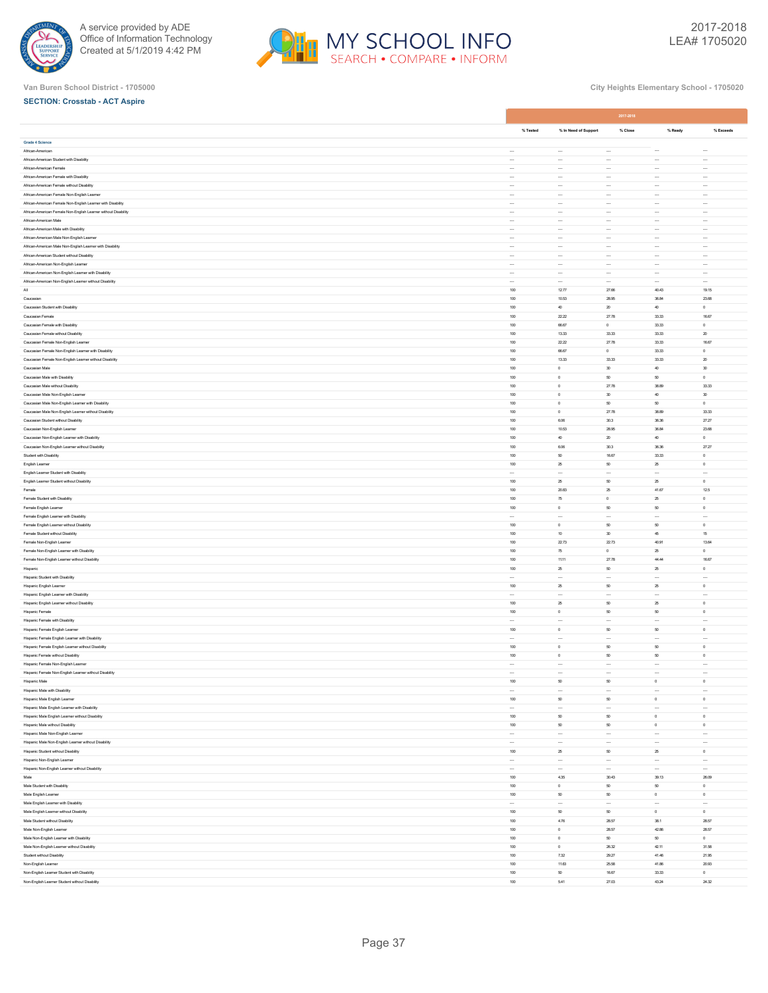



|                                                                                                                 | 2017-2018            |                                     |                                  |                                 |                      |
|-----------------------------------------------------------------------------------------------------------------|----------------------|-------------------------------------|----------------------------------|---------------------------------|----------------------|
|                                                                                                                 | % Tested             | % In Need of Support                | % Close                          | % Ready                         | % Exceeds            |
| Grade 4 Science                                                                                                 |                      |                                     |                                  |                                 |                      |
| African-American                                                                                                | $\cdots$             | $\cdots$                            | $\cdots$                         | $\ddotsc$                       | $\ddotsc$            |
| African-American Student with Disability                                                                        | $\cdots$             | $\overline{\phantom{a}}$            | $\ddot{\phantom{0}}$             | $\sim$                          |                      |
| African-American Female<br>African-American Female with Disability                                              | $\cdots$             | $\cdots$                            | $\cdots$                         | $\cdots$                        | $\cdots$             |
| African-American Female without Disability                                                                      | $\cdots$<br>         | $\cdots$<br>ä,                      | $\cdots$<br>$\ddot{\phantom{a}}$ | $\cdots$<br>$\sim$              | $\cdots$<br>$\sim$   |
| African-American Female Non-English Learner                                                                     | $\cdots$             | $\cdots$                            | $\cdots$                         | $\cdots$                        | $\cdots$             |
| African-American Female Non-English Learner with Disability                                                     |                      | $\ddotsc$                           | $\ddotsc$                        | $\ddotsc$                       | $\ddotsc$            |
| African-American Female Non-English Learner without Disability                                                  | $\ddot{\phantom{a}}$ | $\sim$                              | $\ddotsc$                        | $\ddotsc$                       | $\sim$               |
| African-American Male<br>African-American Male with Disability                                                  | $\cdots$             | $\cdots$                            | $\cdots$                         | $\cdots$                        | $\cdots$             |
| African-American Male Non-English Learner                                                                       | $\cdots$<br>$\cdots$ | $\cdots$<br>$\cdots$                | $\cdots$<br>$\cdots$             | $\cdots$<br>$\ddotsc$           | $\cdots$<br>$\cdots$ |
| African-American Male Non-English Learner with Disability                                                       | $\cdots$             | $\cdots$                            | $\cdots$                         | $\cdots$                        | $\cdots$             |
| African-American Student without Disability                                                                     | $\cdots$             | $\cdots$                            | $\cdots$                         | $\cdots$                        | $\cdots$             |
| African-American Non-English Learner                                                                            | $\cdots$             | $\cdots$                            | $\cdots$                         | $\cdots$                        | $\cdots$             |
| African-American Non-English Learner with Disability<br>African-American Non-English Learner without Disability | <br>$\cdots$         | $\sim$<br>$\cdots$                  | $\ddotsc$<br>$\cdots$            | $\ddotsc$<br>$\cdots$           | <br>$\cdots$         |
| $\mathsf{All}$                                                                                                  | 100                  | 12.77                               | 27.66                            | 40.43                           | 19.15                |
| Caucasian                                                                                                       | $100\,$              | 10.53                               | 28.95                            | 36.84                           | 23.68                |
| Caucasian Student with Disability                                                                               | 100                  | 40                                  | $20\,$                           | 40                              | $\circ$              |
| Caucasian Female                                                                                                | 100                  | 22.22<br>66.67                      | 27.78<br>$\circ$                 | 33.33                           | 16.67<br>$\circ$     |
| Caucasian Female with Disability<br>Caucasian Female without Disability                                         | 100<br>100           | 13.33                               | 33.33                            | 33.33<br>33.33                  | 20                   |
| Caucasian Female Non-English Learner                                                                            | $100\,$              | 22.22                               | 27.78                            | 33.33                           | 16.67                |
| Caucasian Female Non-English Learner with Disability                                                            | 100                  | 66.67                               | $\circ$                          | 33.33                           | $\circ$              |
| Caucasian Female Non-English Learner without Disability                                                         | 100                  | 13.33                               | 33.33                            | 33.33                           | $\rm{20}$            |
| Caucasian Male<br>Caucasian Male with Disability                                                                | $100\,$<br>100       | $\,$ 0 $\,$<br>$\circ$              | $30\,$<br>60                     | $40\,$<br>60                    | $30\,$<br>$\circ$    |
| Caucasian Male without Disability                                                                               | 100                  | $\circ$                             | 27.78                            | 38.89                           | 33.33                |
| Caucasian Male Non-English Learner                                                                              | 100                  | $\,0\,$                             | 30                               | $40\,$                          | $30\,$               |
| Caucasian Male Non-English Learner with Disability                                                              | 100                  | $\circ$                             | 60                               | 50                              | $\circ$              |
| Caucasian Male Non-English Learner without Disability                                                           | $100\,$              | $\,$ 0 $\,$                         | 27.78                            | 38.89                           | 33.33                |
| Caucasian Student without Disability                                                                            | 100                  | 6.06                                | 30.3                             | 36.36                           | 27.27                |
| Caucasian Non-English Learner<br>Caucasian Non-English Learner with Disability                                  | 100<br>$100\,$       | 10.53<br>$40\,$                     | 28.95<br>$\rm{20}$               | 36.84<br>$40\,$                 | 23.68<br>$\,0\,$     |
| Caucasian Non-English Learner without Disability                                                                | 100                  | 6.06                                | 30.3                             | 36.36                           | 27.27                |
| Student with Disability                                                                                         | 100                  | 60                                  | 16.67                            | 33.33                           | $\circ$              |
| English Learner                                                                                                 | 100                  | $\mathbf{25}$                       | 50                               | $2\!$                           | $\,$ 0 $\,$          |
| English Learner Student with Disability                                                                         | $\cdots$             | $\cdots$                            | $\cdots$                         | $\ddotsc$                       | $\cdots$             |
| English Learner Student without Disability<br>Female                                                            | $100\,$<br>100       | $\rm zs$<br>20.83                   | $_{50}$<br>$_{\rm 25}$           | 25<br>41.67                     | $\,$ 0 $\,$<br>12.5  |
| Female Student with Disability                                                                                  | 100                  | 75                                  | $\,$ 0 $\,$                      | $\rm{25}$                       | $\circ$              |
| Female English Learner                                                                                          | $100\,$              | $\,$ 0 $\,$                         | $_{\rm S0}$                      | $_{50}$                         | $\,$ 0 $\,$          |
| Female English Learner with Disability                                                                          | $\cdots$             | $\cdots$                            | $\cdots$                         | $\ddotsc$                       | $\cdots$             |
| Female English Learner without Disability<br>Female Student without Disability                                  | 100<br>100           | $\,$ 0 $\,$<br>10                   | $_{50}$<br>30                    | 60<br>45                        | $\circ$<br>$15\,$    |
| Female Non-English Learner                                                                                      | 100                  | 22.73                               | 22.73                            | 40.91                           | 13.64                |
| Female Non-English Learner with Disability                                                                      | $100\,$              | $75\,$                              | $\,$ 0 $\,$                      | 25                              | $\,$ 0               |
| Female Non-English Learner without Disability                                                                   | 100                  | 11.11                               | 27.78                            | 44.44                           | 16.67                |
| Hispanic                                                                                                        | 100                  | $\rm{2S}$                           | 60                               | 25                              | $\,$ 0 $\,$          |
| Hispanic Student with Disability<br>Hispanic English Learner                                                    | 100                  | $\mathbf{25}$                       | 60                               | $\rm{25}$                       | $\circ$              |
| Hispanic English Learner with Disability                                                                        | $\cdots$             | $\cdots$                            | $\ldots$                         | $\ddotsc$                       | $\ldots$             |
| Hispanic English Learner without Disability                                                                     | 100                  | $\rm{25}$                           | 50                               | 25                              | $\circ$              |
| Hispanic Female                                                                                                 | 100                  | $\circ$                             | 50                               | $_{50}$                         | $\circ$              |
| Hispanic Female with Disability                                                                                 |                      | $\overline{\phantom{a}}$<br>$\circ$ | $\ddot{\phantom{0}}$             | $\ddot{\phantom{0}}$<br>$_{50}$ | $\ddotsc$<br>$\circ$ |
| Hispanic Female English Learner<br>Hispanic Female English Learner with Disability                              | 100<br>$\cdots$      | $\cdots$                            | 50<br>$\cdots$                   | $\cdots$                        | $\cdots$             |
| Hispanic Female English Learner without Disability                                                              | $100\,$              | $\,$ 0                              | $_{50}$                          | $_{50}$                         | $\,$ 0 $\,$          |
| Hispanic Female without Disability                                                                              | 100                  | $\circ$                             | 50                               | 50                              | $\circ$              |
| Hispanic Female Non-English Learner                                                                             | $\cdots$             | $\cdots$                            | $\cdots$                         | $\cdots$                        | $\cdots$             |
| Hispanic Female Non-English Learner without Disability<br>Hispanic Male                                         | 100                  | 60                                  | 50                               | $\circ$                         | $\circ$              |
| Hispanic Male with Disability                                                                                   |                      | $\overline{\phantom{a}}$            |                                  | $\ddotsc$                       | $\ddot{\phantom{0}}$ |
| Hispanic Male English Learner                                                                                   | 100                  | 60                                  | 50                               | $\,0\,$                         | $\,$ 0 $\,$          |
| Hispanic Male English Learner with Disability                                                                   | $\ldots$             | $\cdots$                            | $\cdots$                         | $\ldots$                        | $\ldots$             |
| Hispanic Male English Learner without Disability                                                                | $100\,$              | $_{\rm 50}$                         | $_{\rm 50}$                      | $\,0\,$                         | $\,0\,$              |
| Hispanic Male without Disability<br>Hispanic Male Non-English Learner                                           | 100<br>$\cdots$      | 60<br>$\ldots$                      | 50<br>$\cdots$                   | $\circ$<br>$\ldots$             | $\circ$<br>$\ldots$  |
| Hispanic Male Non-English Learner without Disability                                                            | $\ddot{\phantom{a}}$ | $\sim$                              | $\ddotsc$                        | $\ddotsc$                       | $\ddotsc$            |
| Hispanic Student without Disability                                                                             | 100                  | $\mathbf{25}$                       | 50                               | $\rm 25$                        | $\circ$              |
| Hispanic Non-English Learner                                                                                    | $\cdots$             | $\cdots$                            | $\ldots$                         | $\cdots$                        | $\ldots$             |
| Hispanic Non-English Learner without Disability                                                                 | $\cdots$             | $\sim$                              | $\sim$                           | $\ddotsc$                       | $\ddotsc$            |
| Male<br>Male Student with Disability                                                                            | 100<br>$100\,$       | 4.35<br>$\,$ 0 $\,$                 | 30.43<br>$_{\rm 50}$             | 39.13<br>$_{50}$                | 26.09<br>$\,$ 0 $\,$ |
| Male English Learner                                                                                            | 100                  | 60                                  | 60                               | $\circ$                         | $\circ$              |
| Male English Learner with Disability                                                                            | $\cdots$             | $\cdots$                            | $\cdots$                         | $\cdots$                        | $\cdots$             |
| Male English Learner without Disability                                                                         | 100                  | 60                                  | 50                               | $\,0\,$                         | $\,$ 0 $\,$          |
| Male Student without Disability                                                                                 | 100                  | 4.76                                | 28.57                            | 38.1                            | 28.57                |
| Male Non-English Learner<br>Male Non-English Learner with Disability                                            | $100\,$<br>100       | $\,0\,$<br>$\circ$                  | 28.57<br>50                      | 42.86<br>50                     | 28.57<br>$\,$ 0 $\,$ |
| Male Non-English Learner without Disability                                                                     | 100                  | $\,$ 0 $\,$                         | 26.32                            | 42.11                           | 31.58                |
| Student without Disability                                                                                      | $100\,$              | $7.32\,$                            | 29.27                            | 41.46                           | 21.95                |
| Non-English Learner                                                                                             | 100                  | 11.63                               | 25.58                            | 41.86                           | 20.93                |
| Non-English Learner Student with Disability                                                                     | 100                  | 60                                  | 16.67                            | 33.33                           | $\,$ 0 $\,$          |
| Non-English Learner Student without Disability                                                                  | 100                  | 5.41                                | 27.03                            | 43.24                           | 24.32                |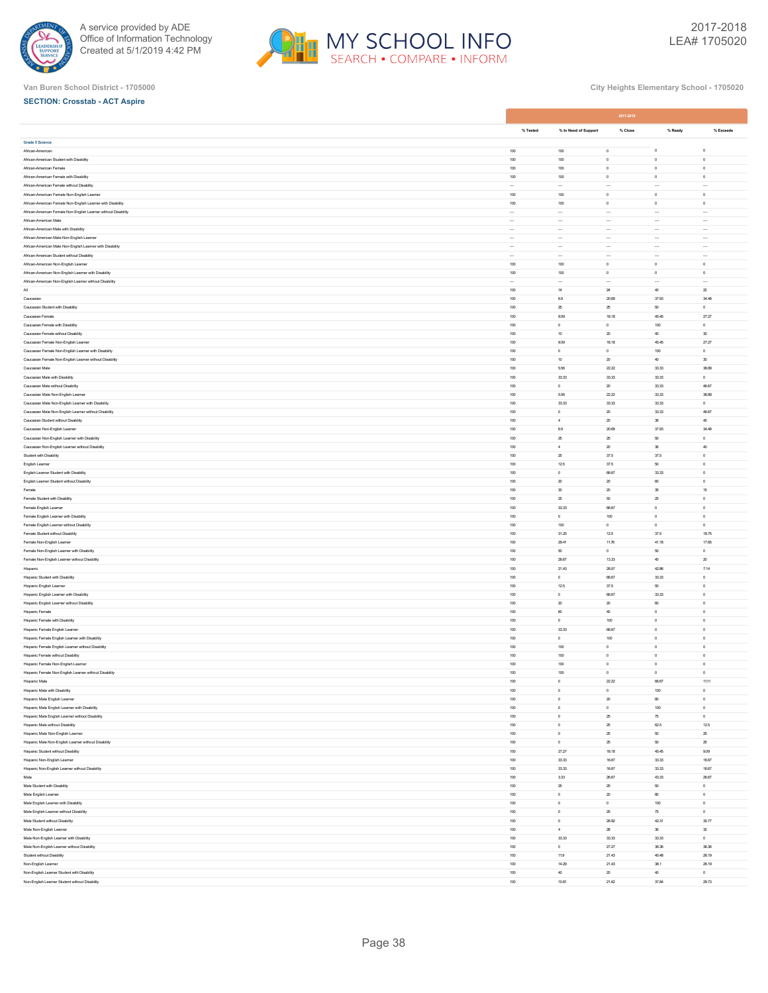



|                                                                                               | 2017-2018        |                      |                             |                       |                        |  |  |
|-----------------------------------------------------------------------------------------------|------------------|----------------------|-----------------------------|-----------------------|------------------------|--|--|
|                                                                                               | $%$ Tested       | % In Need of Support | % Close                     | % Ready               | % Exceeds              |  |  |
| <b>Grade 5 Science</b>                                                                        |                  |                      |                             |                       |                        |  |  |
| African-American                                                                              | 100              | 100                  | $\,$ 0 $\,$                 | $\,$ 0 $\,$           | $\,$ 0 $\,$            |  |  |
| African-American Student with Disability                                                      | 100              | 100                  | $\,$ 0 $\,$                 | $\,$ 0 $\,$           | $\,$ 0 $\,$            |  |  |
| African-American Female                                                                       | 100              | 100                  | $\,$ 0 $\,$                 | $^{\circ}$            | $\circ$                |  |  |
| African-American Female with Disability                                                       | 100              | 100                  | $\circ$                     | $^{\circ}$            | $\circ$                |  |  |
| African-American Female without Disability<br>African-American Female Non-English Learner     | $\ddotsc$<br>100 | $\ddotsc$<br>100     | $\ddotsc$<br>$\,$ 0         | $\ddotsc$<br>$\circ$  | $\cdots$<br>$\,0\,$    |  |  |
| African-American Female Non-English Learner with Disability                                   | 100              | 100                  | $\,$ 0 $\,$                 | $\,$ 0 $\,$           | $\,$ 0 $\,$            |  |  |
| African-American Female Non-English Learner without Disability                                | $\cdots$         | $\cdots$             | $\cdots$                    | $\cdots$              | $\cdots$               |  |  |
| African-American Male                                                                         | $\cdots$         | $\cdots$             | $\ddotsc$                   | $\ddotsc$             | $\cdots$               |  |  |
| African-American Male with Disability                                                         | $\cdots$         | $\cdots$             | $\cdots$                    | $\cdots$              | $\cdots$               |  |  |
| African-American Male Non-English Learner                                                     | $\cdots$         | $\sim$               | $\ddotsc$                   | $\sim$                | $\cdots$               |  |  |
| African-American Male Non-English Learner with Disability                                     | $\cdots$         | $\sim$               | $\cdots$                    | $\cdots$              | $\cdots$               |  |  |
| African-American Student without Disability<br>African-American Non-English Learner           | $\cdots$<br>100  | $\sim$<br>100        | $\cdots$<br>$\,$ 0          | $\cdots$<br>$\,0\,$   | $\cdots$<br>$\,0\,$    |  |  |
| African-American Non-English Learner with Disability                                          | 100              | 100                  | $\,$ 0 $\,$                 | $\,$ 0 $\,$           | $\,$ 0 $\,$            |  |  |
| African-American Non-English Learner without Disability                                       |                  | $\sim$               | $\cdots$                    | $\ddotsc$             | $\cdots$               |  |  |
| All                                                                                           | 100              | 14                   | $24\,$                      | 40                    | $\mathbf{22}$          |  |  |
| Caucasian                                                                                     | 100              | 6.9                  | 20.69                       | 37.93                 | 34.48                  |  |  |
| Caucasian Student with Disability                                                             | 100              | $\rm{25}$            | $_{\rm 2S}$                 | 50                    | $\circ$                |  |  |
| Caucasian Female<br>Caucasian Female with Disability                                          | 100<br>100       | 9.09<br>$\,$ 0       | 18.18<br>$\,$ 0             | 45.45<br>100          | 27.27<br>$\,$ 0        |  |  |
| Caucasian Female without Disability                                                           | 100              | 10 <sub>10</sub>     | $20\,$                      | 40                    | 30                     |  |  |
| Caucasian Female Non-English Learner                                                          | 100              | 9.09                 | 18.18                       | 45.45                 | 27.27                  |  |  |
| Caucasian Female Non-English Learner with Disability                                          | 100              | $\,$ 0 $\,$          | $\,$ 0                      | $100\,$               | $\,$ 0 $\,$            |  |  |
| Caucasian Female Non-English Learner without Disability                                       | 100              | 10 <sub>10</sub>     | $20\,$                      | 40                    | 30                     |  |  |
| Caucasian Male                                                                                | 100              | 5.56                 | 22.22                       | 33.33                 | 38.89                  |  |  |
| Caucasian Male with Disability                                                                | 100              | 33.33                | 33.33                       | 33.33                 | $\,0\,$                |  |  |
| Caucasian Male without Disability                                                             | 100              | $\circ$              | $20\,$                      | 33.33                 | 46.67                  |  |  |
| Caucasian Male Non-English Learner<br>Caucasian Male Non-English Learner with Disability      | 100<br>100       | 5.56<br>33.33        | 22.22<br>33.33              | 33.33<br>33.33        | 38.89<br>$\,0\,$       |  |  |
| Caucasian Male Non-English Learner without Disability                                         | 100              | $\,$ 0 $\,$          | $20\,$                      | 33.33                 | 46.67                  |  |  |
| Caucasian Student without Disability                                                          | 100              | $\,$ 4 $\,$          | $\rm{20}$                   | $36\,$                | $40\,$                 |  |  |
| Caucasian Non-English Learner                                                                 | 100              | 6.9                  | 20.69                       | 37.93                 | 34.48                  |  |  |
| Caucasian Non-English Learner with Disability                                                 | 100              | $\rm{25}$            | $\rm{2S}$                   | 50                    | $\,$ 0 $\,$            |  |  |
| Caucasian Non-English Learner without Disability                                              | 100              | $\overline{4}$       | 20                          | 36                    | 40                     |  |  |
| Student with Disability<br>English Learner                                                    | 100              | $\rm{25}$            | 37.5                        | 37.5                  | $\circ$<br>$\,$ 0 $\,$ |  |  |
| English Learner Student with Disability                                                       | 100<br>100       | 12.5<br>$\circ$      | 37.5<br>66.67               | 60<br>33.33           | $\circ$                |  |  |
| English Learner Student without Disability                                                    | 100              | $20\,$               | $20\,$                      | 60                    | $\,$ 0 $\,$            |  |  |
| Female                                                                                        | 100              | $_{30}$              | $\rm{20}$                   | 35                    | $15\,$                 |  |  |
| Female Student with Disability                                                                | 100              | $\rm{25}$            | 50                          | 25                    | $\circ$                |  |  |
| Female English Learner                                                                        | 100              | 33.33                | 66.67                       | $\circ$               | $\circ$                |  |  |
| Female English Learner with Disability                                                        | 100              | $\,$ 0               | 100                         | $\circ$               | $\,0\,$                |  |  |
| Female English Learner without Disability                                                     | 100              | 100                  | $\circ$                     | $\circ$               | $\circ$                |  |  |
| Female Student without Disability<br>Female Non-English Learner                               | 100<br>100       | 31.25<br>29.41       | $12.5\,$<br>11.76           | $37.5\,$<br>41.18     | 18.75<br>17.65         |  |  |
| Female Non-English Learner with Disability                                                    | 100              | 60                   | $\,$ 0 $\,$                 | 50                    | $\,$ 0 $\,$            |  |  |
| Female Non-English Learner without Disability                                                 | 100              | 26.67                | 13.33                       | $40\,$                | $\rm{20}$              |  |  |
| Hispanic                                                                                      | 100              | 21.43                | 28.57                       | 42.86                 | 7.14                   |  |  |
| Hispanic Student with Disability                                                              | 100              | $\,$ 0 $\,$          | 66.67                       | 33.33                 | $\,$ 0 $\,$            |  |  |
| Hispanic English Learner                                                                      | 100              | 12.5                 | 37.5                        | 50                    | $\circ$                |  |  |
| Hispanic English Learner with Disability<br>Hispanic English Learner without Disability       | 100<br>100       | $\circ$<br>$\rm{20}$ | 66.67<br>$20\,$             | 33.33<br>$_{60}$      | $\,$ 0 $\,$<br>$\,$ 0  |  |  |
| Hispanic Female                                                                               | 100              | 60                   | 40                          | $^{\circ}$            | $\circ$                |  |  |
| Hispanic Female with Disability                                                               | 100              | $\,$ 0 $\,$          | 100                         | $\circ$               | $\circ$                |  |  |
| Hispanic Female English Learner                                                               | 100              | 33.33                | 66.67                       | $\circ$               | $\,$ 0                 |  |  |
| Hispanic Female English Learner with Disability                                               | 100              | $\circ$              | 100                         | $^{\circ}$            | $\circ$                |  |  |
| Hispanic Female English Learner without Disability                                            | 100              | 100                  | $\,$ 0 $\,$                 | $\circ$               | $\circ$                |  |  |
| Hispanic Female without Disability<br>Hispanic Female Non-English Learner                     | 100<br>100       | 100<br>100           | $\,$ 0 $\,$<br>$\circ$      | $\circ$<br>$^{\circ}$ | $\circ$<br>$\circ$     |  |  |
| Hispanic Female Non-English Learner without Disability                                        | 100              | 100                  | $\,$ 0                      | $\circ$               | $\circ$                |  |  |
| Hispanic Male                                                                                 | 100              | $\circ$              | 22.22                       | 66.67                 | 11.11                  |  |  |
| Hispanic Male with Disability                                                                 | 100              | $\,$ 0 $\,$          | $\,$ 0 $\,$                 | 100                   | $\,$ 0 $\,$            |  |  |
| Hispanic Male English Learner                                                                 | 100              | $\,$ 0 $\,$          | $20\,$                      | $_{\rm 80}$           | $\,$ 0 $\,$            |  |  |
| Hispanic Male English Learner with Disability                                                 | 100              | $\circ$              | $\,$ 0 $\,$                 | 100                   | $\circ$                |  |  |
| Hispanic Male English Learner without Disability                                              | 100              | $\,$ 0 $\,$          | $\rm{2S}$                   | 75                    | $\,$ 0 $\,$            |  |  |
| Hispanic Male without Disability<br>Hispanic Male Non-English Learner                         | 100<br>100       | $\circ$<br>$\circ$   | $_{\rm 25}$<br>$\mathbf{z}$ | 62.5<br>50            | 12.5<br>25             |  |  |
| Hispanic Male Non-English Learner without Disability                                          | 100              | $\,$ 0 $\,$          | $\rm{2S}$                   | $_{50}$               | $\rm 25$               |  |  |
| Hispanic Student without Disability                                                           | 100              | 27.27                | 18.18                       | 45.45                 | 9.09                   |  |  |
| Hispanic Non-English Learner                                                                  | 100              | 33.33                | 16.67                       | 33.33                 | 16.67                  |  |  |
| Hispanic Non-English Learner without Disability                                               | 100              | 33.33                | 16.67                       | 33.33                 | 16.67                  |  |  |
| Male                                                                                          | 100              | 3.33                 | 26.67                       | 43.33                 | 26.67                  |  |  |
| Male Student with Disability                                                                  | 100              | $\rm{2S}$            | 25                          | 60                    | $\circ$                |  |  |
| Male English Learner                                                                          | 100<br>100       | $\circ$<br>$\circ$   | $20\,$<br>$\circ$           | $80\,$<br>100         | $\,0\,$<br>$\circ$     |  |  |
| Male English Learner with Disability<br>Male English Learner without Disability               | 100              | $\,$ 0 $\,$          | $\rm{2S}$                   | $\bf 75$              | $\,$ 0 $\,$            |  |  |
| Male Student without Disability                                                               | 100              | $\circ$              | 26.92                       | 42.31                 | 30.77                  |  |  |
| Male Non-English Learner                                                                      | 100              | $\,$ 4 $\,$          | $\rm 28$                    | 36                    | $_{32}$                |  |  |
| Male Non-English Learner with Disability                                                      | 100              | 33.33                | 33.33                       | 33.33                 | $\circ$                |  |  |
| Male Non-English Learner without Disability                                                   | 100              | $\circ$              | 27.27                       | 36.36                 | 36.36                  |  |  |
| Student without Disability                                                                    | 100              | 11.9                 | 21.43                       | 40.48                 | 26.19                  |  |  |
| Non-English Learner                                                                           | 100              | 14.29                | 21.43                       | 38.1                  | 26.19                  |  |  |
| Non-English Learner Student with Disability<br>Non-English Learner Student without Disability | 100<br>100       | 40<br>10.81          | 20<br>21.62                 | 40<br>37.84           | $\circ$<br>29.73       |  |  |
|                                                                                               |                  |                      |                             |                       |                        |  |  |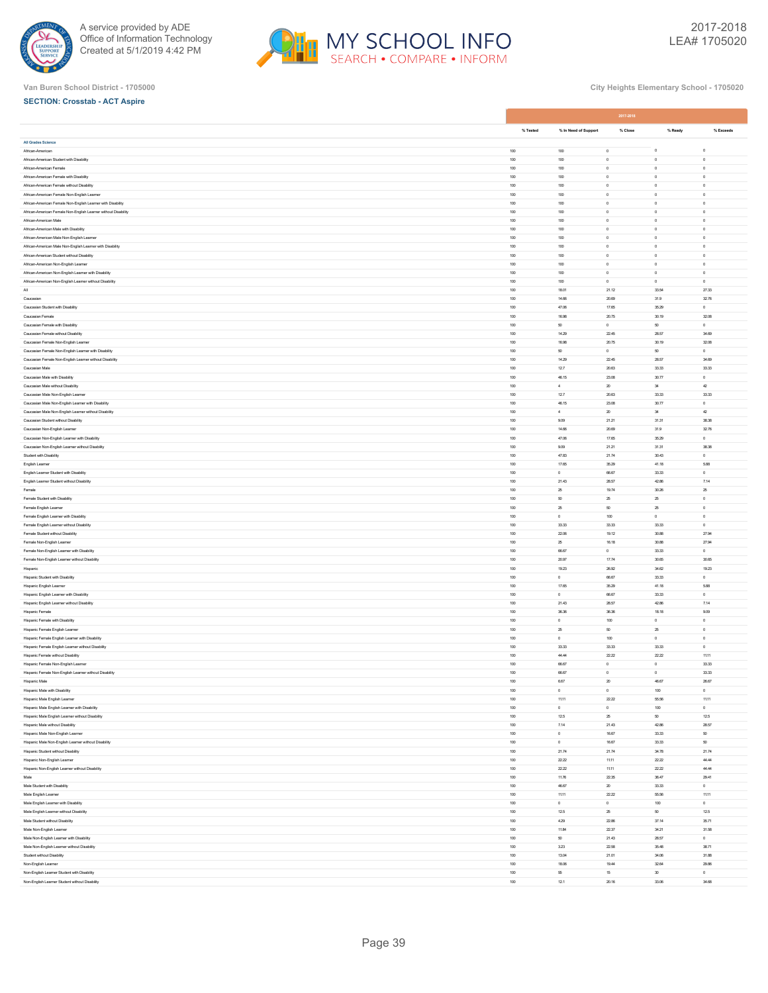



|                                                                                           | 2017-2018  |                      |                        |                      |                       |  |
|-------------------------------------------------------------------------------------------|------------|----------------------|------------------------|----------------------|-----------------------|--|
|                                                                                           | % Tested   | % In Need of Support | % Close                | % Ready              | % Exceeds             |  |
| All Grades Science                                                                        |            |                      |                        |                      |                       |  |
| African-American                                                                          | 100        | 100                  | $\,$ 0                 | $\,0\,$              | $\,$ 0 $\,$           |  |
| African-American Student with Disability                                                  | 100        | 100                  | $\,$ 0 $\,$            | $\circ$              | $\circ$               |  |
| African-American Female                                                                   | 100        | 100                  | $\,$ 0 $\,$            | $\,$ 0               | $\circ$               |  |
| African-American Female with Disability                                                   | 100        | 100                  | $\,$ 0 $\,$            | $\,$ 0               | $\,$ 0                |  |
| African-American Female without Disability<br>African-American Female Non-English Learner | 100<br>100 | 100<br>100           | $\circ$<br>$\,$ 0 $\,$ | $\circ$<br>$\circ$   | $\circ$<br>$\circ$    |  |
| African-American Female Non-English Learner with Disability                               | 100        | 100                  | $\,$ 0                 | $\,0\,$              | $\,$ 0 $\,$           |  |
| African-American Female Non-English Learner without Disability                            | 100        | 100                  | $\circ$                | $\circ$              | $\circ$               |  |
| African-American Male                                                                     | 100        | 100                  | $\,$ 0                 | $\,$ 0               | $\,$ 0                |  |
| African-American Male with Disability                                                     | 100        | 100                  | $\,$ 0 $\,$            | $\circ$              | $\,$ 0 $\,$           |  |
| African-American Male Non-English Learner                                                 | 100        | 100                  | $\,$ 0 $\,$            | $\,$ 0 $\,$          | $\,$ 0 $\,$           |  |
| African-American Male Non-English Learner with Disability                                 | 100<br>100 | 100<br>100           | $\circ$<br>$\,$ 0 $\,$ | $\,$ 0<br>$\circ$    | $\,$ 0<br>$\circ$     |  |
| African-American Student without Disability<br>African-American Non-English Learner       | 100        | 100                  | $\,$ 0 $\,$            | $\,$ 0 $\,$          | $\,$ 0 $\,$           |  |
| African-American Non-English Learner with Disability                                      | 100        | 100                  | $\,$ 0 $\,$            | $\,$ 0               | $\,$ 0                |  |
| African-American Non-English Learner without Disability                                   | 100        | 100                  | $\circ$                | $^{\circ}$           | $\circ$               |  |
| $\mathsf{All}$                                                                            | 100        | 18.01                | 21.12                  | 33.54                | 27.33                 |  |
| Caucasian                                                                                 | 100        | 14.66                | 20.69                  | 31.9                 | 32.76                 |  |
| Caucasian Student with Disability                                                         | 100        | 47.06                | 17.65                  | 35.29                | $\circ$               |  |
| Caucasian Female<br>Caucasian Female with Disability                                      | 100<br>100 | 16.98<br>50          | 20.75<br>$\circ$       | 30.19<br>50          | 32.08<br>$\circ$      |  |
| Caucasian Female without Disability                                                       | 100        | 14.29                | 22.45                  | 28.57                | 34.69                 |  |
| Caucasian Female Non-English Learner                                                      | 100        | 16.98                | 20.75                  | 30.19                | 32.08                 |  |
| Caucasian Female Non-English Learner with Disability                                      | 100        | 60                   | $\circ$                | 50                   | $\circ$               |  |
| Caucasian Female Non-English Learner without Disability                                   | 100        | 14.29                | 22.45                  | 28.57                | 34.69                 |  |
| Caucasian Male                                                                            | 100        | 12.7                 | 20.63                  | 33.33                | 33.33                 |  |
| Caucasian Male with Disability                                                            | 100        | 46.15                | 23.08                  | 30.77                | $\,$ 0 $\,$           |  |
| Caucasian Male without Disability<br>Caucasian Male Non-English Learner                   | 100<br>100 | $\sqrt{4}$<br>12.7   | $\rm{20}$<br>20.63     | $34$<br>33.33        | $42\,$<br>33.33       |  |
| Caucasian Male Non-English Learner with Disability                                        | 100        | 46.15                | 23.08                  | 30.77                | $\,$ 0 $\,$           |  |
| Caucasian Male Non-English Learner without Disability                                     | 100        | $\Delta$             | 20                     | 34                   | 42                    |  |
| Caucasian Student without Disability                                                      | 100        | 9.09                 | 21.21                  | 31.31                | 38.38                 |  |
| Caucasian Non-English Learner                                                             | 100        | 14.66                | 20.69                  | 31.9                 | 32.76                 |  |
| Caucasian Non-English Learner with Disability                                             | 100        | 47.06                | 17.65                  | 35.29                | $\circ$               |  |
| Caucasian Non-English Learner without Disability                                          | 100        | 9.09                 | 21.21                  | 31.31                | 38.38                 |  |
| Student with Disability<br>English Learner                                                | 100<br>100 | 47.83<br>17.65       | 21.74<br>35.29         | 30.43<br>41.18       | $\,$ 0 $\,$<br>5.88   |  |
| English Learner Student with Disability                                                   | 100        | $\circ$              | 66.67                  | 33.33                | $\circ$               |  |
| English Learner Student without Disability                                                | 100        | 21.43                | 28.57                  | 42.86                | 7.14                  |  |
| Female                                                                                    | 100        | $\rm{2S}$            | 19.74                  | 30.26                | $\rm 25$              |  |
| Female Student with Disability                                                            | 100        | $_{50}$              | $\rm{2S}$              | 25                   | $\,0\,$               |  |
| Female English Learner                                                                    | 100        | $\rm{25}$            | $_{50}$                | 25                   | $\,$ 0 $\,$           |  |
| Female English Learner with Disability                                                    | 100<br>100 | $\,$ 0 $\,$<br>33.33 | 100<br>33.33           | $\,$ 0 $\,$<br>33.33 | $\,$ 0 $\,$<br>$\,$ 0 |  |
| Female English Learner without Disability<br>Female Student without Disability            | 100        | 22.06                | 19.12                  | 30.88                | 27.94                 |  |
| Female Non-English Learner                                                                | 100        | $\rm{2S}$            | 16.18                  | 30.88                | 27.94                 |  |
| Female Non-English Learner with Disability                                                | 100        | 66.67                | $\,$ 0 $\,$            | 33.33                | $\,$ 0                |  |
| Female Non-English Learner without Disability                                             | 100        | 20.97                | 17.74                  | 30.65                | 30.65                 |  |
| Hispanic                                                                                  | 100        | 19.23                | 26.92                  | 34.62                | 19.23                 |  |
| Hispanic Student with Disability                                                          | 100<br>100 | $\circ$<br>17.65     | 66.67                  | 33.33                | $\circ$<br>5.88       |  |
| Hispanic English Learner<br>Hispanic English Learner with Disability                      | 100        | $\,$ 0               | 35.29<br>66.67         | 41.18<br>33.33       | $\,$ 0 $\,$           |  |
| Hispanic English Learner without Disability                                               | 100        | 21.43                | 28.57                  | 42.86                | 7.14                  |  |
| Hispanic Female                                                                           | 100        | 36.36                | 36.36                  | 18.18                | 9.09                  |  |
| Hispanic Female with Disability                                                           | 100        | $\,$ 0               | 100                    | $\,0\,$              | $\,$ 0 $\,$           |  |
| Hispanic Female English Learner                                                           | 100        | $\rm{2S}$            | 60                     | 25                   | $\circ$               |  |
| Hispanic Female English Learner with Disability                                           | 100        | $\,$ 0               | 100                    | $\circ$              | $\,$ 0                |  |
| Hispanic Female English Learner without Disability<br>Hispanic Female without Disability  | 100<br>100 | 33.33<br>44.44       | 33.33<br>22.22         | 33.33<br>22.22       | $\,$ 0 $\,$<br>11.11  |  |
| Hispanic Female Non-English Learner                                                       | 100        | 66.67                | $\,$ 0                 | $\circ$              | 33.33                 |  |
| Hispanic Female Non-English Learner without Disability                                    | 100        | 66.67                | $\circ$                | $\circ$              | 33.33                 |  |
| Hispanic Male                                                                             | 100        | 6.67                 | $\rm{20}$              | 46.67                | 26.67                 |  |
| Hispanic Male with Disability                                                             | 100        | $\,0\,$              | $\circ$                | 100                  | $\circ$               |  |
| Hispanic Male English Learner<br>Hispanic Male English Learner with Disability            | 100        | 11.11                | 22.22                  | 55.56                | 11.11                 |  |
| Hispanic Male English Learner without Disability                                          | 100<br>100 | $\,$ 0 $\,$<br>12.5  | $\,$ 0 $\,$<br>25      | 100<br>50            | $\,$ 0 $\,$<br>12.5   |  |
| Hispanic Male without Disability                                                          | 100        | 7.14                 | 21.43                  | 42.86                | 28.57                 |  |
| Hispanic Male Non-English Learner                                                         | 100        | $\,$ 0 $\,$          | 16.67                  | 33.33                | $_{\rm 50}$           |  |
| Hispanic Male Non-English Learner without Disability                                      | 100        | $\circ$              | 16.67                  | 33.33                | 50                    |  |
| Hispanic Student without Disability                                                       | 100        | 21.74                | 21.74                  | 34.78                | 21.74                 |  |
| Hispanic Non-English Learner                                                              | 100        | 22.22                | 11.11                  | 22.22                | 44.44                 |  |
| Hispanic Non-English Learner without Disability                                           | 100        | 22.22                | 11.11                  | 22.22                | 44.44                 |  |
| Male<br>Male Student with Disability                                                      | 100<br>100 | 11.76<br>46.67       | 22.35<br>$20\,$        | 36.47<br>33.33       | 29.41<br>$\,$ 0 $\,$  |  |
| Male English Learner                                                                      | 100        | 11.11                | 22.22                  | 55.56                | 11.11                 |  |
| Male English Learner with Disability                                                      | 100        | $\,0\,$              | $\,$ 0 $\,$            | $100\,$              | $\,$ 0                |  |
| Male English Learner without Disability                                                   | 100        | 12.5                 | $\rm{2S}$              | 50                   | 12.5                  |  |
| Male Student without Disability                                                           | 100        | 429                  | 22.86                  | 37.14                | 35.71                 |  |
| Male Non-English Learner                                                                  | 100        | 11.84                | 22.37                  | 34.21                | 31.58                 |  |
| Male Non-English Learner with Disability                                                  | 100        | 60                   | 21.43                  | 28.57                | $^{\circ}$            |  |
| Male Non-English Learner without Disability<br>Student without Disability                 | 100<br>100 | $3\,23$<br>13.04     | 22.58<br>21.01         | 35.48<br>34.06       | 38.71<br>31.88        |  |
| Non-English Learner                                                                       | 100        | 18.06                | 19.44                  | 32.64                | 29.86                 |  |
| Non-English Learner Student with Disability                                               | 100        | $_{55}$              | $15\,$                 | $_{\rm 30}$          | $\,$ 0 $\,$           |  |
| Non-English Learner Student without Disability                                            | 100        | 12.1                 | 20.16                  | 33.06                | 34.68                 |  |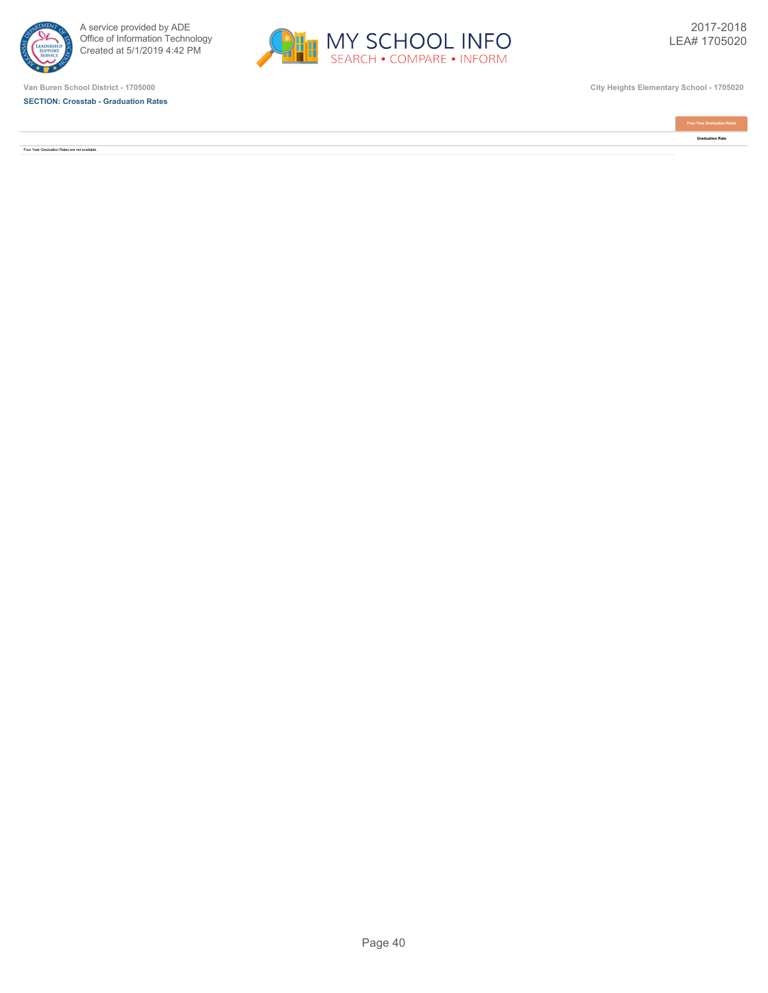

A service provided by ADE Office of Information Technology Created at 5/1/2019 4:42 PM

**SECTION: Crosstab - Graduation Rates**



**Van Buren School District - 1705000 City Heights Elementary School - 1705020**



Four Year Graduation Rates are not available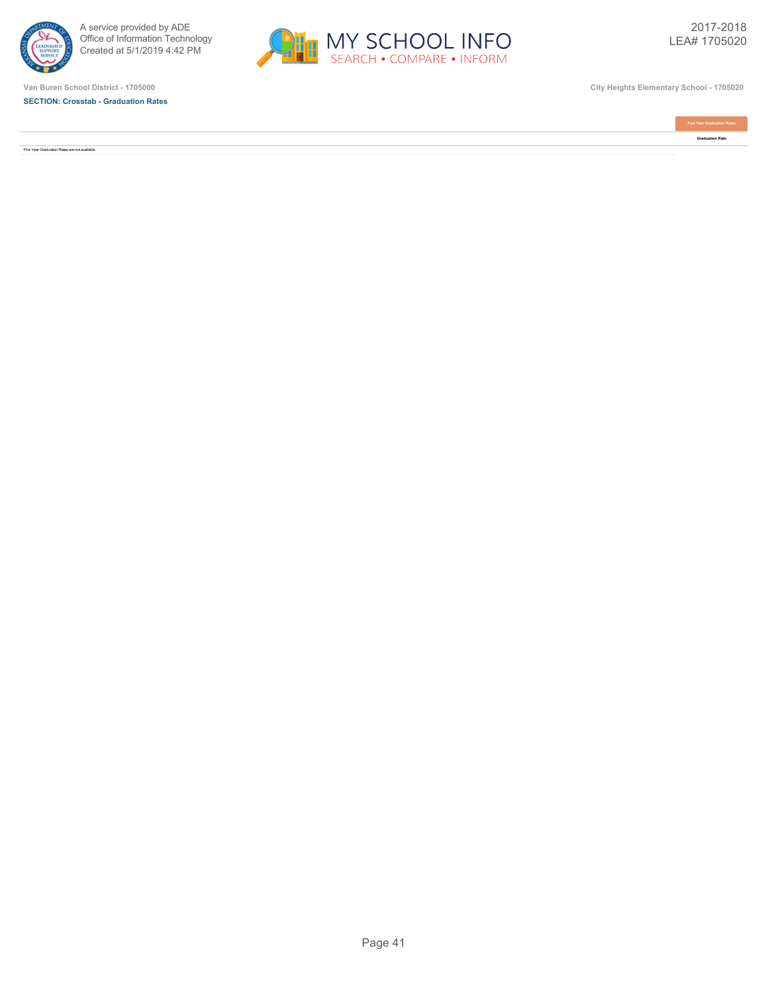

A service provided by ADE Office of Information Technology Created at 5/1/2019 4:42 PM

**SECTION: Crosstab - Graduation Rates**